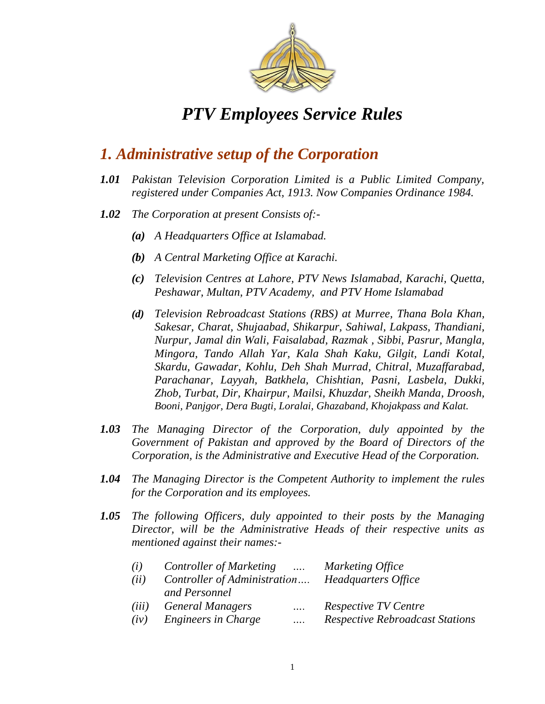

### *1. Administrative setup of the Corporation*

- *1.01 Pakistan Television Corporation Limited is a Public Limited Company, registered under Companies Act, 1913. Now Companies Ordinance 1984.*
- *1.02 The Corporation at present Consists of:-*
	- *(a) A Headquarters Office at Islamabad.*
	- *(b) A Central Marketing Office at Karachi.*
	- *(c) Television Centres at Lahore, PTV News Islamabad, Karachi, Quetta, Peshawar, Multan, PTV Academy, and PTV Home Islamabad*
	- *(d) Television Rebroadcast Stations (RBS) at Murree, Thana Bola Khan, Sakesar, Charat, Shujaabad, Shikarpur, Sahiwal, Lakpass, Thandiani, Nurpur, Jamal din Wali, Faisalabad, Razmak , Sibbi, Pasrur, Mangla, Mingora, Tando Allah Yar, Kala Shah Kaku, Gilgit, Landi Kotal, Skardu, Gawadar, Kohlu, Deh Shah Murrad, Chitral, Muzaffarabad, Parachanar, Layyah, Batkhela, Chishtian, Pasni, Lasbela, Dukki, Zhob, Turbat, Dir, Khairpur, Mailsi, Khuzdar, Sheikh Manda, Droosh, Booni, Panjgor, Dera Bugti, Loralai, Ghazaband, Khojakpass and Kalat.*
- *1.03 The Managing Director of the Corporation, duly appointed by the Government of Pakistan and approved by the Board of Directors of the Corporation, is the Administrative and Executive Head of the Corporation.*
- *1.04 The Managing Director is the Competent Authority to implement the rules for the Corporation and its employees.*
- *1.05 The following Officers, duly appointed to their posts by the Managing Director, will be the Administrative Heads of their respective units as mentioned against their names:-*

| (i)   | Controller of Marketing      |          | Marketing Office                       |  |  |
|-------|------------------------------|----------|----------------------------------------|--|--|
| (ii)  | Controller of Administration |          | Headquarters Office                    |  |  |
|       | and Personnel                |          |                                        |  |  |
| (iii) | <b>General Managers</b>      | $\cdots$ | <b>Respective TV Centre</b>            |  |  |
| (iv)  | Engineers in Charge          |          | <b>Respective Rebroadcast Stations</b> |  |  |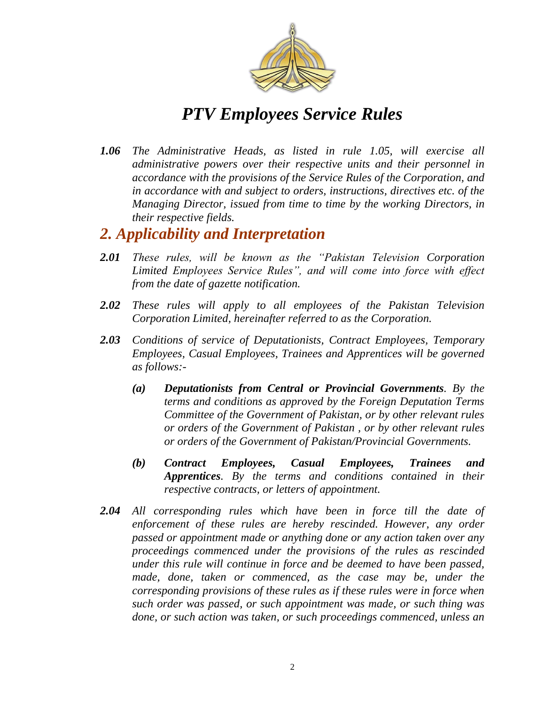

*1.06 The Administrative Heads, as listed in rule 1.05, will exercise all administrative powers over their respective units and their personnel in accordance with the provisions of the Service Rules of the Corporation, and in accordance with and subject to orders, instructions, directives etc. of the Managing Director, issued from time to time by the working Directors, in their respective fields.* 

### *2. Applicability and Interpretation*

- **2.01** *These rules, will be known as the "Pakistan Television Corporation Limited Employees Service Rules‖, and will come into force with effect from the date of gazette notification.*
- *2.02 These rules will apply to all employees of the Pakistan Television Corporation Limited, hereinafter referred to as the Corporation.*
- *2.03 Conditions of service of Deputationists, Contract Employees, Temporary Employees, Casual Employees, Trainees and Apprentices will be governed as follows:-*
	- *(a) Deputationists from Central or Provincial Governments. By the terms and conditions as approved by the Foreign Deputation Terms Committee of the Government of Pakistan, or by other relevant rules or orders of the Government of Pakistan , or by other relevant rules or orders of the Government of Pakistan/Provincial Governments.*
	- *(b) Contract Employees, Casual Employees, Trainees and Apprentices. By the terms and conditions contained in their respective contracts, or letters of appointment.*
- *2.04 All corresponding rules which have been in force till the date of enforcement of these rules are hereby rescinded. However, any order passed or appointment made or anything done or any action taken over any proceedings commenced under the provisions of the rules as rescinded under this rule will continue in force and be deemed to have been passed, made, done, taken or commenced, as the case may be, under the corresponding provisions of these rules as if these rules were in force when such order was passed, or such appointment was made, or such thing was done, or such action was taken, or such proceedings commenced, unless an*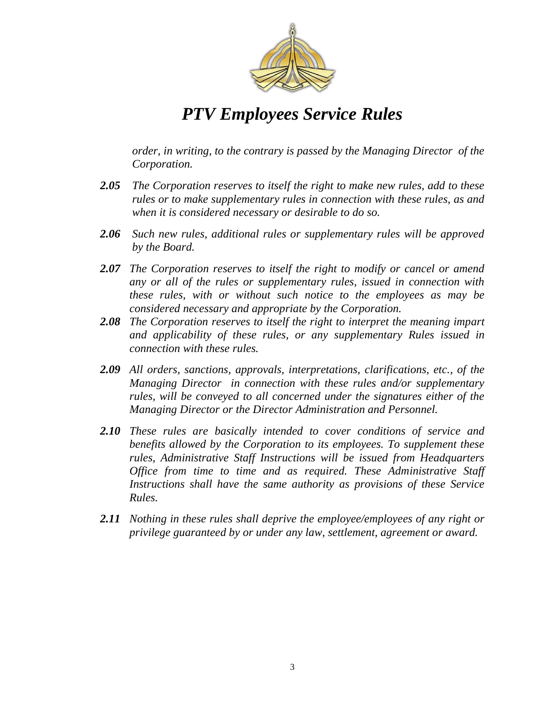

*order, in writing, to the contrary is passed by the Managing Director of the Corporation.* 

- *2.05 The Corporation reserves to itself the right to make new rules, add to these rules or to make supplementary rules in connection with these rules, as and when it is considered necessary or desirable to do so.*
- *2.06 Such new rules, additional rules or supplementary rules will be approved by the Board.*
- *2.07 The Corporation reserves to itself the right to modify or cancel or amend any or all of the rules or supplementary rules, issued in connection with these rules, with or without such notice to the employees as may be considered necessary and appropriate by the Corporation.*
- *2.08 The Corporation reserves to itself the right to interpret the meaning impart and applicability of these rules, or any supplementary Rules issued in connection with these rules.*
- *2.09 All orders, sanctions, approvals, interpretations, clarifications, etc., of the Managing Director in connection with these rules and/or supplementary rules, will be conveyed to all concerned under the signatures either of the Managing Director or the Director Administration and Personnel.*
- *2.10 These rules are basically intended to cover conditions of service and benefits allowed by the Corporation to its employees. To supplement these rules, Administrative Staff Instructions will be issued from Headquarters Office from time to time and as required. These Administrative Staff Instructions shall have the same authority as provisions of these Service Rules.*
- *2.11 Nothing in these rules shall deprive the employee/employees of any right or privilege guaranteed by or under any law, settlement, agreement or award.*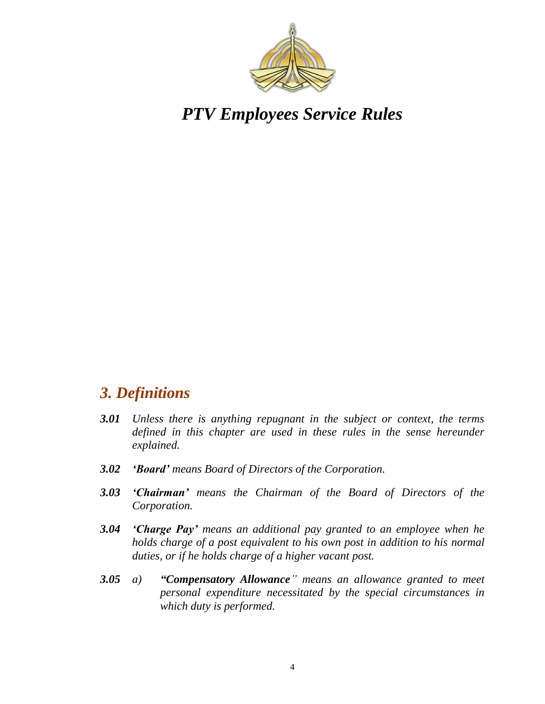

### *3. Definitions*

- *3.01 Unless there is anything repugnant in the subject or context, the terms defined in this chapter are used in these rules in the sense hereunder explained.*
- *3.02 'Board' means Board of Directors of the Corporation.*
- *3.03 'Chairman' means the Chairman of the Board of Directors of the Corporation.*
- *3.04 'Charge Pay' means an additional pay granted to an employee when he holds charge of a post equivalent to his own post in addition to his normal duties, or if he holds charge of a higher vacant post.*
- **3.05** *a*) *"Compensatory Allowance " means an allowance granted to meet personal expenditure necessitated by the special circumstances in which duty is performed.*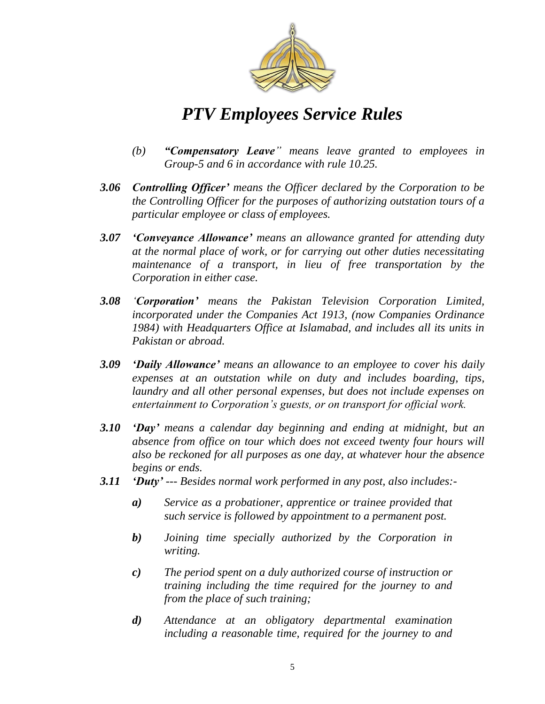

- *(b) "Compensatory Leave‖ means leave granted to employees in Group-5 and 6 in accordance with rule 10.25.*
- *3.06 Controlling Officer' means the Officer declared by the Corporation to be the Controlling Officer for the purposes of authorizing outstation tours of a particular employee or class of employees.*
- *3.07 'Conveyance Allowance' means an allowance granted for attending duty at the normal place of work, or for carrying out other duties necessitating maintenance of a transport, in lieu of free transportation by the Corporation in either case.*
- *3.08 ‗Corporation' means the Pakistan Television Corporation Limited, incorporated under the Companies Act 1913, (now Companies Ordinance 1984) with Headquarters Office at Islamabad, and includes all its units in Pakistan or abroad.*
- *3.09 'Daily Allowance' means an allowance to an employee to cover his daily expenses at an outstation while on duty and includes boarding, tips, laundry and all other personal expenses, but does not include expenses on entertainment to Corporation's guests, or on transport for official work.*
- *3.10 'Day' means a calendar day beginning and ending at midnight, but an absence from office on tour which does not exceed twenty four hours will also be reckoned for all purposes as one day, at whatever hour the absence begins or ends.*
- *3.11 'Duty' --- Besides normal work performed in any post, also includes:*
	- *a) Service as a probationer, apprentice or trainee provided that such service is followed by appointment to a permanent post.*
	- *b) Joining time specially authorized by the Corporation in writing.*
	- *c) The period spent on a duly authorized course of instruction or training including the time required for the journey to and from the place of such training;*
	- *d) Attendance at an obligatory departmental examination including a reasonable time, required for the journey to and*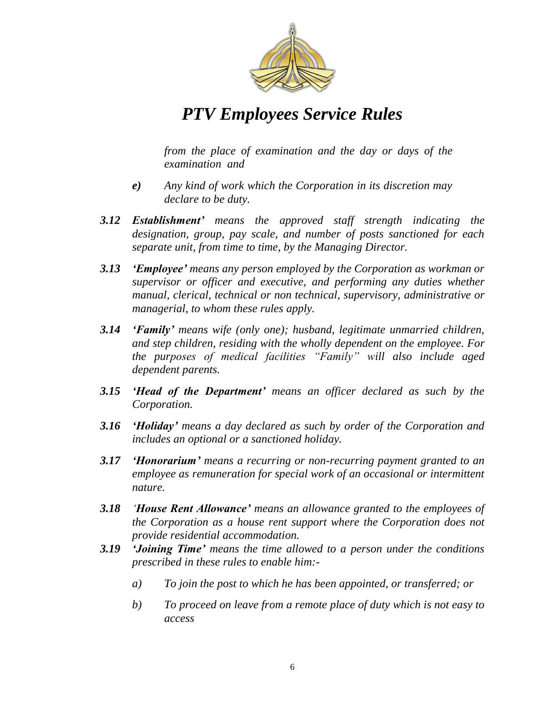

*from the place of examination and the day or days of the examination and* 

- *e) Any kind of work which the Corporation in its discretion may declare to be duty.*
- *3.12 Establishment' means the approved staff strength indicating the designation, group, pay scale, and number of posts sanctioned for each separate unit, from time to time, by the Managing Director.*
- *3.13 'Employee' means any person employed by the Corporation as workman or supervisor or officer and executive, and performing any duties whether manual, clerical, technical or non technical, supervisory, administrative or managerial, to whom these rules apply.*
- *3.14 'Family' means wife (only one); husband, legitimate unmarried children, and step children, residing with the wholly dependent on the employee. For the purposes of medical facilities ―Family‖ will also include aged dependent parents.*
- *3.15 'Head of the Department' means an officer declared as such by the Corporation.*
- *3.16 'Holiday' means a day declared as such by order of the Corporation and includes an optional or a sanctioned holiday.*
- *3.17 'Honorarium' means a recurring or non-recurring payment granted to an employee as remuneration for special work of an occasional or intermittent nature.*
- *3.18 ‗House Rent Allowance' means an allowance granted to the employees of the Corporation as a house rent support where the Corporation does not provide residential accommodation.*
- *3.19 'Joining Time' means the time allowed to a person under the conditions prescribed in these rules to enable him:*
	- *a) To join the post to which he has been appointed, or transferred; or*
	- *b) To proceed on leave from a remote place of duty which is not easy to access*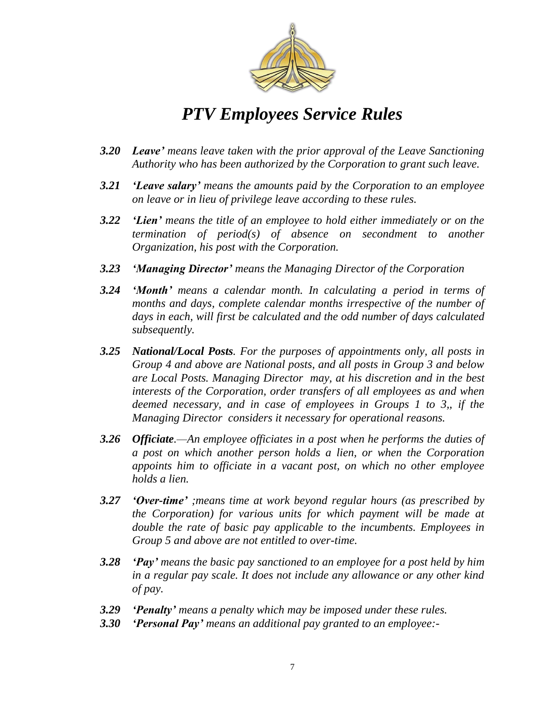

- *3.20 Leave' means leave taken with the prior approval of the Leave Sanctioning Authority who has been authorized by the Corporation to grant such leave.*
- *3.21 'Leave salary' means the amounts paid by the Corporation to an employee on leave or in lieu of privilege leave according to these rules.*
- *3.22 'Lien' means the title of an employee to hold either immediately or on the termination of period(s) of absence on secondment to another Organization, his post with the Corporation.*
- *3.23 'Managing Director' means the Managing Director of the Corporation*
- *3.24 'Month' means a calendar month. In calculating a period in terms of months and days, complete calendar months irrespective of the number of days in each, will first be calculated and the odd number of days calculated subsequently.*
- *3.25 National/Local Posts. For the purposes of appointments only, all posts in Group 4 and above are National posts, and all posts in Group 3 and below are Local Posts. Managing Director may, at his discretion and in the best interests of the Corporation, order transfers of all employees as and when deemed necessary, and in case of employees in Groups 1 to 3,, if the Managing Director considers it necessary for operational reasons.*
- *3.26 Officiate.—An employee officiates in a post when he performs the duties of a post on which another person holds a lien, or when the Corporation appoints him to officiate in a vacant post, on which no other employee holds a lien.*
- *3.27 'Over-time' ;means time at work beyond regular hours (as prescribed by the Corporation) for various units for which payment will be made at double the rate of basic pay applicable to the incumbents. Employees in Group 5 and above are not entitled to over-time.*
- *3.28 'Pay' means the basic pay sanctioned to an employee for a post held by him in a regular pay scale. It does not include any allowance or any other kind of pay.*
- *3.29 'Penalty' means a penalty which may be imposed under these rules.*
- *3.30 'Personal Pay' means an additional pay granted to an employee:-*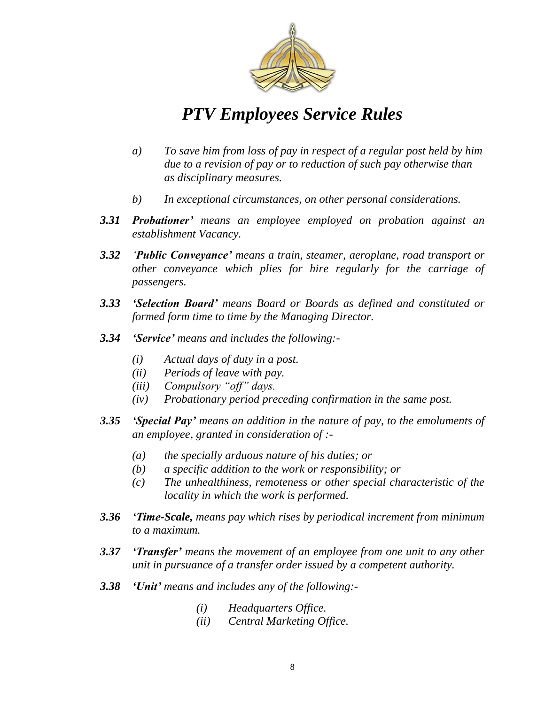

- *a) To save him from loss of pay in respect of a regular post held by him due to a revision of pay or to reduction of such pay otherwise than as disciplinary measures.*
- *b) In exceptional circumstances, on other personal considerations.*
- *3.31 Probationer' means an employee employed on probation against an establishment Vacancy.*
- *3.32 ‗Public Conveyance' means a train, steamer, aeroplane, road transport or other conveyance which plies for hire regularly for the carriage of passengers.*
- *3.33 'Selection Board' means Board or Boards as defined and constituted or formed form time to time by the Managing Director.*
- *3.34 'Service' means and includes the following:-*
	- *(i) Actual days of duty in a post.*
	- *(ii) Periods of leave with pay.*
	- *(iii) Compulsory "off" days.*
	- *(iv) Probationary period preceding confirmation in the same post.*
- *3.35 'Special Pay' means an addition in the nature of pay, to the emoluments of an employee, granted in consideration of :-*
	- *(a) the specially arduous nature of his duties; or*
	- *(b) a specific addition to the work or responsibility; or*
	- *(c) The unhealthiness, remoteness or other special characteristic of the locality in which the work is performed.*
- *3.36 'Time-Scale, means pay which rises by periodical increment from minimum to a maximum.*
- *3.37 'Transfer' means the movement of an employee from one unit to any other unit in pursuance of a transfer order issued by a competent authority.*
- *3.38 'Unit' means and includes any of the following:-*
	- *(i) Headquarters Office.*
	- *(ii) Central Marketing Office.*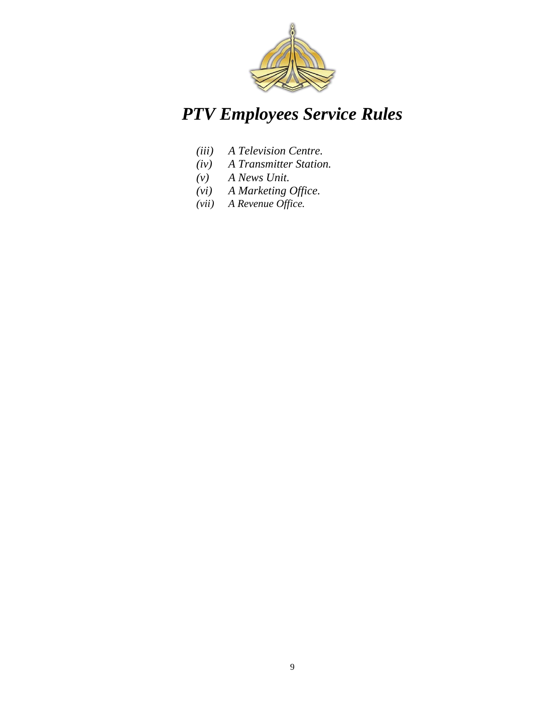

- *(iii) A Television Centre.*
- *(iv) A Transmitter Station.*
- *(v) A News Unit.*
- *(vi) A Marketing Office.*
- *(vii) A Revenue Office.*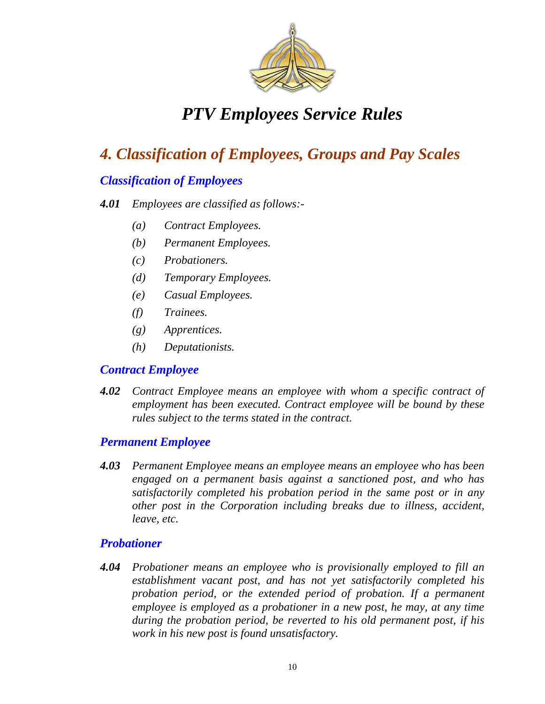

## *4. Classification of Employees, Groups and Pay Scales*

#### *Classification of Employees*

#### *4.01 Employees are classified as follows:-*

- *(a) Contract Employees.*
- *(b) Permanent Employees.*
- *(c) Probationers.*
- *(d) Temporary Employees.*
- *(e) Casual Employees.*
- *(f) Trainees.*
- *(g) Apprentices.*
- *(h) Deputationists.*

#### *Contract Employee*

*4.02 Contract Employee means an employee with whom a specific contract of employment has been executed. Contract employee will be bound by these rules subject to the terms stated in the contract.* 

#### *Permanent Employee*

*4.03 Permanent Employee means an employee means an employee who has been engaged on a permanent basis against a sanctioned post, and who has satisfactorily completed his probation period in the same post or in any other post in the Corporation including breaks due to illness, accident, leave, etc.* 

#### *Probationer*

*4.04 Probationer means an employee who is provisionally employed to fill an establishment vacant post, and has not yet satisfactorily completed his probation period, or the extended period of probation. If a permanent employee is employed as a probationer in a new post, he may, at any time during the probation period, be reverted to his old permanent post, if his work in his new post is found unsatisfactory.*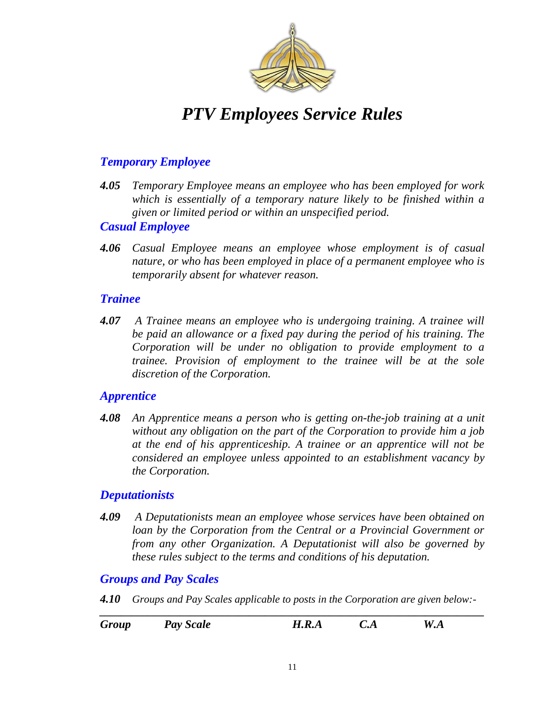

#### *Temporary Employee*

*4.05 Temporary Employee means an employee who has been employed for work which is essentially of a temporary nature likely to be finished within a given or limited period or within an unspecified period.* 

#### *Casual Employee*

*4.06 Casual Employee means an employee whose employment is of casual nature, or who has been employed in place of a permanent employee who is temporarily absent for whatever reason.* 

#### *Trainee*

*4.07 A Trainee means an employee who is undergoing training. A trainee will be paid an allowance or a fixed pay during the period of his training. The Corporation will be under no obligation to provide employment to a trainee. Provision of employment to the trainee will be at the sole discretion of the Corporation.*

#### *Apprentice*

*4.08 An Apprentice means a person who is getting on-the-job training at a unit without any obligation on the part of the Corporation to provide him a job at the end of his apprenticeship. A trainee or an apprentice will not be considered an employee unless appointed to an establishment vacancy by the Corporation.*

#### *Deputationists*

*4.09 A Deputationists mean an employee whose services have been obtained on loan by the Corporation from the Central or a Provincial Government or from any other Organization. A Deputationist will also be governed by these rules subject to the terms and conditions of his deputation.* 

#### *Groups and Pay Scales*

*4.10 Groups and Pay Scales applicable to posts in the Corporation are given below:-*

| Group | <b>Pay Scale</b> | H.R.A | C.A | W.A |
|-------|------------------|-------|-----|-----|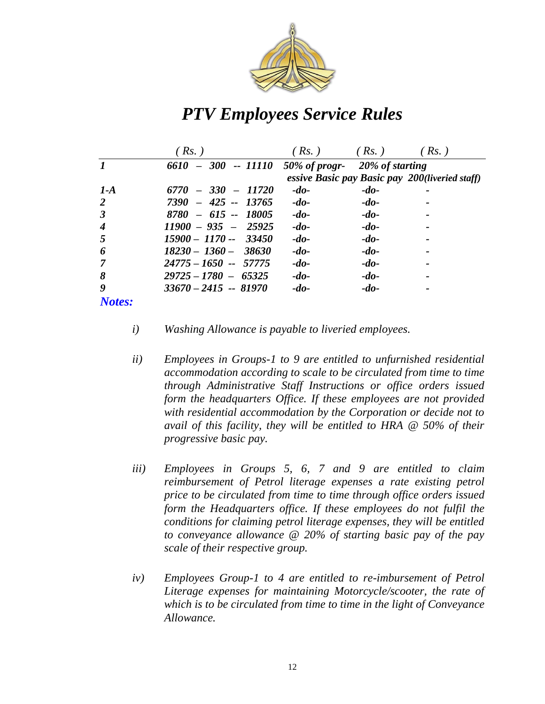

|                      | $RS.$ )                | (Rs.)                         | (Rs.)  | (Rs.)                                          |
|----------------------|------------------------|-------------------------------|--------|------------------------------------------------|
|                      | 6610<br>$-300 -11110$  | 50% of progr- 20% of starting |        |                                                |
|                      |                        |                               |        | essive Basic pay Basic pay 200(liveried staff) |
| $1-A$                | 6770<br>$-330 - 11720$ | $-do-$                        | $-do-$ |                                                |
| 2                    | $7390 - 425 - 13765$   | $-do-$                        | $-do-$ |                                                |
| $\boldsymbol{\beta}$ | $8780 - 615 - 18005$   | $-do-$                        | $-do-$ |                                                |
| $\boldsymbol{4}$     | $11900 - 935 - 25925$  | $-do-$                        | $-do-$ |                                                |
| 5                    | $15900 - 1170 - 33450$ | $-do-$                        | $-do-$ |                                                |
| 6                    | $18230 - 1360 - 38630$ | $-do-$                        | $-do-$ |                                                |
|                      | $24775 - 1650 - 57775$ | $-do-$                        | $-do-$ |                                                |
| 8                    | $29725 - 1780 - 65325$ | $-do-$                        | $-do-$ |                                                |
| 9                    | $33670 - 2415 - 81970$ | $-do-$                        | $-do-$ |                                                |
| Notes:               |                        |                               |        |                                                |

- *i) Washing Allowance is payable to liveried employees.*
- *ii) Employees in Groups-1 to 9 are entitled to unfurnished residential accommodation according to scale to be circulated from time to time through Administrative Staff Instructions or office orders issued form the headquarters Office. If these employees are not provided with residential accommodation by the Corporation or decide not to avail of this facility, they will be entitled to HRA @ 50% of their progressive basic pay.*
- *iii) Employees in Groups 5, 6, 7 and 9 are entitled to claim reimbursement of Petrol literage expenses a rate existing petrol price to be circulated from time to time through office orders issued form the Headquarters office. If these employees do not fulfil the conditions for claiming petrol literage expenses, they will be entitled to conveyance allowance @ 20% of starting basic pay of the pay scale of their respective group.*
- *iv) Employees Group-1 to 4 are entitled to re-imbursement of Petrol Literage expenses for maintaining Motorcycle/scooter, the rate of which is to be circulated from time to time in the light of Conveyance Allowance.*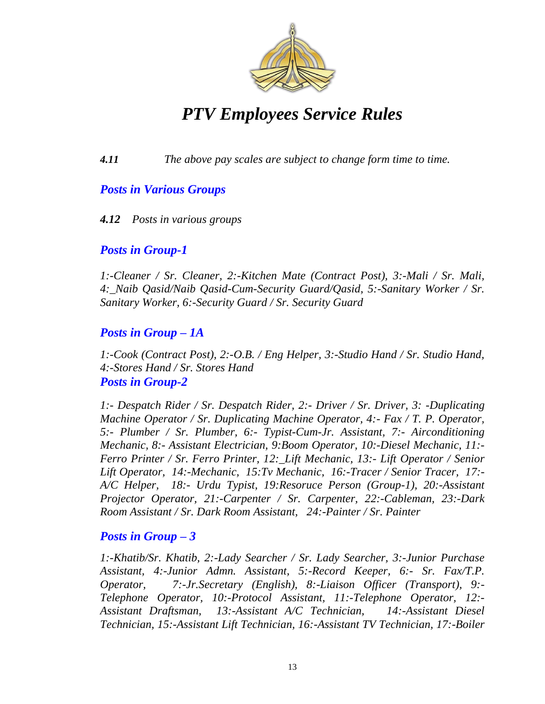

*4.11 The above pay scales are subject to change form time to time.*

#### *Posts in Various Groups*

#### *4.12 Posts in various groups*

#### *Posts in Group-1*

*1:-Cleaner / Sr. Cleaner, 2:-Kitchen Mate (Contract Post), 3:-Mali / Sr. Mali, 4:\_Naib Qasid/Naib Qasid-Cum-Security Guard/Qasid, 5:-Sanitary Worker / Sr. Sanitary Worker, 6:-Security Guard / Sr. Security Guard* 

#### *Posts in Group – 1A*

*1:-Cook (Contract Post), 2:-O.B. / Eng Helper, 3:-Studio Hand / Sr. Studio Hand, 4:-Stores Hand / Sr. Stores Hand Posts in Group-2*

*1:- Despatch Rider / Sr. Despatch Rider, 2:- Driver / Sr. Driver, 3: -Duplicating Machine Operator / Sr. Duplicating Machine Operator, 4:- Fax / T. P. Operator, 5:- Plumber / Sr. Plumber, 6:- Typist-Cum-Jr. Assistant, 7:- Airconditioning Mechanic, 8:- Assistant Electrician, 9:Boom Operator, 10:-Diesel Mechanic, 11:- Ferro Printer / Sr. Ferro Printer, 12:\_Lift Mechanic, 13:- Lift Operator / Senior Lift Operator, 14:-Mechanic, 15:Tv Mechanic, 16:-Tracer / Senior Tracer, 17:- A/C Helper, 18:- Urdu Typist, 19:Resoruce Person (Group-1), 20:-Assistant Projector Operator, 21:-Carpenter / Sr. Carpenter, 22:-Cableman, 23:-Dark Room Assistant / Sr. Dark Room Assistant, 24:-Painter / Sr. Painter*

#### *Posts in Group – 3*

*1:-Khatib/Sr. Khatib, 2:-Lady Searcher / Sr. Lady Searcher, 3:-Junior Purchase Assistant, 4:-Junior Admn. Assistant, 5:-Record Keeper, 6:- Sr. Fax/T.P. Operator, 7:-Jr.Secretary (English), 8:-Liaison Officer (Transport), 9:- Telephone Operator, 10:-Protocol Assistant, 11:-Telephone Operator, 12:- Assistant Draftsman, 13:-Assistant A/C Technician, 14:-Assistant Diesel Technician, 15:-Assistant Lift Technician, 16:-Assistant TV Technician, 17:-Boiler*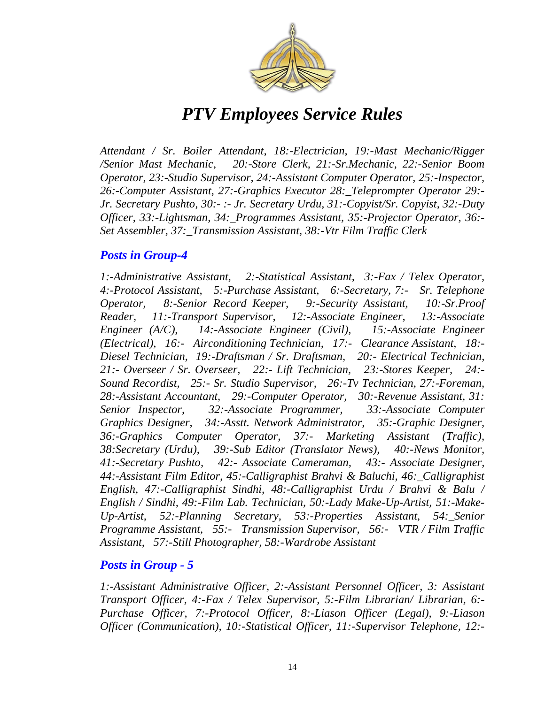

*Attendant / Sr. Boiler Attendant, 18:-Electrician, 19:-Mast Mechanic/Rigger /Senior Mast Mechanic, 20:-Store Clerk, 21:-Sr.Mechanic, 22:-Senior Boom Operator, 23:-Studio Supervisor, 24:-Assistant Computer Operator, 25:-Inspector, 26:-Computer Assistant, 27:-Graphics Executor 28:\_Teleprompter Operator 29:- Jr. Secretary Pushto, 30:- :- Jr. Secretary Urdu, 31:-Copyist/Sr. Copyist, 32:-Duty Officer, 33:-Lightsman, 34:\_Programmes Assistant, 35:-Projector Operator, 36:- Set Assembler, 37:\_Transmission Assistant, 38:-Vtr Film Traffic Clerk*

#### *Posts in Group-4*

*1:-Administrative Assistant, 2:-Statistical Assistant, 3:-Fax / Telex Operator, 4:-Protocol Assistant, 5:-Purchase Assistant, 6:-Secretary, 7:- Sr. Telephone Operator, 8:-Senior Record Keeper, 9:-Security Assistant, 10:-Sr.Proof Reader, 11:-Transport Supervisor, 12:-Associate Engineer, 13:-Associate Engineer (A/C), 14:-Associate Engineer (Civil), 15:-Associate Engineer (Electrical), 16:- Airconditioning Technician, 17:- Clearance Assistant, 18:- Diesel Technician, 19:-Draftsman / Sr. Draftsman, 20:- Electrical Technician, 21:- Overseer / Sr. Overseer, 22:- Lift Technician, 23:-Stores Keeper, 24:- Sound Recordist, 25:- Sr. Studio Supervisor, 26:-Tv Technician, 27:-Foreman, 28:-Assistant Accountant, 29:-Computer Operator, 30:-Revenue Assistant, 31: Senior Inspector, 32:-Associate Programmer, 33:-Associate Computer Graphics Designer, 34:-Asstt. Network Administrator, 35:-Graphic Designer, 36:-Graphics Computer Operator, 37:- Marketing Assistant (Traffic), 38:Secretary (Urdu), 39:-Sub Editor (Translator News), 40:-News Monitor, 41:-Secretary Pushto, 42:- Associate Cameraman, 43:- Associate Designer, 44:-Assistant Film Editor, 45:-Calligraphist Brahvi & Baluchi, 46:\_Calligraphist English, 47:-Calligraphist Sindhi, 48:-Calligraphist Urdu / Brahvi & Balu / English / Sindhi, 49:-Film Lab. Technician, 50:-Lady Make-Up-Artist, 51:-Make-Up-Artist, 52:-Planning Secretary, 53:-Properties Assistant, 54:\_Senior Programme Assistant, 55:- Transmission Supervisor, 56:- VTR / Film Traffic Assistant, 57:-Still Photographer, 58:-Wardrobe Assistant* 

#### *Posts in Group - 5*

*1:-Assistant Administrative Officer, 2:-Assistant Personnel Officer, 3: Assistant Transport Officer, 4:-Fax / Telex Supervisor, 5:-Film Librarian/ Librarian, 6:- Purchase Officer, 7:-Protocol Officer, 8:-Liason Officer (Legal), 9:-Liason Officer (Communication), 10:-Statistical Officer, 11:-Supervisor Telephone, 12:-*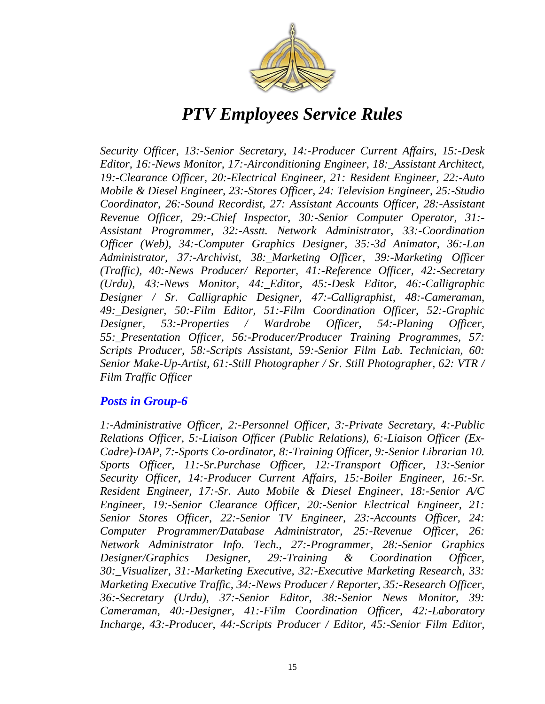

*Security Officer, 13:-Senior Secretary, 14:-Producer Current Affairs, 15:-Desk Editor, 16:-News Monitor, 17:-Airconditioning Engineer, 18:\_Assistant Architect, 19:-Clearance Officer, 20:-Electrical Engineer, 21: Resident Engineer, 22:-Auto Mobile & Diesel Engineer, 23:-Stores Officer, 24: Television Engineer, 25:-Studio Coordinator, 26:-Sound Recordist, 27: Assistant Accounts Officer, 28:-Assistant Revenue Officer, 29:-Chief Inspector, 30:-Senior Computer Operator, 31:- Assistant Programmer, 32:-Asstt. Network Administrator, 33:-Coordination Officer (Web), 34:-Computer Graphics Designer, 35:-3d Animator, 36:-Lan Administrator, 37:-Archivist, 38:\_Marketing Officer, 39:-Marketing Officer (Traffic), 40:-News Producer/ Reporter, 41:-Reference Officer, 42:-Secretary (Urdu), 43:-News Monitor, 44:\_Editor, 45:-Desk Editor, 46:-Calligraphic Designer / Sr. Calligraphic Designer, 47:-Calligraphist, 48:-Cameraman, 49:\_Designer, 50:-Film Editor, 51:-Film Coordination Officer, 52:-Graphic Designer, 53:-Properties / Wardrobe Officer, 54:-Planing Officer, 55:\_Presentation Officer, 56:-Producer/Producer Training Programmes, 57: Scripts Producer, 58:-Scripts Assistant, 59:-Senior Film Lab. Technician, 60: Senior Make-Up-Artist, 61:-Still Photographer / Sr. Still Photographer, 62: VTR / Film Traffic Officer*

#### *Posts in Group-6*

*1:-Administrative Officer, 2:-Personnel Officer, 3:-Private Secretary, 4:-Public Relations Officer, 5:-Liaison Officer (Public Relations), 6:-Liaison Officer (Ex-Cadre)-DAP, 7:-Sports Co-ordinator, 8:-Training Officer, 9:-Senior Librarian 10. Sports Officer, 11:-Sr.Purchase Officer, 12:-Transport Officer, 13:-Senior Security Officer, 14:-Producer Current Affairs, 15:-Boiler Engineer, 16:-Sr. Resident Engineer, 17:-Sr. Auto Mobile & Diesel Engineer, 18:-Senior A/C Engineer, 19:-Senior Clearance Officer, 20:-Senior Electrical Engineer, 21: Senior Stores Officer, 22:-Senior TV Engineer, 23:-Accounts Officer, 24: Computer Programmer/Database Administrator, 25:-Revenue Officer, 26: Network Administrator Info. Tech., 27:-Programmer, 28:-Senior Graphics Designer/Graphics Designer, 29:-Training & Coordination Officer, 30:\_Visualizer, 31:-Marketing Executive, 32:-Executive Marketing Research, 33: Marketing Executive Traffic, 34:-News Producer / Reporter, 35:-Research Officer, 36:-Secretary (Urdu), 37:-Senior Editor, 38:-Senior News Monitor, 39: Cameraman, 40:-Designer, 41:-Film Coordination Officer, 42:-Laboratory Incharge, 43:-Producer, 44:-Scripts Producer / Editor, 45:-Senior Film Editor,*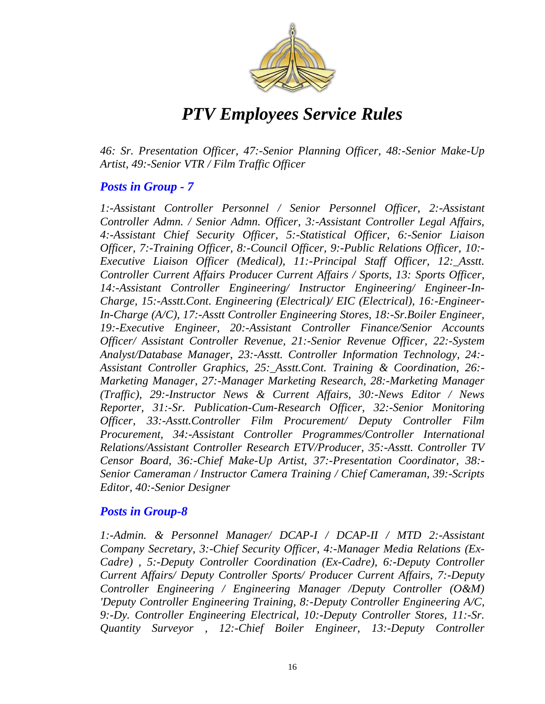

*46: Sr. Presentation Officer, 47:-Senior Planning Officer, 48:-Senior Make-Up Artist, 49:-Senior VTR / Film Traffic Officer*

#### *Posts in Group - 7*

*1:-Assistant Controller Personnel / Senior Personnel Officer, 2:-Assistant Controller Admn. / Senior Admn. Officer, 3:-Assistant Controller Legal Affairs, 4:-Assistant Chief Security Officer, 5:-Statistical Officer, 6:-Senior Liaison Officer, 7:-Training Officer, 8:-Council Officer, 9:-Public Relations Officer, 10:- Executive Liaison Officer (Medical), 11:-Principal Staff Officer, 12:\_Asstt. Controller Current Affairs Producer Current Affairs / Sports, 13: Sports Officer, 14:-Assistant Controller Engineering/ Instructor Engineering/ Engineer-In-Charge, 15:-Asstt.Cont. Engineering (Electrical)/ EIC (Electrical), 16:-Engineer-In-Charge (A/C), 17:-Asstt Controller Engineering Stores, 18:-Sr.Boiler Engineer, 19:-Executive Engineer, 20:-Assistant Controller Finance/Senior Accounts Officer/ Assistant Controller Revenue, 21:-Senior Revenue Officer, 22:-System Analyst/Database Manager, 23:-Asstt. Controller Information Technology, 24:- Assistant Controller Graphics, 25:\_Asstt.Cont. Training & Coordination, 26:- Marketing Manager, 27:-Manager Marketing Research, 28:-Marketing Manager (Traffic), 29:-Instructor News & Current Affairs, 30:-News Editor / News Reporter, 31:-Sr. Publication-Cum-Research Officer, 32:-Senior Monitoring Officer, 33:-Asstt.Controller Film Procurement/ Deputy Controller Film Procurement, 34:-Assistant Controller Programmes/Controller International Relations/Assistant Controller Research ETV/Producer, 35:-Asstt. Controller TV Censor Board, 36:-Chief Make-Up Artist, 37:-Presentation Coordinator, 38:- Senior Cameraman / Instructor Camera Training / Chief Cameraman, 39:-Scripts Editor, 40:-Senior Designer* 

#### *Posts in Group-8*

*1:-Admin. & Personnel Manager/ DCAP-I / DCAP-II / MTD 2:-Assistant Company Secretary, 3:-Chief Security Officer, 4:-Manager Media Relations (Ex-Cadre) , 5:-Deputy Controller Coordination (Ex-Cadre), 6:-Deputy Controller Current Affairs/ Deputy Controller Sports/ Producer Current Affairs, 7:-Deputy Controller Engineering / Engineering Manager /Deputy Controller (O&M) 'Deputy Controller Engineering Training, 8:-Deputy Controller Engineering A/C, 9:-Dy. Controller Engineering Electrical, 10:-Deputy Controller Stores, 11:-Sr. Quantity Surveyor , 12:-Chief Boiler Engineer, 13:-Deputy Controller*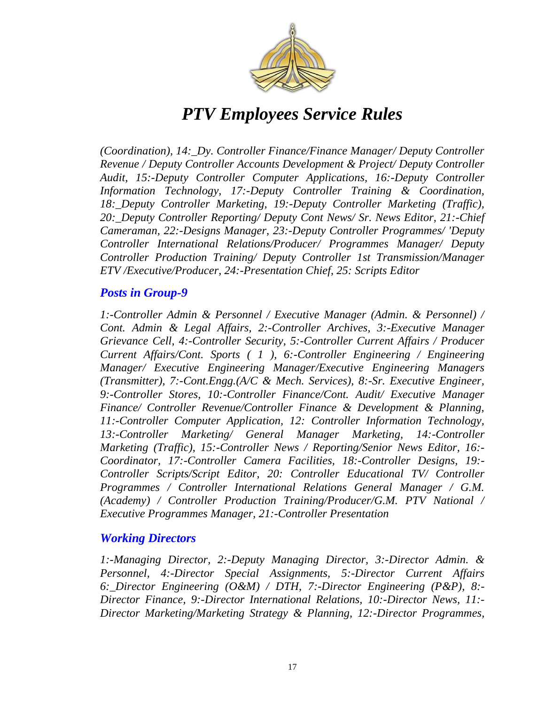

*(Coordination), 14:\_Dy. Controller Finance/Finance Manager/ Deputy Controller Revenue / Deputy Controller Accounts Development & Project/ Deputy Controller Audit, 15:-Deputy Controller Computer Applications, 16:-Deputy Controller Information Technology, 17:-Deputy Controller Training & Coordination, 18:\_Deputy Controller Marketing, 19:-Deputy Controller Marketing (Traffic), 20:\_Deputy Controller Reporting/ Deputy Cont News/ Sr. News Editor, 21:-Chief Cameraman, 22:-Designs Manager, 23:-Deputy Controller Programmes/ 'Deputy Controller International Relations/Producer/ Programmes Manager/ Deputy Controller Production Training/ Deputy Controller 1st Transmission/Manager ETV /Executive/Producer, 24:-Presentation Chief, 25: Scripts Editor*

#### *Posts in Group-9*

*1:-Controller Admin & Personnel / Executive Manager (Admin. & Personnel) / Cont. Admin & Legal Affairs, 2:-Controller Archives, 3:-Executive Manager Grievance Cell, 4:-Controller Security, 5:-Controller Current Affairs / Producer Current Affairs/Cont. Sports ( 1 ), 6:-Controller Engineering / Engineering Manager/ Executive Engineering Manager/Executive Engineering Managers (Transmitter), 7:-Cont.Engg.(A/C & Mech. Services), 8:-Sr. Executive Engineer, 9:-Controller Stores, 10:-Controller Finance/Cont. Audit/ Executive Manager Finance/ Controller Revenue/Controller Finance & Development & Planning, 11:-Controller Computer Application, 12: Controller Information Technology, 13:-Controller Marketing/ General Manager Marketing, 14:-Controller Marketing (Traffic), 15:-Controller News / Reporting/Senior News Editor, 16:- Coordinator, 17:-Controller Camera Facilities, 18:-Controller Designs, 19:- Controller Scripts/Script Editor, 20: Controller Educational TV/ Controller Programmes / Controller International Relations General Manager / G.M. (Academy) / Controller Production Training/Producer/G.M. PTV National / Executive Programmes Manager, 21:-Controller Presentation* 

#### *Working Directors*

*1:-Managing Director, 2:-Deputy Managing Director, 3:-Director Admin. & Personnel, 4:-Director Special Assignments, 5:-Director Current Affairs 6:\_Director Engineering (O&M) / DTH, 7:-Director Engineering (P&P), 8:- Director Finance, 9:-Director International Relations, 10:-Director News, 11:- Director Marketing/Marketing Strategy & Planning, 12:-Director Programmes,*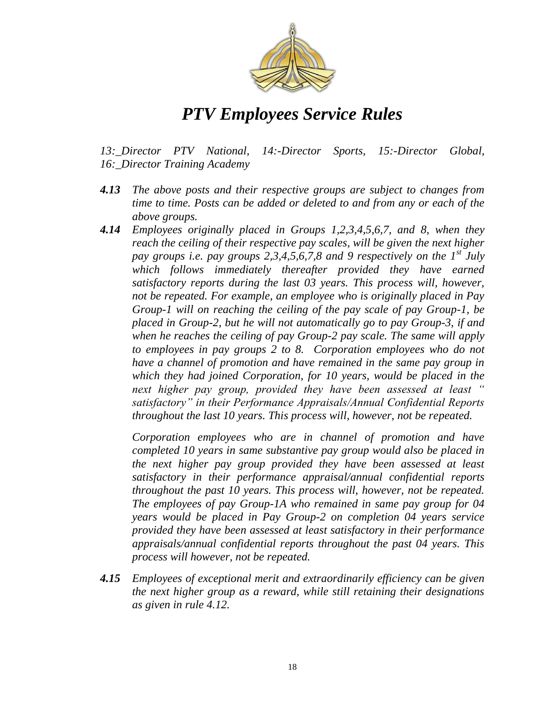

*13:\_Director PTV National, 14:-Director Sports, 15:-Director Global, 16:\_Director Training Academy*

- *4.13 The above posts and their respective groups are subject to changes from time to time. Posts can be added or deleted to and from any or each of the above groups.*
- *4.14 Employees originally placed in Groups 1,2,3,4,5,6,7, and 8, when they reach the ceiling of their respective pay scales, will be given the next higher pay groups i.e. pay groups 2,3,4,5,6,7,8 and 9 respectively on the 1st July which follows immediately thereafter provided they have earned satisfactory reports during the last 03 years. This process will, however, not be repeated. For example, an employee who is originally placed in Pay Group-1 will on reaching the ceiling of the pay scale of pay Group-1, be placed in Group-2, but he will not automatically go to pay Group-3, if and when he reaches the ceiling of pay Group-2 pay scale. The same will apply*  to employees in pay groups 2 to 8. Corporation employees who do not *have a channel of promotion and have remained in the same pay group in which they had joined Corporation, for 10 years, would be placed in the next higher pay group, provided they have been assessed at least* " satisfactory" in their Performance Appraisals/Annual Confidential Reports *throughout the last 10 years. This process will, however, not be repeated.*

*Corporation employees who are in channel of promotion and have completed 10 years in same substantive pay group would also be placed in the next higher pay group provided they have been assessed at least satisfactory in their performance appraisal/annual confidential reports throughout the past 10 years. This process will, however, not be repeated. The employees of pay Group-1A who remained in same pay group for 04 years would be placed in Pay Group-2 on completion 04 years service provided they have been assessed at least satisfactory in their performance appraisals/annual confidential reports throughout the past 04 years. This process will however, not be repeated.* 

*4.15 Employees of exceptional merit and extraordinarily efficiency can be given the next higher group as a reward, while still retaining their designations as given in rule 4.12.*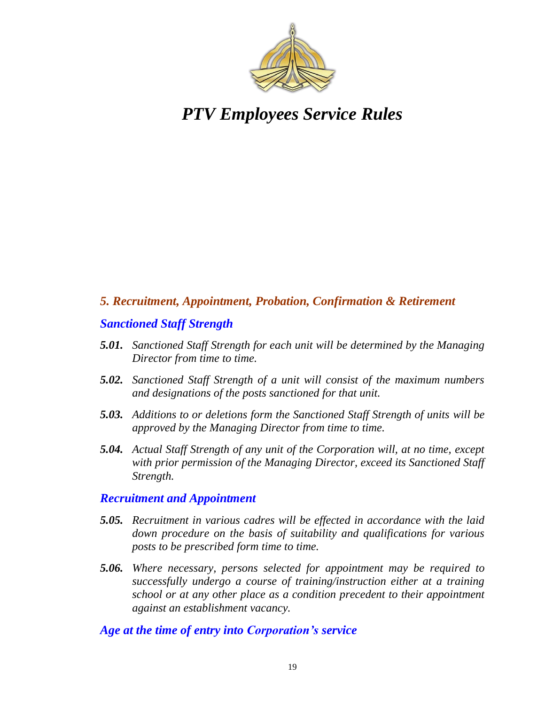

#### *5. Recruitment, Appointment, Probation, Confirmation & Retirement*

#### *Sanctioned Staff Strength*

- *5.01. Sanctioned Staff Strength for each unit will be determined by the Managing Director from time to time.*
- *5.02. Sanctioned Staff Strength of a unit will consist of the maximum numbers and designations of the posts sanctioned for that unit.*
- *5.03. Additions to or deletions form the Sanctioned Staff Strength of units will be approved by the Managing Director from time to time.*
- *5.04. Actual Staff Strength of any unit of the Corporation will, at no time, except with prior permission of the Managing Director, exceed its Sanctioned Staff Strength.*

#### *Recruitment and Appointment*

- *5.05. Recruitment in various cadres will be effected in accordance with the laid down procedure on the basis of suitability and qualifications for various posts to be prescribed form time to time.*
- *5.06. Where necessary, persons selected for appointment may be required to successfully undergo a course of training/instruction either at a training school or at any other place as a condition precedent to their appointment against an establishment vacancy.*

#### *Age at the time of entry into Corporation's service*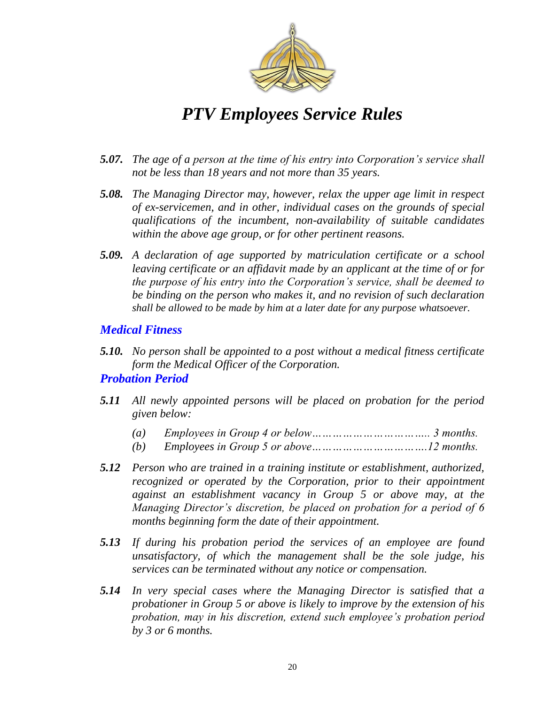

- *5.07. The age of a person at the time of his entry into Corporation's service shall not be less than 18 years and not more than 35 years.*
- *5.08. The Managing Director may, however, relax the upper age limit in respect of ex-servicemen, and in other, individual cases on the grounds of special qualifications of the incumbent, non-availability of suitable candidates within the above age group, or for other pertinent reasons.*
- *5.09. A declaration of age supported by matriculation certificate or a school leaving certificate or an affidavit made by an applicant at the time of or for the purpose of his entry into the Corporation's service, shall be deemed to be binding on the person who makes it, and no revision of such declaration shall be allowed to be made by him at a later date for any purpose whatsoever.*

#### *Medical Fitness*

*5.10. No person shall be appointed to a post without a medical fitness certificate form the Medical Officer of the Corporation.*

#### *Probation Period*

- *5.11 All newly appointed persons will be placed on probation for the period given below:*
	- *(a) Employees in Group 4 or below…………………………….. 3 months.*
	- *(b) Employees in Group 5 or above…………………………….12 months.*
- *5.12 Person who are trained in a training institute or establishment, authorized, recognized or operated by the Corporation, prior to their appointment against an establishment vacancy in Group 5 or above may, at the Managing Director's discretion, be placed on probation for a period of 6 months beginning form the date of their appointment.*
- *5.13 If during his probation period the services of an employee are found unsatisfactory, of which the management shall be the sole judge, his services can be terminated without any notice or compensation.*
- *5.14 In very special cases where the Managing Director is satisfied that a probationer in Group 5 or above is likely to improve by the extension of his probation, may in his discretion, extend such employee's probation period by 3 or 6 months.*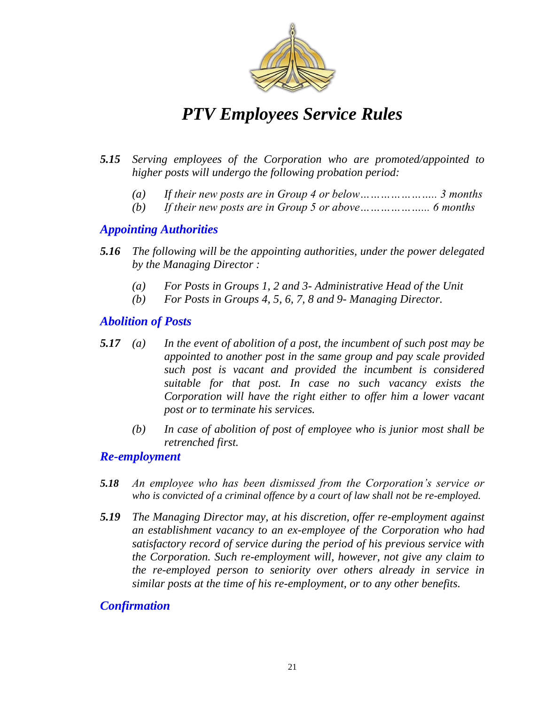

- *5.15 Serving employees of the Corporation who are promoted/appointed to higher posts will undergo the following probation period:*
	- *(a) If their new posts are in Group 4 or below………………….. 3 months*
	- *(b) If their new posts are in Group 5 or above………………... 6 months*

#### *Appointing Authorities*

- *5.16 The following will be the appointing authorities, under the power delegated by the Managing Director :*
	- *(a) For Posts in Groups 1, 2 and 3- Administrative Head of the Unit*
	- *(b) For Posts in Groups 4, 5, 6, 7, 8 and 9- Managing Director.*

#### *Abolition of Posts*

- *5.17 (a) In the event of abolition of a post, the incumbent of such post may be appointed to another post in the same group and pay scale provided such post is vacant and provided the incumbent is considered suitable for that post. In case no such vacancy exists the Corporation will have the right either to offer him a lower vacant post or to terminate his services.* 
	- *(b) In case of abolition of post of employee who is junior most shall be retrenched first.*

#### *Re-employment*

- *5.18 An employee who has been dismissed from the Corporation's service or who is convicted of a criminal offence by a court of law shall not be re-employed.*
- *5.19 The Managing Director may, at his discretion, offer re-employment against an establishment vacancy to an ex-employee of the Corporation who had satisfactory record of service during the period of his previous service with the Corporation. Such re-employment will, however, not give any claim to the re-employed person to seniority over others already in service in similar posts at the time of his re-employment, or to any other benefits.*

#### *Confirmation*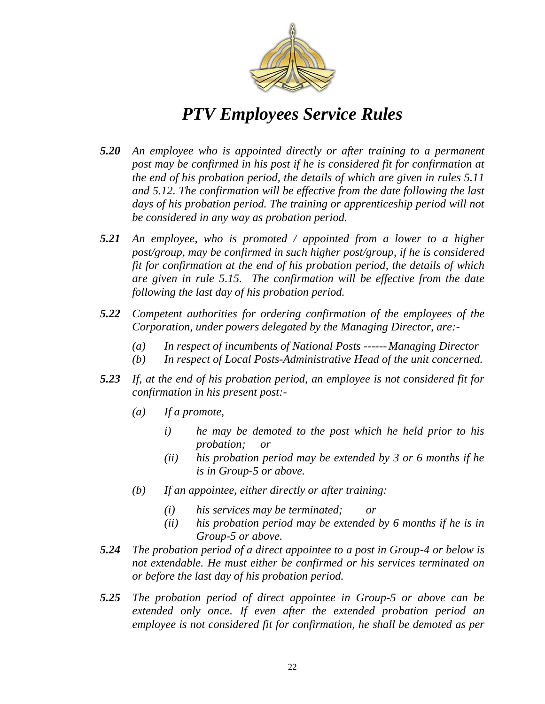

- *5.20 An employee who is appointed directly or after training to a permanent post may be confirmed in his post if he is considered fit for confirmation at the end of his probation period, the details of which are given in rules 5.11 and 5.12. The confirmation will be effective from the date following the last days of his probation period. The training or apprenticeship period will not be considered in any way as probation period.*
- *5.21 An employee, who is promoted / appointed from a lower to a higher post/group, may be confirmed in such higher post/group, if he is considered fit for confirmation at the end of his probation period, the details of which are given in rule 5.15. The confirmation will be effective from the date following the last day of his probation period.*
- *5.22 Competent authorities for ordering confirmation of the employees of the Corporation, under powers delegated by the Managing Director, are:-*
	- *(a) In respect of incumbents of National Posts ------ Managing Director*
	- *(b) In respect of Local Posts-Administrative Head of the unit concerned.*
- *5.23 If, at the end of his probation period, an employee is not considered fit for confirmation in his present post:-*
	- *(a) If a promote,*
		- *i) he may be demoted to the post which he held prior to his probation; or*
		- *(ii) his probation period may be extended by 3 or 6 months if he is in Group-5 or above.*
	- *(b) If an appointee, either directly or after training:*
		- *(i) his services may be terminated; or*
		- *(ii) his probation period may be extended by 6 months if he is in Group-5 or above.*
- *5.24 The probation period of a direct appointee to a post in Group-4 or below is not extendable. He must either be confirmed or his services terminated on or before the last day of his probation period.*
- *5.25 The probation period of direct appointee in Group-5 or above can be extended only once. If even after the extended probation period an employee is not considered fit for confirmation, he shall be demoted as per*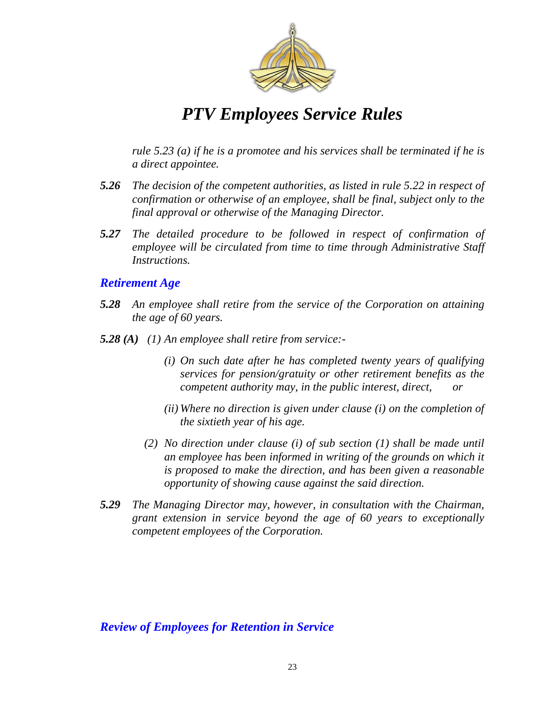

*rule 5.23 (a) if he is a promotee and his services shall be terminated if he is a direct appointee.*

- *5.26 The decision of the competent authorities, as listed in rule 5.22 in respect of confirmation or otherwise of an employee, shall be final, subject only to the final approval or otherwise of the Managing Director.*
- *5.27 The detailed procedure to be followed in respect of confirmation of employee will be circulated from time to time through Administrative Staff Instructions.*

#### *Retirement Age*

- *5.28 An employee shall retire from the service of the Corporation on attaining the age of 60 years.*
- *5.28 (A) (1) An employee shall retire from service:-*
	- *(i) On such date after he has completed twenty years of qualifying services for pension/gratuity or other retirement benefits as the competent authority may, in the public interest, direct,*
	- *(ii) Where no direction is given under clause (i) on the completion of the sixtieth year of his age.*
	- *(2) No direction under clause (i) of sub section (1) shall be made until an employee has been informed in writing of the grounds on which it is proposed to make the direction, and has been given a reasonable opportunity of showing cause against the said direction.*
- *5.29 The Managing Director may, however, in consultation with the Chairman, grant extension in service beyond the age of 60 years to exceptionally competent employees of the Corporation.*

#### *Review of Employees for Retention in Service*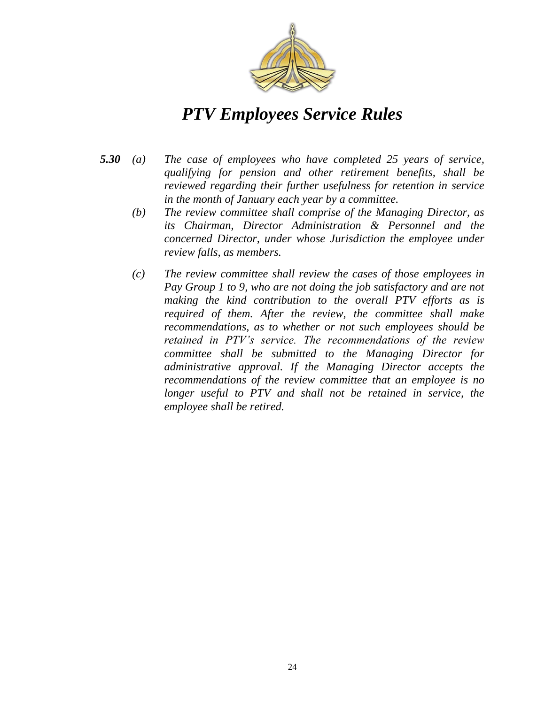

- *5.30 (a) The case of employees who have completed 25 years of service, qualifying for pension and other retirement benefits, shall be reviewed regarding their further usefulness for retention in service in the month of January each year by a committee.*
	- *(b) The review committee shall comprise of the Managing Director, as its Chairman, Director Administration & Personnel and the concerned Director, under whose Jurisdiction the employee under review falls, as members.*
	- *(c) The review committee shall review the cases of those employees in Pay Group 1 to 9, who are not doing the job satisfactory and are not making the kind contribution to the overall PTV efforts as is required of them. After the review, the committee shall make recommendations, as to whether or not such employees should be retained in PTV's service. The recommendations of the review committee shall be submitted to the Managing Director for administrative approval. If the Managing Director accepts the recommendations of the review committee that an employee is no*  longer useful to PTV and shall not be retained in service, the *employee shall be retired.*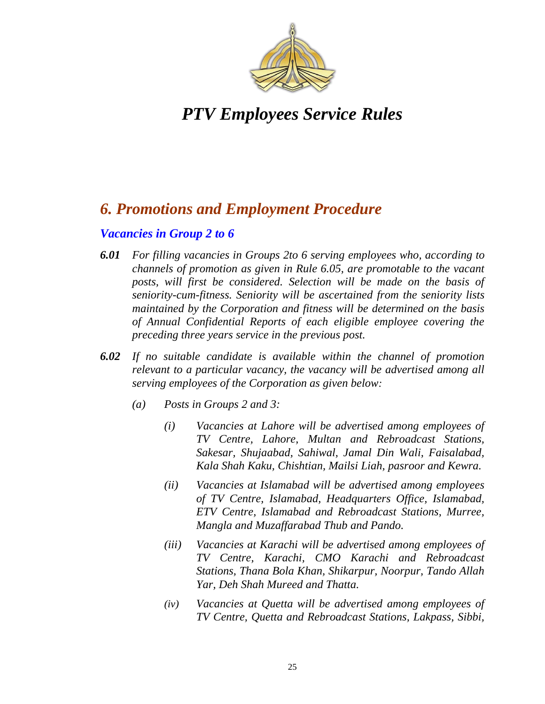

### *6. Promotions and Employment Procedure*

#### *Vacancies in Group 2 to 6*

- *6.01 For filling vacancies in Groups 2to 6 serving employees who, according to channels of promotion as given in Rule 6.05, are promotable to the vacant posts, will first be considered. Selection will be made on the basis of seniority-cum-fitness. Seniority will be ascertained from the seniority lists maintained by the Corporation and fitness will be determined on the basis of Annual Confidential Reports of each eligible employee covering the preceding three years service in the previous post.*
- *6.02 If no suitable candidate is available within the channel of promotion relevant to a particular vacancy, the vacancy will be advertised among all serving employees of the Corporation as given below:*
	- *(a) Posts in Groups 2 and 3:*
		- *(i) Vacancies at Lahore will be advertised among employees of TV Centre, Lahore, Multan and Rebroadcast Stations, Sakesar, Shujaabad, Sahiwal, Jamal Din Wali, Faisalabad, Kala Shah Kaku, Chishtian, Mailsi Liah, pasroor and Kewra.*
		- *(ii) Vacancies at Islamabad will be advertised among employees of TV Centre, Islamabad, Headquarters Office, Islamabad, ETV Centre, Islamabad and Rebroadcast Stations, Murree, Mangla and Muzaffarabad Thub and Pando.*
		- *(iii) Vacancies at Karachi will be advertised among employees of TV Centre, Karachi, CMO Karachi and Rebroadcast Stations, Thana Bola Khan, Shikarpur, Noorpur, Tando Allah Yar, Deh Shah Mureed and Thatta.*
		- *(iv) Vacancies at Quetta will be advertised among employees of TV Centre, Quetta and Rebroadcast Stations, Lakpass, Sibbi,*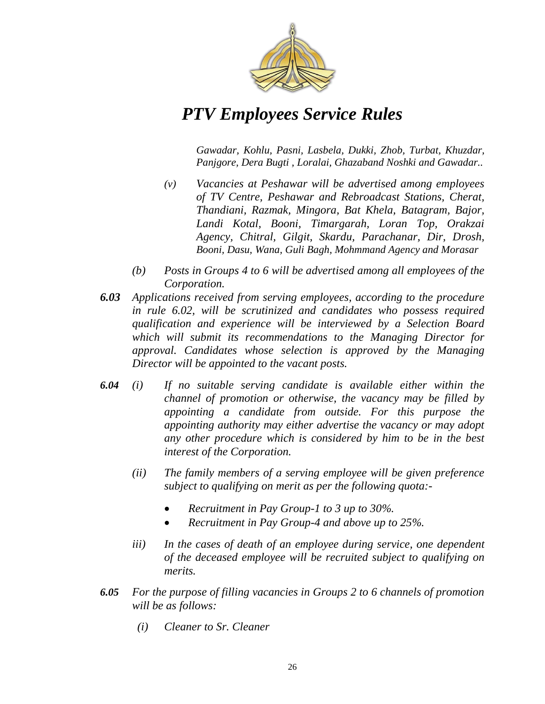

*Gawadar, Kohlu, Pasni, Lasbela, Dukki, Zhob, Turbat, Khuzdar, Panjgore, Dera Bugti , Loralai, Ghazaband Noshki and Gawadar..*

- *(v) Vacancies at Peshawar will be advertised among employees of TV Centre, Peshawar and Rebroadcast Stations, Cherat, Thandiani, Razmak, Mingora, Bat Khela, Batagram, Bajor, Landi Kotal, Booni, Timargarah, Loran Top, Orakzai Agency, Chitral, Gilgit, Skardu, Parachanar, Dir, Drosh, Booni, Dasu, Wana, Guli Bagh, Mohmmand Agency and Morasar*
- *(b) Posts in Groups 4 to 6 will be advertised among all employees of the Corporation.*
- *6.03 Applications received from serving employees, according to the procedure in rule 6.02, will be scrutinized and candidates who possess required qualification and experience will be interviewed by a Selection Board which will submit its recommendations to the Managing Director for approval. Candidates whose selection is approved by the Managing Director will be appointed to the vacant posts.*
- *6.04 (i) If no suitable serving candidate is available either within the channel of promotion or otherwise, the vacancy may be filled by appointing a candidate from outside. For this purpose the appointing authority may either advertise the vacancy or may adopt any other procedure which is considered by him to be in the best interest of the Corporation.*
	- *(ii) The family members of a serving employee will be given preference subject to qualifying on merit as per the following quota:-*
		- *Recruitment in Pay Group-1 to 3 up to 30%.*
		- *Recruitment in Pay Group-4 and above up to 25%.*
	- *iii) In the cases of death of an employee during service, one dependent of the deceased employee will be recruited subject to qualifying on merits.*
- *6.05 For the purpose of filling vacancies in Groups 2 to 6 channels of promotion will be as follows:*
	- *(i) Cleaner to Sr. Cleaner*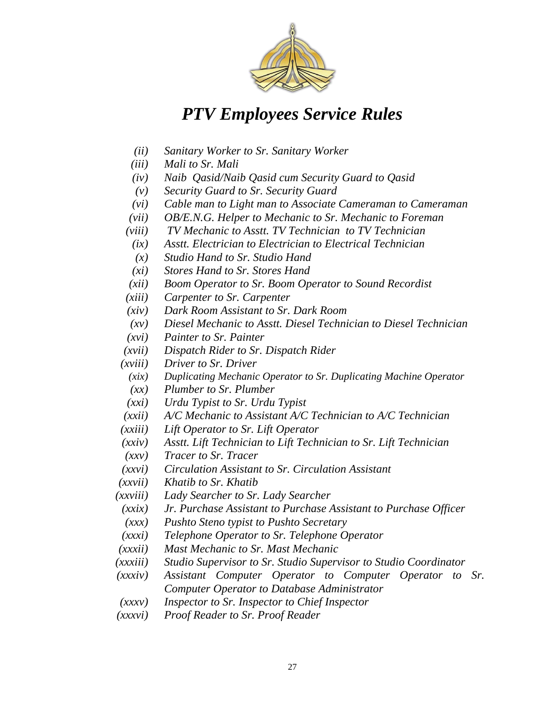

- *(ii) Sanitary Worker to Sr. Sanitary Worker*
- *(iii) Mali to Sr. Mali*
- *(iv) Naib Qasid/Naib Qasid cum Security Guard to Qasid*
- *(v) Security Guard to Sr. Security Guard*
- *(vi) Cable man to Light man to Associate Cameraman to Cameraman*
- *(vii) OB/E.N.G. Helper to Mechanic to Sr. Mechanic to Foreman*
- *(viii) TV Mechanic to Asstt. TV Technician to TV Technician*
- *(ix) Asstt. Electrician to Electrician to Electrical Technician*
- *(x) Studio Hand to Sr. Studio Hand*
- *(xi) Stores Hand to Sr. Stores Hand*
- *(xii) Boom Operator to Sr. Boom Operator to Sound Recordist*
- *(xiii) Carpenter to Sr. Carpenter*
- *(xiv) Dark Room Assistant to Sr. Dark Room*
- *(xv) Diesel Mechanic to Asstt. Diesel Technician to Diesel Technician*
- *(xvi) Painter to Sr. Painter*
- *(xvii) Dispatch Rider to Sr. Dispatch Rider*
- *(xviii) Driver to Sr. Driver*
	- *(xix) Duplicating Mechanic Operator to Sr. Duplicating Machine Operator*
	- *(xx) Plumber to Sr. Plumber*
	- *(xxi) Urdu Typist to Sr. Urdu Typist*
- *(xxii) A/C Mechanic to Assistant A/C Technician to A/C Technician*
- *(xxiii) Lift Operator to Sr. Lift Operator*
- *(xxiv) Asstt. Lift Technician to Lift Technician to Sr. Lift Technician*
- *(xxv) Tracer to Sr. Tracer*
- *(xxvi) Circulation Assistant to Sr. Circulation Assistant*
- *(xxvii) Khatib to Sr. Khatib*
- *(xxviii) Lady Searcher to Sr. Lady Searcher*
- *(xxix) Jr. Purchase Assistant to Purchase Assistant to Purchase Officer*
- *(xxx) Pushto Steno typist to Pushto Secretary*
- *(xxxi) Telephone Operator to Sr. Telephone Operator*
- *(xxxii) Mast Mechanic to Sr. Mast Mechanic*
- *(xxxiii) Studio Supervisor to Sr. Studio Supervisor to Studio Coordinator*
- *(xxxiv) Assistant Computer Operator to Computer Operator to Sr. Computer Operator to Database Administrator*
- *(xxxv) Inspector to Sr. Inspector to Chief Inspector*
- *(xxxvi) Proof Reader to Sr. Proof Reader*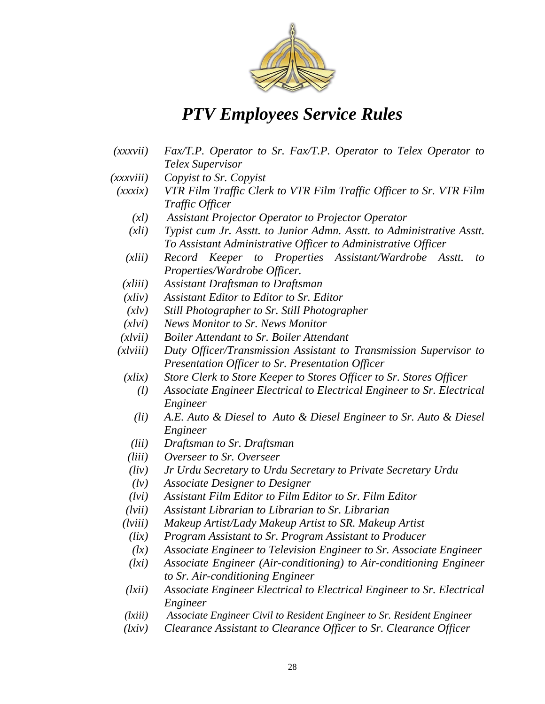

- *(xxxvii) Fax/T.P. Operator to Sr. Fax/T.P. Operator to Telex Operator to Telex Supervisor*
- *(xxxviii) Copyist to Sr. Copyist*
	- *(xxxix) VTR Film Traffic Clerk to VTR Film Traffic Officer to Sr. VTR Film Traffic Officer*
		- *(xl) Assistant Projector Operator to Projector Operator*
		- *(xli) Typist cum Jr. Asstt. to Junior Admn. Asstt. to Administrative Asstt. To Assistant Administrative Officer to Administrative Officer*
		- *(xlii) Record Keeper to Properties Assistant/Wardrobe Asstt. to Properties/Wardrobe Officer.*
		- *(xliii) Assistant Draftsman to Draftsman*
		- *(xliv) Assistant Editor to Editor to Sr. Editor*
		- *(xlv) Still Photographer to Sr. Still Photographer*
		- *(xlvi) News Monitor to Sr. News Monitor*
	- *(xlvii) Boiler Attendant to Sr. Boiler Attendant*
	- *(xlviii) Duty Officer/Transmission Assistant to Transmission Supervisor to Presentation Officer to Sr. Presentation Officer*
		- *(xlix) Store Clerk to Store Keeper to Stores Officer to Sr. Stores Officer*
			- *(l) Associate Engineer Electrical to Electrical Engineer to Sr. Electrical Engineer*
			- *(li) A.E. Auto & Diesel to Auto & Diesel Engineer to Sr. Auto & Diesel Engineer*
			- *(lii) Draftsman to Sr. Draftsman*
		- *(liii) Overseer to Sr. Overseer*
		- *(liv) Jr Urdu Secretary to Urdu Secretary to Private Secretary Urdu*
		- *(lv) Associate Designer to Designer*
		- *(lvi) Assistant Film Editor to Film Editor to Sr. Film Editor*
		- *(lvii) Assistant Librarian to Librarian to Sr. Librarian*
	- *(lviii) Makeup Artist/Lady Makeup Artist to SR. Makeup Artist*
	- *(lix) Program Assistant to Sr. Program Assistant to Producer*
	- *(lx) Associate Engineer to Television Engineer to Sr. Associate Engineer*
	- *(lxi) Associate Engineer (Air-conditioning) to Air-conditioning Engineer to Sr. Air-conditioning Engineer*
	- *(lxii) Associate Engineer Electrical to Electrical Engineer to Sr. Electrical Engineer*
	- *(lxiii) Associate Engineer Civil to Resident Engineer to Sr. Resident Engineer*
	- *(lxiv) Clearance Assistant to Clearance Officer to Sr. Clearance Officer*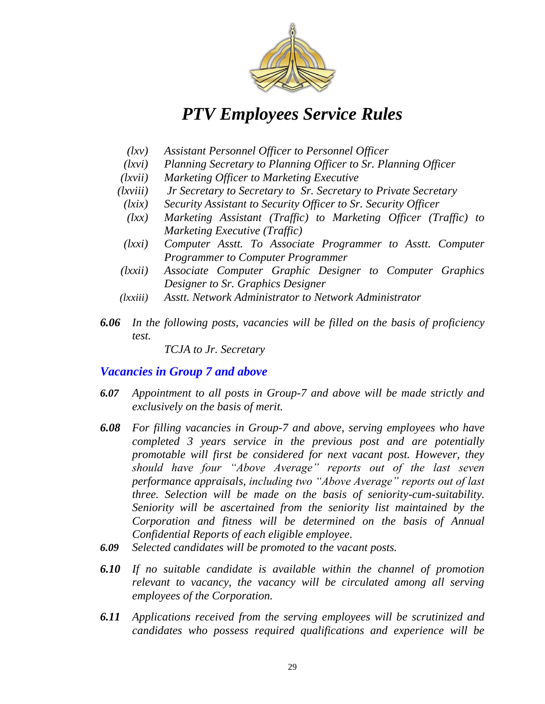

- *(lxv) Assistant Personnel Officer to Personnel Officer*
- *(lxvi) Planning Secretary to Planning Officer to Sr. Planning Officer*
- *(lxvii) Marketing Officer to Marketing Executive*
- *(lxviii) Jr Secretary to Secretary to Sr. Secretary to Private Secretary*
	- *(lxix) Security Assistant to Security Officer to Sr. Security Officer*
	- *(lxx) Marketing Assistant (Traffic) to Marketing Officer (Traffic) to Marketing Executive (Traffic)*
	- *(lxxi) Computer Asstt. To Associate Programmer to Asstt. Computer Programmer to Computer Programmer*
- *(lxxii) Associate Computer Graphic Designer to Computer Graphics Designer to Sr. Graphics Designer*
- *(lxxiii) Asstt. Network Administrator to Network Administrator*
- *6.06 In the following posts, vacancies will be filled on the basis of proficiency test.*

*TCJA to Jr. Secretary*

#### *Vacancies in Group 7 and above*

- *6.07 Appointment to all posts in Group-7 and above will be made strictly and exclusively on the basis of merit.*
- *6.08 For filling vacancies in Group-7 and above, serving employees who have completed 3 years service in the previous post and are potentially promotable will first be considered for next vacant post. However, they*  should have four "Above Average" reports out of the last seven *performance appraisals, including two ―Above Average‖ reports out of last three. Selection will be made on the basis of seniority-cum-suitability. Seniority will be ascertained from the seniority list maintained by the Corporation and fitness will be determined on the basis of Annual Confidential Reports of each eligible employee.*
- *6.09 Selected candidates will be promoted to the vacant posts.*
- *6.10 If no suitable candidate is available within the channel of promotion relevant to vacancy, the vacancy will be circulated among all serving employees of the Corporation.*
- *6.11 Applications received from the serving employees will be scrutinized and candidates who possess required qualifications and experience will be*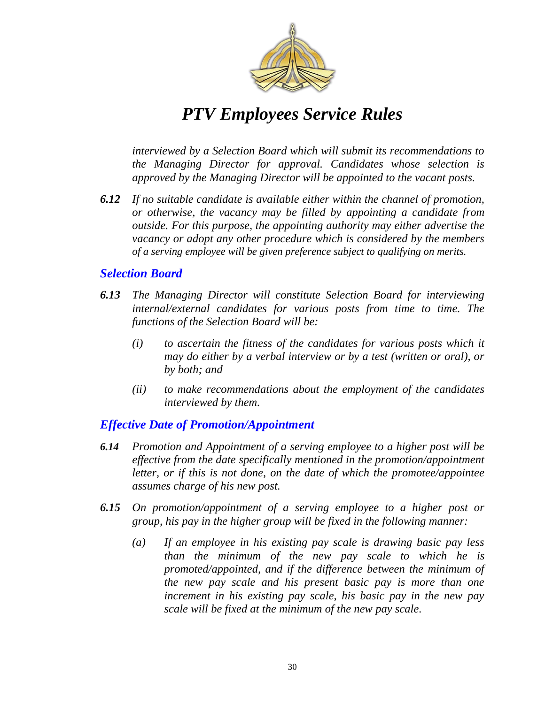

*interviewed by a Selection Board which will submit its recommendations to the Managing Director for approval. Candidates whose selection is approved by the Managing Director will be appointed to the vacant posts.* 

*6.12 If no suitable candidate is available either within the channel of promotion, or otherwise, the vacancy may be filled by appointing a candidate from outside. For this purpose, the appointing authority may either advertise the vacancy or adopt any other procedure which is considered by the members of a serving employee will be given preference subject to qualifying on merits.*

#### *Selection Board*

- *6.13 The Managing Director will constitute Selection Board for interviewing internal/external candidates for various posts from time to time. The functions of the Selection Board will be:*
	- *(i) to ascertain the fitness of the candidates for various posts which it may do either by a verbal interview or by a test (written or oral), or by both; and*
	- *(ii) to make recommendations about the employment of the candidates interviewed by them.*

#### *Effective Date of Promotion/Appointment*

- *6.14 Promotion and Appointment of a serving employee to a higher post will be effective from the date specifically mentioned in the promotion/appointment letter, or if this is not done, on the date of which the promotee/appointee assumes charge of his new post.*
- *6.15 On promotion/appointment of a serving employee to a higher post or group, his pay in the higher group will be fixed in the following manner:*
	- *(a) If an employee in his existing pay scale is drawing basic pay less than the minimum of the new pay scale to which he is promoted/appointed, and if the difference between the minimum of the new pay scale and his present basic pay is more than one increment in his existing pay scale, his basic pay in the new pay scale will be fixed at the minimum of the new pay scale.*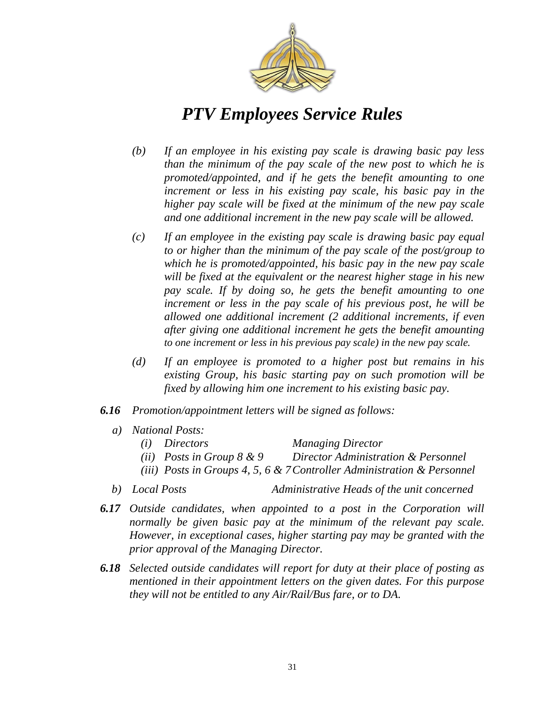

- *(b) If an employee in his existing pay scale is drawing basic pay less than the minimum of the pay scale of the new post to which he is promoted/appointed, and if he gets the benefit amounting to one increment or less in his existing pay scale, his basic pay in the higher pay scale will be fixed at the minimum of the new pay scale and one additional increment in the new pay scale will be allowed.*
- *(c) If an employee in the existing pay scale is drawing basic pay equal to or higher than the minimum of the pay scale of the post/group to which he is promoted/appointed, his basic pay in the new pay scale will be fixed at the equivalent or the nearest higher stage in his new pay scale. If by doing so, he gets the benefit amounting to one increment or less in the pay scale of his previous post, he will be allowed one additional increment (2 additional increments, if even after giving one additional increment he gets the benefit amounting to one increment or less in his previous pay scale) in the new pay scale.*
- *(d) If an employee is promoted to a higher post but remains in his existing Group, his basic starting pay on such promotion will be fixed by allowing him one increment to his existing basic pay.*
- *6.16 Promotion/appointment letters will be signed as follows:*
	- *a) National Posts:*
		- *(i) Directors Managing Director*
		- *(ii) Posts in Group 8 & 9 Director Administration & Personnel*
		- *(iii) Posts in Groups 4, 5, 6 & 7Controller Administration & Personnel*
	- *b) Local Posts Administrative Heads of the unit concerned*
- *6.17 Outside candidates, when appointed to a post in the Corporation will normally be given basic pay at the minimum of the relevant pay scale. However, in exceptional cases, higher starting pay may be granted with the prior approval of the Managing Director.*
- *6.18 Selected outside candidates will report for duty at their place of posting as mentioned in their appointment letters on the given dates. For this purpose they will not be entitled to any Air/Rail/Bus fare, or to DA.*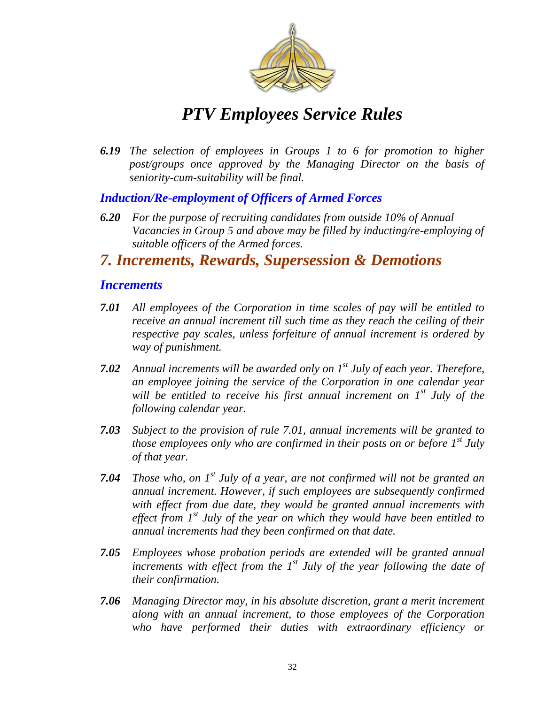

*6.19 The selection of employees in Groups 1 to 6 for promotion to higher post/groups once approved by the Managing Director on the basis of seniority-cum-suitability will be final.*

#### *Induction/Re-employment of Officers of Armed Forces*

*6.20 For the purpose of recruiting candidates from outside 10% of Annual Vacancies in Group 5 and above may be filled by inducting/re-employing of suitable officers of the Armed forces.*

### *7. Increments, Rewards, Supersession & Demotions*

#### *Increments*

- *7.01 All employees of the Corporation in time scales of pay will be entitled to receive an annual increment till such time as they reach the ceiling of their respective pay scales, unless forfeiture of annual increment is ordered by way of punishment.*
- *7.02 Annual increments will be awarded only on 1st July of each year. Therefore, an employee joining the service of the Corporation in one calendar year will be entitled to receive his first annual increment on 1st July of the following calendar year.*
- *7.03 Subject to the provision of rule 7.01, annual increments will be granted to those employees only who are confirmed in their posts on or before 1st July of that year.*
- *7.04 Those who, on 1st July of a year, are not confirmed will not be granted an annual increment. However, if such employees are subsequently confirmed with effect from due date, they would be granted annual increments with effect from 1st July of the year on which they would have been entitled to annual increments had they been confirmed on that date.*
- *7.05 Employees whose probation periods are extended will be granted annual increments with effect from the 1st July of the year following the date of their confirmation.*
- *7.06 Managing Director may, in his absolute discretion, grant a merit increment along with an annual increment, to those employees of the Corporation who have performed their duties with extraordinary efficiency or*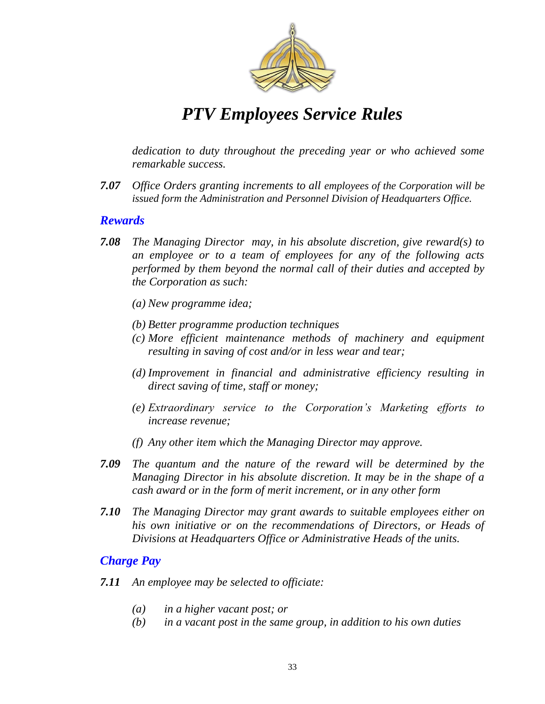

*dedication to duty throughout the preceding year or who achieved some remarkable success.*

*7.07 • Office Orders granting increments to all employees of the Corporation will be issued form the Administration and Personnel Division of Headquarters Office.*

#### *Rewards*

- *7.08 The Managing Director may, in his absolute discretion, give reward(s) to an employee or to a team of employees for any of the following acts performed by them beyond the normal call of their duties and accepted by the Corporation as such:*
	- *(a) New programme idea;*
	- *(b) Better programme production techniques*
	- *(c) More efficient maintenance methods of machinery and equipment resulting in saving of cost and/or in less wear and tear;*
	- *(d) Improvement in financial and administrative efficiency resulting in direct saving of time, staff or money;*
	- *(e) Extraordinary service to the Corporation's Marketing efforts to increase revenue;*
	- *(f) Any other item which the Managing Director may approve.*
- *7.09 The quantum and the nature of the reward will be determined by the Managing Director in his absolute discretion. It may be in the shape of a cash award or in the form of merit increment, or in any other form*
- *7.10 The Managing Director may grant awards to suitable employees either on his own initiative or on the recommendations of Directors, or Heads of Divisions at Headquarters Office or Administrative Heads of the units.*

#### *Charge Pay*

- *7.11 An employee may be selected to officiate:*
	- *(a) in a higher vacant post; or*
	- *(b) in a vacant post in the same group, in addition to his own duties*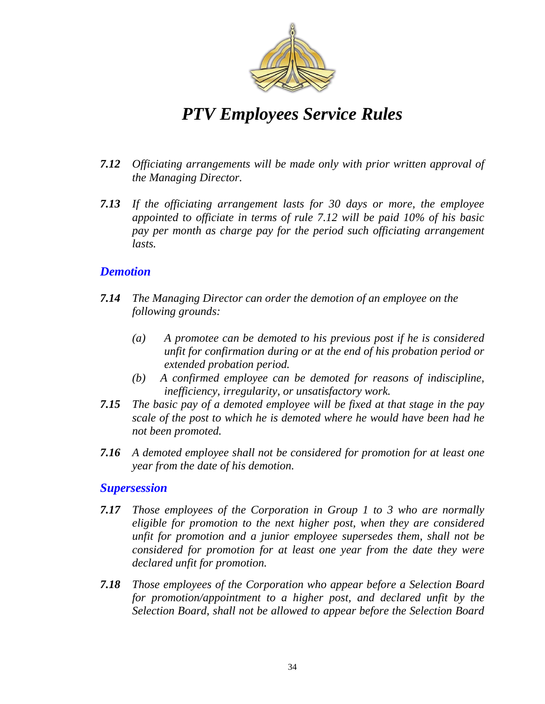

- *7.12 Officiating arrangements will be made only with prior written approval of the Managing Director.*
- *7.13 If the officiating arrangement lasts for 30 days or more, the employee appointed to officiate in terms of rule 7.12 will be paid 10% of his basic pay per month as charge pay for the period such officiating arrangement lasts.*

#### *Demotion*

- *7.14 The Managing Director can order the demotion of an employee on the following grounds:*
	- *(a) A promotee can be demoted to his previous post if he is considered unfit for confirmation during or at the end of his probation period or extended probation period.*
	- *(b) A confirmed employee can be demoted for reasons of indiscipline, inefficiency, irregularity, or unsatisfactory work.*
- *7.15 The basic pay of a demoted employee will be fixed at that stage in the pay scale of the post to which he is demoted where he would have been had he not been promoted.*
- *7.16 A demoted employee shall not be considered for promotion for at least one year from the date of his demotion.*

#### *Supersession*

- *7.17 Those employees of the Corporation in Group 1 to 3 who are normally eligible for promotion to the next higher post, when they are considered unfit for promotion and a junior employee supersedes them, shall not be considered for promotion for at least one year from the date they were declared unfit for promotion.*
- *7.18 Those employees of the Corporation who appear before a Selection Board for promotion/appointment to a higher post, and declared unfit by the Selection Board, shall not be allowed to appear before the Selection Board*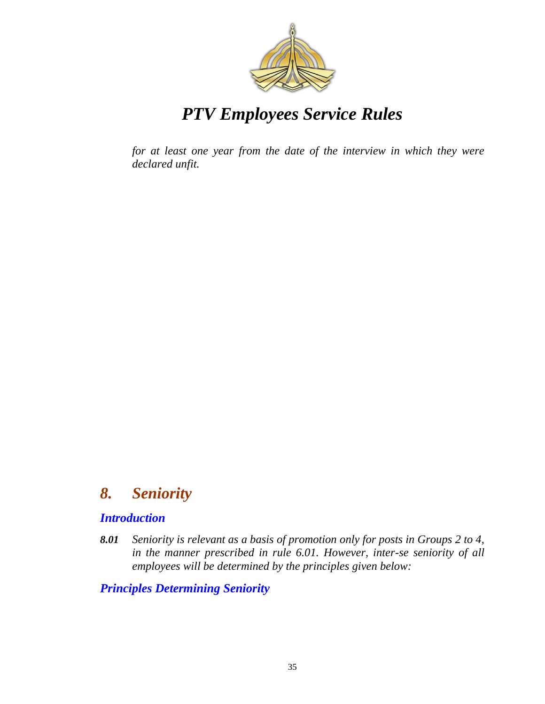

*for at least one year from the date of the interview in which they were declared unfit.*

### *8. Seniority*

#### *Introduction*

*8.01 Seniority is relevant as a basis of promotion only for posts in Groups 2 to 4, in the manner prescribed in rule 6.01. However, inter-se seniority of all employees will be determined by the principles given below:*

#### *Principles Determining Seniority*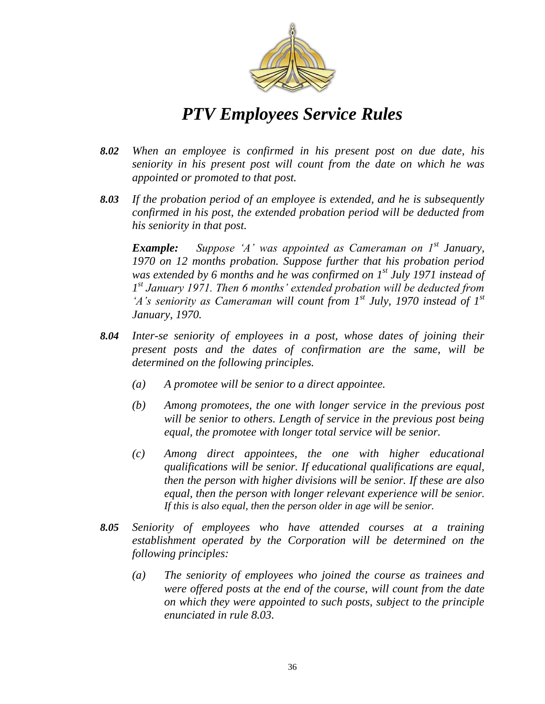

- *8.02 When an employee is confirmed in his present post on due date, his seniority in his present post will count from the date on which he was appointed or promoted to that post.*
- *8.03 If the probation period of an employee is extended, and he is subsequently confirmed in his post, the extended probation period will be deducted from his seniority in that post.*

*Example: Suppose ‗A' was appointed as Cameraman on 1st January, 1970 on 12 months probation. Suppose further that his probation period was extended by 6 months and he was confirmed on 1st July 1971 instead of 1 st January 1971. Then 6 months' extended probation will be deducted from ‗A's seniority as Cameraman will count from 1st July, 1970 instead of 1st January, 1970.*

- *8.04 Inter-se seniority of employees in a post, whose dates of joining their present posts and the dates of confirmation are the same, will be determined on the following principles.*
	- *(a) A promotee will be senior to a direct appointee.*
	- *(b) Among promotees, the one with longer service in the previous post will be senior to others. Length of service in the previous post being equal, the promotee with longer total service will be senior.*
	- *(c) Among direct appointees, the one with higher educational qualifications will be senior. If educational qualifications are equal, then the person with higher divisions will be senior. If these are also equal, then the person with longer relevant experience will be senior. If this is also equal, then the person older in age will be senior.*
- *8.05 Seniority of employees who have attended courses at a training establishment operated by the Corporation will be determined on the following principles:*
	- *(a) The seniority of employees who joined the course as trainees and were offered posts at the end of the course, will count from the date on which they were appointed to such posts, subject to the principle enunciated in rule 8.03.*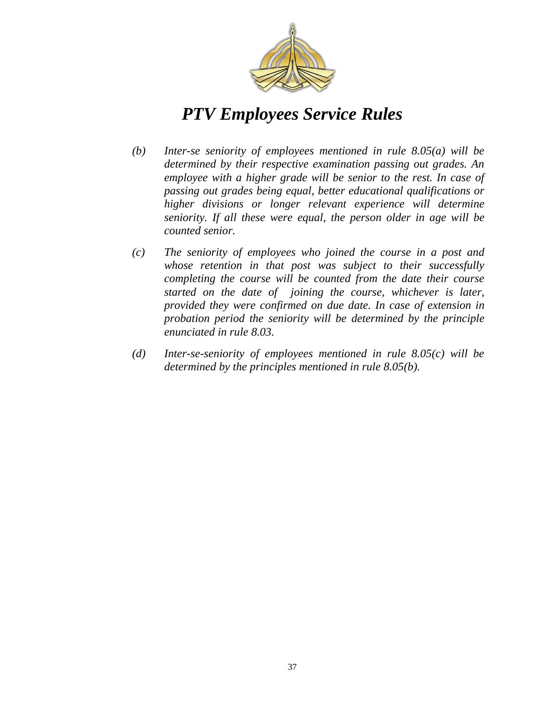

- *(b) Inter-se seniority of employees mentioned in rule 8.05(a) will be determined by their respective examination passing out grades. An employee with a higher grade will be senior to the rest. In case of passing out grades being equal, better educational qualifications or higher divisions or longer relevant experience will determine seniority. If all these were equal, the person older in age will be counted senior.*
- *(c) The seniority of employees who joined the course in a post and whose retention in that post was subject to their successfully completing the course will be counted from the date their course started on the date of joining the course, whichever is later, provided they were confirmed on due date. In case of extension in probation period the seniority will be determined by the principle enunciated in rule 8.03.*
- *(d) Inter-se-seniority of employees mentioned in rule 8.05(c) will be determined by the principles mentioned in rule 8.05(b).*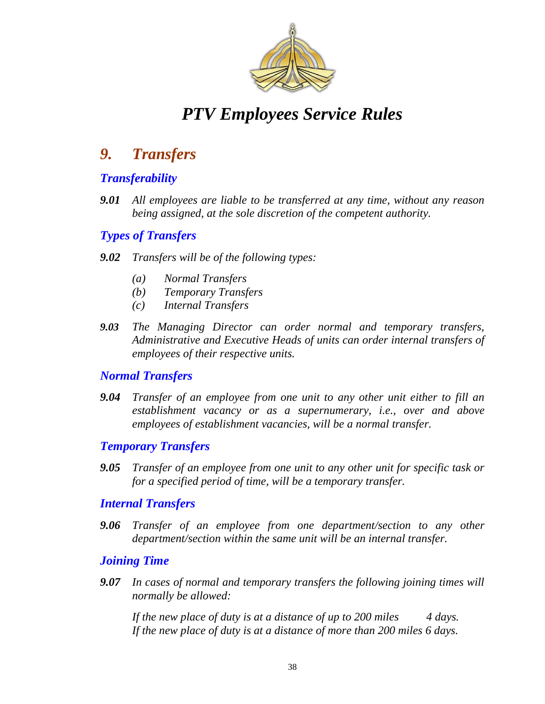

### *9. Transfers*

### *Transferability*

*9.01 All employees are liable to be transferred at any time, without any reason being assigned, at the sole discretion of the competent authority.*

### *Types of Transfers*

#### *9.02 Transfers will be of the following types:*

- *(a) Normal Transfers*
- *(b) Temporary Transfers*
- *(c) Internal Transfers*
- *9.03 The Managing Director can order normal and temporary transfers, Administrative and Executive Heads of units can order internal transfers of employees of their respective units.*

### *Normal Transfers*

*9.04 Transfer of an employee from one unit to any other unit either to fill an establishment vacancy or as a supernumerary, i.e., over and above employees of establishment vacancies, will be a normal transfer.* 

### *Temporary Transfers*

*9.05 Transfer of an employee from one unit to any other unit for specific task or for a specified period of time, will be a temporary transfer.* 

#### *Internal Transfers*

*9.06 Transfer of an employee from one department/section to any other department/section within the same unit will be an internal transfer.*

#### *Joining Time*

*9.07 In cases of normal and temporary transfers the following joining times will normally be allowed:*

If the new place of duty is at a distance of up to 200 miles 4 days. *If the new place of duty is at a distance of more than 200 miles 6 days.*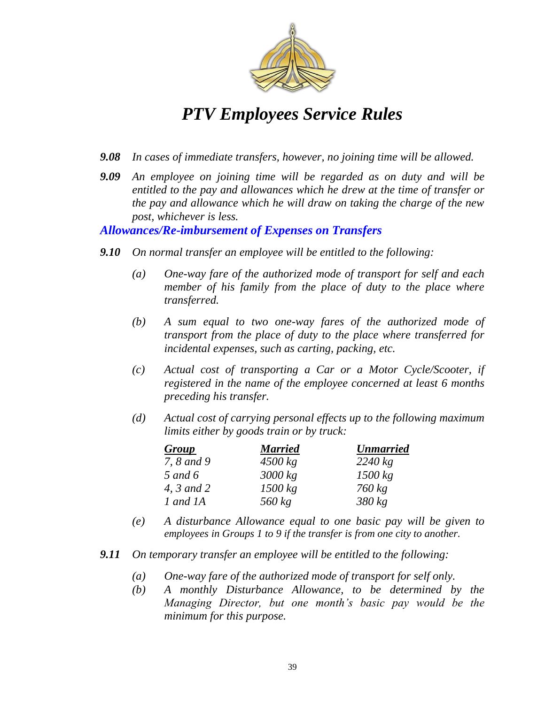

- *9.08 In cases of immediate transfers, however, no joining time will be allowed.*
- *9.09 An employee on joining time will be regarded as on duty and will be entitled to the pay and allowances which he drew at the time of transfer or the pay and allowance which he will draw on taking the charge of the new post, whichever is less.*

#### *Allowances/Re-imbursement of Expenses on Transfers*

- *9.10 On normal transfer an employee will be entitled to the following:*
	- *(a) One-way fare of the authorized mode of transport for self and each member of his family from the place of duty to the place where transferred.*
	- *(b) A sum equal to two one-way fares of the authorized mode of transport from the place of duty to the place where transferred for incidental expenses, such as carting, packing, etc.*
	- *(c) Actual cost of transporting a Car or a Motor Cycle/Scooter, if registered in the name of the employee concerned at least 6 months preceding his transfer.*
	- *(d) Actual cost of carrying personal effects up to the following maximum limits either by goods train or by truck:*

| <b>Group</b> | <b>Married</b> | <b>Unmarried</b> |
|--------------|----------------|------------------|
| 7, 8 and 9   | $4500$ kg      | $2240$ kg        |
| 5 and $6$    | 3000 kg        | 1500 kg          |
| 4, 3 and 2   | 1500 kg        | $760$ kg         |
| 1 and 1A     | $560$ kg       | $380$ kg         |

- *(e) A disturbance Allowance equal to one basic pay will be given to employees in Groups 1 to 9 if the transfer is from one city to another.*
- *9.11 On temporary transfer an employee will be entitled to the following:*
	- *(a) One-way fare of the authorized mode of transport for self only.*
	- *(b) A monthly Disturbance Allowance, to be determined by the Managing Director, but one month's basic pay would be the minimum for this purpose.*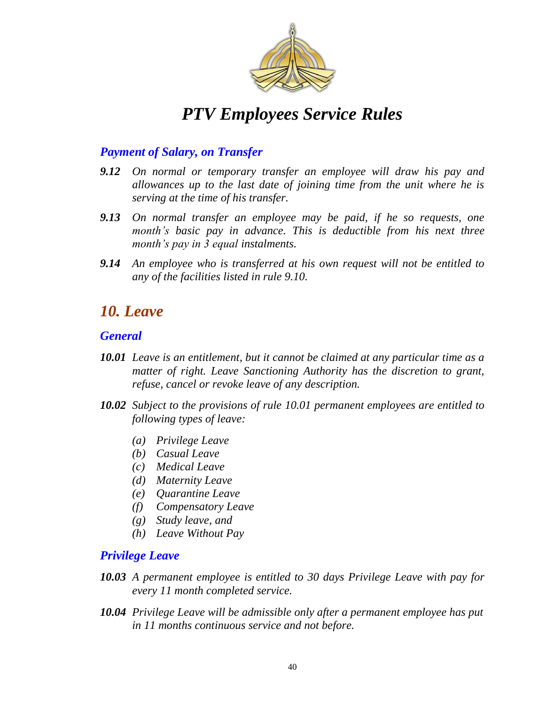

### *Payment of Salary, on Transfer*

- *9.12 On normal or temporary transfer an employee will draw his pay and allowances up to the last date of joining time from the unit where he is serving at the time of his transfer.*
- *9.13 On normal transfer an employee may be paid, if he so requests, one month's basic pay in advance. This is deductible from his next three month's pay in 3 equal instalments.*
- *9.14 An employee who is transferred at his own request will not be entitled to any of the facilities listed in rule 9.10.*

### *10. Leave*

#### *General*

- *10.01 Leave is an entitlement, but it cannot be claimed at any particular time as a matter of right. Leave Sanctioning Authority has the discretion to grant, refuse, cancel or revoke leave of any description.*
- *10.02 Subject to the provisions of rule 10.01 permanent employees are entitled to following types of leave:*
	- *(a) Privilege Leave*
	- *(b) Casual Leave*
	- *(c) Medical Leave*
	- *(d) Maternity Leave*
	- *(e) Quarantine Leave*
	- *(f) Compensatory Leave*
	- *(g) Study leave, and*
	- *(h) Leave Without Pay*

### *Privilege Leave*

- *10.03 A permanent employee is entitled to 30 days Privilege Leave with pay for every 11 month completed service.*
- *10.04 Privilege Leave will be admissible only after a permanent employee has put in 11 months continuous service and not before.*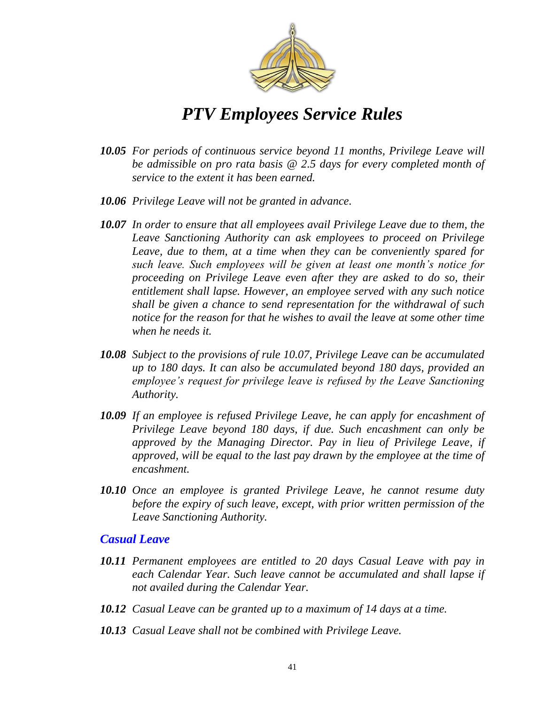

- *10.05 For periods of continuous service beyond 11 months, Privilege Leave will be admissible on pro rata basis @ 2.5 days for every completed month of service to the extent it has been earned.*
- *10.06 Privilege Leave will not be granted in advance.*
- *10.07 In order to ensure that all employees avail Privilege Leave due to them, the Leave Sanctioning Authority can ask employees to proceed on Privilege Leave, due to them, at a time when they can be conveniently spared for such leave. Such employees will be given at least one month's notice for proceeding on Privilege Leave even after they are asked to do so, their entitlement shall lapse. However, an employee served with any such notice shall be given a chance to send representation for the withdrawal of such notice for the reason for that he wishes to avail the leave at some other time when he needs it.*
- *10.08 Subject to the provisions of rule 10.07, Privilege Leave can be accumulated up to 180 days. It can also be accumulated beyond 180 days, provided an employee's request for privilege leave is refused by the Leave Sanctioning Authority.*
- *10.09 If an employee is refused Privilege Leave, he can apply for encashment of Privilege Leave beyond 180 days, if due. Such encashment can only be approved by the Managing Director. Pay in lieu of Privilege Leave, if approved, will be equal to the last pay drawn by the employee at the time of encashment.*
- *10.10 Once an employee is granted Privilege Leave, he cannot resume duty before the expiry of such leave, except, with prior written permission of the Leave Sanctioning Authority.*

#### *Casual Leave*

- *10.11 Permanent employees are entitled to 20 days Casual Leave with pay in*  each Calendar Year. Such leave cannot be accumulated and shall lapse if *not availed during the Calendar Year.*
- *10.12 Casual Leave can be granted up to a maximum of 14 days at a time.*
- *10.13 Casual Leave shall not be combined with Privilege Leave.*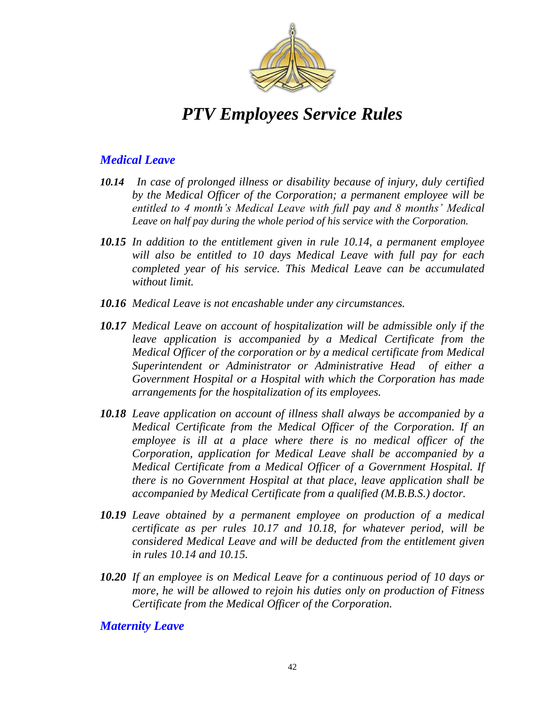

### *Medical Leave*

- *10.14 In case of prolonged illness or disability because of injury, duly certified by the Medical Officer of the Corporation; a permanent employee will be entitled to 4 month's Medical Leave with full pay and 8 months' Medical Leave on half pay during the whole period of his service with the Corporation.*
- *10.15 In addition to the entitlement given in rule 10.14, a permanent employee will also be entitled to 10 days Medical Leave with full pay for each completed year of his service. This Medical Leave can be accumulated without limit.*
- *10.16 Medical Leave is not encashable under any circumstances.*
- *10.17 Medical Leave on account of hospitalization will be admissible only if the leave application is accompanied by a Medical Certificate from the Medical Officer of the corporation or by a medical certificate from Medical Superintendent or Administrator or Administrative Head of either a Government Hospital or a Hospital with which the Corporation has made arrangements for the hospitalization of its employees.*
- *10.18 Leave application on account of illness shall always be accompanied by a Medical Certificate from the Medical Officer of the Corporation. If an employee is ill at a place where there is no medical officer of the Corporation, application for Medical Leave shall be accompanied by a Medical Certificate from a Medical Officer of a Government Hospital. If there is no Government Hospital at that place, leave application shall be accompanied by Medical Certificate from a qualified (M.B.B.S.) doctor.*
- *10.19 Leave obtained by a permanent employee on production of a medical certificate as per rules 10.17 and 10.18, for whatever period, will be considered Medical Leave and will be deducted from the entitlement given in rules 10.14 and 10.15.*
- *10.20 If an employee is on Medical Leave for a continuous period of 10 days or more, he will be allowed to rejoin his duties only on production of Fitness Certificate from the Medical Officer of the Corporation.*

*Maternity Leave*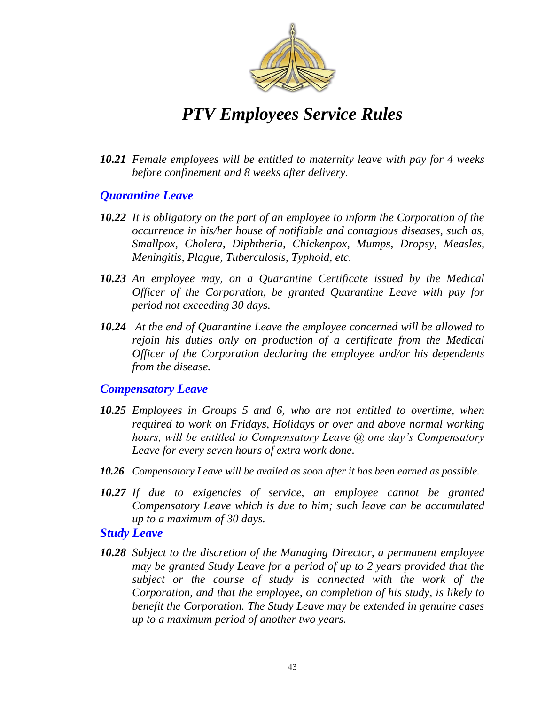

*10.21 Female employees will be entitled to maternity leave with pay for 4 weeks before confinement and 8 weeks after delivery.* 

#### *Quarantine Leave*

- *10.22 It is obligatory on the part of an employee to inform the Corporation of the occurrence in his/her house of notifiable and contagious diseases, such as, Smallpox, Cholera, Diphtheria, Chickenpox, Mumps, Dropsy, Measles, Meningitis, Plague, Tuberculosis, Typhoid, etc.*
- *10.23 An employee may, on a Quarantine Certificate issued by the Medical Officer of the Corporation, be granted Quarantine Leave with pay for period not exceeding 30 days.*
- *10.24 At the end of Quarantine Leave the employee concerned will be allowed to rejoin his duties only on production of a certificate from the Medical Officer of the Corporation declaring the employee and/or his dependents from the disease.*

#### *Compensatory Leave*

- *10.25 Employees in Groups 5 and 6, who are not entitled to overtime, when required to work on Fridays, Holidays or over and above normal working hours, will be entitled to Compensatory Leave @ one day's Compensatory Leave for every seven hours of extra work done.*
- *10.26 Compensatory Leave will be availed as soon after it has been earned as possible.*
- *10.27 If due to exigencies of service, an employee cannot be granted Compensatory Leave which is due to him; such leave can be accumulated up to a maximum of 30 days.*

#### *Study Leave*

*10.28 Subject to the discretion of the Managing Director, a permanent employee may be granted Study Leave for a period of up to 2 years provided that the subject or the course of study is connected with the work of the Corporation, and that the employee, on completion of his study, is likely to benefit the Corporation. The Study Leave may be extended in genuine cases up to a maximum period of another two years.*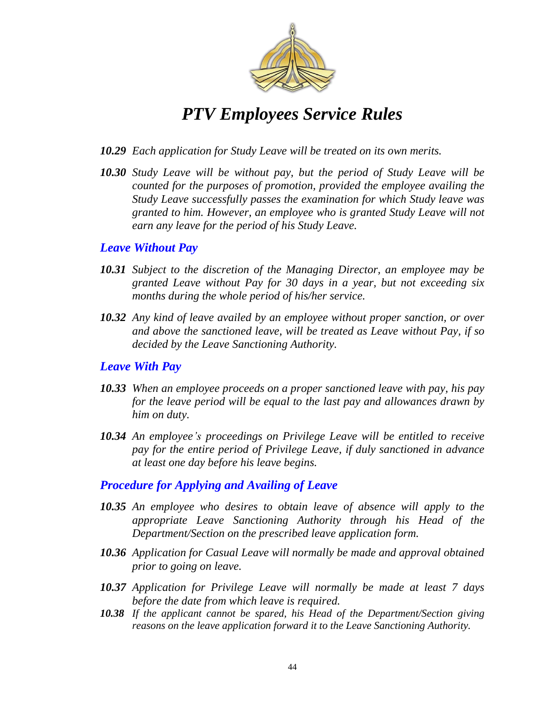

- *10.29 Each application for Study Leave will be treated on its own merits.*
- *10.30 Study Leave will be without pay, but the period of Study Leave will be counted for the purposes of promotion, provided the employee availing the Study Leave successfully passes the examination for which Study leave was granted to him. However, an employee who is granted Study Leave will not earn any leave for the period of his Study Leave.*

#### *Leave Without Pay*

- *10.31 Subject to the discretion of the Managing Director, an employee may be granted Leave without Pay for 30 days in a year, but not exceeding six months during the whole period of his/her service.*
- *10.32 Any kind of leave availed by an employee without proper sanction, or over and above the sanctioned leave, will be treated as Leave without Pay, if so decided by the Leave Sanctioning Authority.*

#### *Leave With Pay*

- *10.33 When an employee proceeds on a proper sanctioned leave with pay, his pay for the leave period will be equal to the last pay and allowances drawn by him on duty.*
- *10.34 An employee's proceedings on Privilege Leave will be entitled to receive pay for the entire period of Privilege Leave, if duly sanctioned in advance at least one day before his leave begins.*

#### *Procedure for Applying and Availing of Leave*

- *10.35 An employee who desires to obtain leave of absence will apply to the appropriate Leave Sanctioning Authority through his Head of the Department/Section on the prescribed leave application form.*
- *10.36 Application for Casual Leave will normally be made and approval obtained prior to going on leave.*
- *10.37 Application for Privilege Leave will normally be made at least 7 days before the date from which leave is required.*
- *10.38 If the applicant cannot be spared, his Head of the Department/Section giving reasons on the leave application forward it to the Leave Sanctioning Authority.*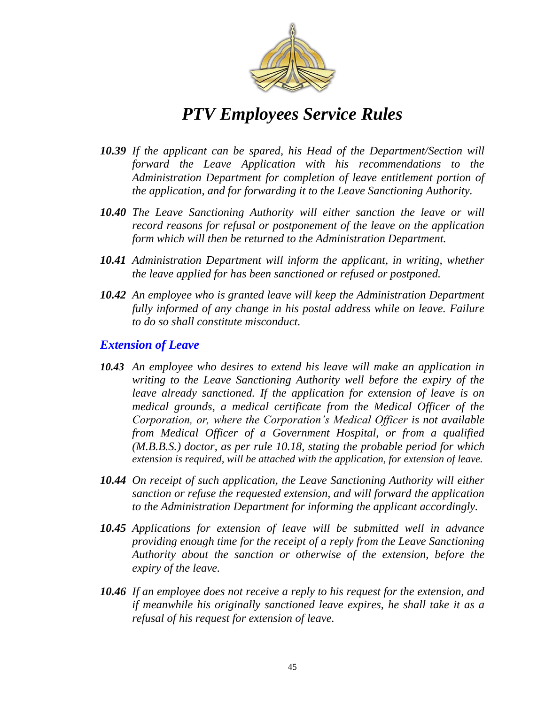

- *10.39 If the applicant can be spared, his Head of the Department/Section will forward the Leave Application with his recommendations to the Administration Department for completion of leave entitlement portion of the application, and for forwarding it to the Leave Sanctioning Authority.*
- *10.40 The Leave Sanctioning Authority will either sanction the leave or will record reasons for refusal or postponement of the leave on the application form which will then be returned to the Administration Department.*
- *10.41 Administration Department will inform the applicant, in writing, whether the leave applied for has been sanctioned or refused or postponed.*
- *10.42 An employee who is granted leave will keep the Administration Department fully informed of any change in his postal address while on leave. Failure to do so shall constitute misconduct.*

#### *Extension of Leave*

- *10.43 An employee who desires to extend his leave will make an application in writing to the Leave Sanctioning Authority well before the expiry of the leave already sanctioned. If the application for extension of leave is on medical grounds, a medical certificate from the Medical Officer of the Corporation, or, where the Corporation's Medical Officer is not available from Medical Officer of a Government Hospital, or from a qualified (M.B.B.S.) doctor, as per rule 10.18, stating the probable period for which extension is required, will be attached with the application, for extension of leave.*
- *10.44 On receipt of such application, the Leave Sanctioning Authority will either sanction or refuse the requested extension, and will forward the application to the Administration Department for informing the applicant accordingly.*
- *10.45 Applications for extension of leave will be submitted well in advance providing enough time for the receipt of a reply from the Leave Sanctioning Authority about the sanction or otherwise of the extension, before the expiry of the leave.*
- *10.46 If an employee does not receive a reply to his request for the extension, and if meanwhile his originally sanctioned leave expires, he shall take it as a refusal of his request for extension of leave.*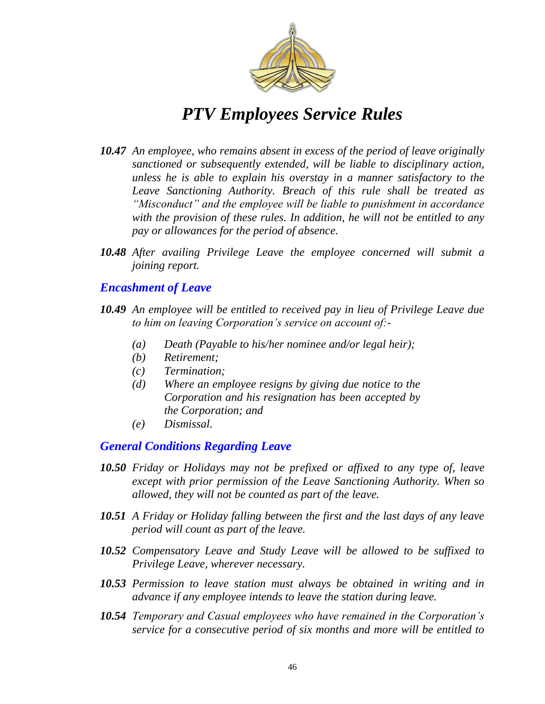

- *10.47 An employee, who remains absent in excess of the period of leave originally sanctioned or subsequently extended, will be liable to disciplinary action, unless he is able to explain his overstay in a manner satisfactory to the Leave Sanctioning Authority. Breach of this rule shall be treated as ―Misconduct‖ and the employee will be liable to punishment in accordance with the provision of these rules. In addition, he will not be entitled to any pay or allowances for the period of absence.*
- *10.48 After availing Privilege Leave the employee concerned will submit a joining report.*

### *Encashment of Leave*

- *10.49 An employee will be entitled to received pay in lieu of Privilege Leave due to him on leaving Corporation's service on account of:-*
	- *(a) Death (Payable to his/her nominee and/or legal heir);*
	- *(b) Retirement;*
	- *(c) Termination;*
	- *(d) Where an employee resigns by giving due notice to the Corporation and his resignation has been accepted by the Corporation; and*
	- *(e) Dismissal.*

### *General Conditions Regarding Leave*

- *10.50 Friday or Holidays may not be prefixed or affixed to any type of, leave except with prior permission of the Leave Sanctioning Authority. When so allowed, they will not be counted as part of the leave.*
- *10.51 A Friday or Holiday falling between the first and the last days of any leave period will count as part of the leave.*
- *10.52 Compensatory Leave and Study Leave will be allowed to be suffixed to Privilege Leave, wherever necessary.*
- *10.53 Permission to leave station must always be obtained in writing and in advance if any employee intends to leave the station during leave.*
- *10.54 Temporary and Casual employees who have remained in the Corporation's service for a consecutive period of six months and more will be entitled to*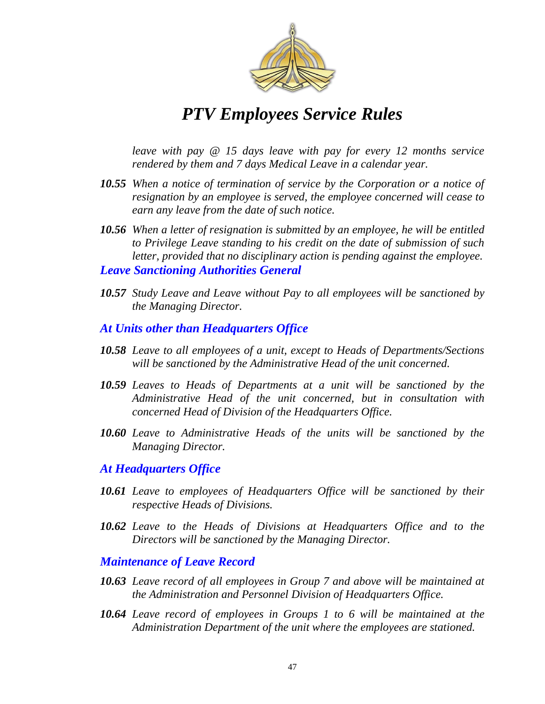

*leave with pay @ 15 days leave with pay for every 12 months service rendered by them and 7 days Medical Leave in a calendar year.* 

- *10.55 When a notice of termination of service by the Corporation or a notice of resignation by an employee is served, the employee concerned will cease to earn any leave from the date of such notice.*
- *10.56 When a letter of resignation is submitted by an employee, he will be entitled to Privilege Leave standing to his credit on the date of submission of such letter, provided that no disciplinary action is pending against the employee. Leave Sanctioning Authorities General*
- 
- *10.57 Study Leave and Leave without Pay to all employees will be sanctioned by the Managing Director.*
- *At Units other than Headquarters Office*
- *10.58 Leave to all employees of a unit, except to Heads of Departments/Sections will be sanctioned by the Administrative Head of the unit concerned.*
- *10.59 Leaves to Heads of Departments at a unit will be sanctioned by the Administrative Head of the unit concerned, but in consultation with concerned Head of Division of the Headquarters Office.*
- *10.60 Leave to Administrative Heads of the units will be sanctioned by the Managing Director.*

#### *At Headquarters Office*

- *10.61 Leave to employees of Headquarters Office will be sanctioned by their respective Heads of Divisions.*
- *10.62 Leave to the Heads of Divisions at Headquarters Office and to the Directors will be sanctioned by the Managing Director.*

#### *Maintenance of Leave Record*

- *10.63 Leave record of all employees in Group 7 and above will be maintained at the Administration and Personnel Division of Headquarters Office.*
- *10.64 Leave record of employees in Groups 1 to 6 will be maintained at the Administration Department of the unit where the employees are stationed.*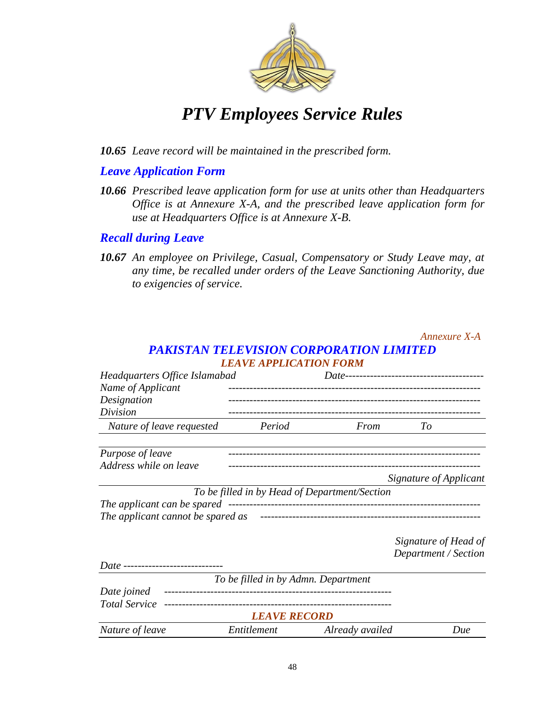

*10.65 Leave record will be maintained in the prescribed form.*

#### *Leave Application Form*

*10.66 Prescribed leave application form for use at units other than Headquarters Office is at Annexure X-A, and the prescribed leave application form for use at Headquarters Office is at Annexure X-B.*

#### *Recall during Leave*

*10.67 An employee on Privilege, Casual, Compensatory or Study Leave may, at any time, be recalled under orders of the Leave Sanctioning Authority, due to exigencies of service.*

#### *Annexure X-A PAKISTAN TELEVISION CORPORATION LIMITED LEAVE APPLICATION FORM*

| Headquarters Office Islamabad             |                                               |                 |                        |
|-------------------------------------------|-----------------------------------------------|-----------------|------------------------|
| Name of Applicant                         |                                               |                 |                        |
| Designation                               |                                               |                 |                        |
| Division                                  |                                               |                 |                        |
| Nature of leave requested                 | Period                                        | From            | To                     |
| Purpose of leave                          |                                               |                 |                        |
| Address while on leave                    |                                               |                 |                        |
|                                           |                                               |                 | Signature of Applicant |
|                                           | To be filled in by Head of Department/Section |                 |                        |
| The applicant can be spared               |                                               |                 |                        |
| The applicant cannot be spared as         |                                               |                 |                        |
|                                           |                                               |                 | Signature of Head of   |
|                                           |                                               |                 | Department / Section   |
| <i>Date</i> ----------------------------- |                                               |                 |                        |
|                                           | To be filled in by Admn. Department           |                 |                        |
| Date joined                               |                                               |                 |                        |
| <b>Total Service</b>                      |                                               |                 |                        |
|                                           | <b>LEAVE RECORD</b>                           |                 |                        |
| Nature of leave                           | Entitlement                                   | Already availed | Due                    |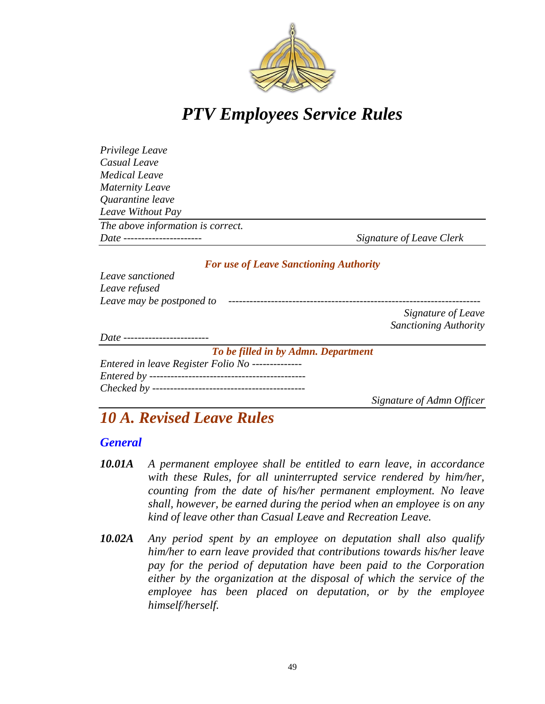

| Privilege Leave                   |                          |
|-----------------------------------|--------------------------|
| Casual Leave                      |                          |
| <b>Medical Leave</b>              |                          |
| <b>Maternity Leave</b>            |                          |
| Quarantine leave                  |                          |
| Leave Without Pay                 |                          |
| The above information is correct. |                          |
| Date ------------------------     | Signature of Leave Clerk |

#### *For use of Leave Sanctioning Authority*

| Leave sanctioned                      |                              |
|---------------------------------------|------------------------------|
| Leave refused                         |                              |
| Leave may be postponed to             |                              |
|                                       | Signature of Leave           |
|                                       | <b>Sanctioning Authority</b> |
| Date ------------------------         |                              |
| To be filled in by Admn. Department   |                              |
| Entered in leave Register Folio No -- |                              |
| Entered by --                         |                              |

*Checked by -------------------------------------------*

*Signature of Admn Officer*

### *10 A. Revised Leave Rules*

#### *General*

- *10.01A A permanent employee shall be entitled to earn leave, in accordance with these Rules, for all uninterrupted service rendered by him/her, counting from the date of his/her permanent employment. No leave shall, however, be earned during the period when an employee is on any kind of leave other than Casual Leave and Recreation Leave.*
- *10.02A Any period spent by an employee on deputation shall also qualify him/her to earn leave provided that contributions towards his/her leave pay for the period of deputation have been paid to the Corporation either by the organization at the disposal of which the service of the employee has been placed on deputation, or by the employee himself/herself.*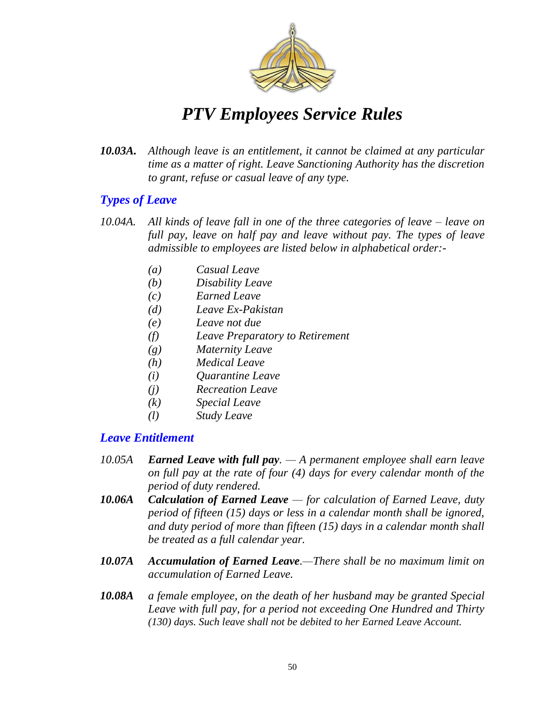

*10.03A. Although leave is an entitlement, it cannot be claimed at any particular time as a matter of right. Leave Sanctioning Authority has the discretion to grant, refuse or casual leave of any type.*

### *Types of Leave*

- *10.04A. All kinds of leave fall in one of the three categories of leave – leave on full pay, leave on half pay and leave without pay. The types of leave admissible to employees are listed below in alphabetical order:-*
	- *(a) Casual Leave*
	- *(b) Disability Leave*
	- *(c) Earned Leave*
	- *(d) Leave Ex-Pakistan*
	- *(e) Leave not due*
	- *(f) Leave Preparatory to Retirement*
	- *(g) Maternity Leave*
	- *(h) Medical Leave*
	- *(i) Quarantine Leave*
	- *(j) Recreation Leave*
	- *(k) Special Leave*
	- *(l) Study Leave*

#### *Leave Entitlement*

- *10.05A Earned Leave with full pay. — A permanent employee shall earn leave on full pay at the rate of four (4) days for every calendar month of the period of duty rendered.*
- *10.06A Calculation of Earned Leave — for calculation of Earned Leave, duty period of fifteen (15) days or less in a calendar month shall be ignored, and duty period of more than fifteen (15) days in a calendar month shall be treated as a full calendar year.*
- *10.07A Accumulation of Earned Leave.—There shall be no maximum limit on accumulation of Earned Leave.*
- *10.08A a female employee, on the death of her husband may be granted Special Leave with full pay, for a period not exceeding One Hundred and Thirty (130) days. Such leave shall not be debited to her Earned Leave Account.*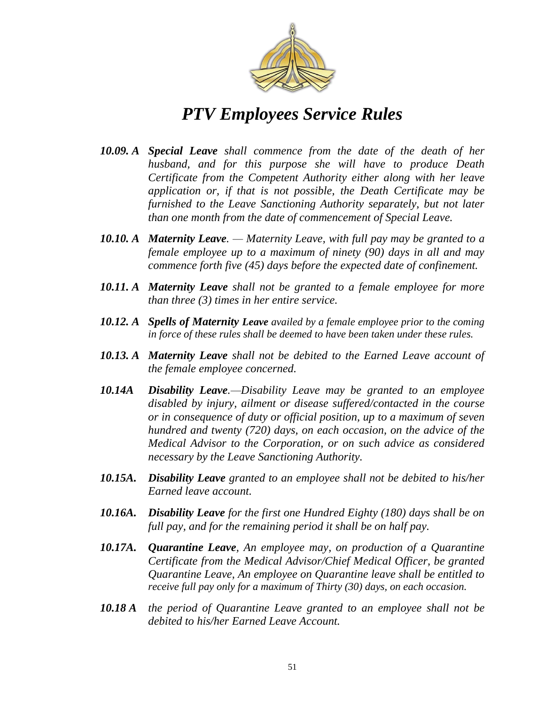

- *10.09. A Special Leave shall commence from the date of the death of her husband, and for this purpose she will have to produce Death Certificate from the Competent Authority either along with her leave application or, if that is not possible, the Death Certificate may be furnished to the Leave Sanctioning Authority separately, but not later than one month from the date of commencement of Special Leave.*
- *10.10. A Maternity Leave. — Maternity Leave, with full pay may be granted to a female employee up to a maximum of ninety (90) days in all and may commence forth five (45) days before the expected date of confinement.*
- *10.11. A Maternity Leave shall not be granted to a female employee for more than three (3) times in her entire service.*
- *10.12. A Spells of Maternity Leave availed by a female employee prior to the coming in force of these rules shall be deemed to have been taken under these rules.*
- *10.13. A Maternity Leave shall not be debited to the Earned Leave account of the female employee concerned.*
- *10.14A Disability Leave.—Disability Leave may be granted to an employee disabled by injury, ailment or disease suffered/contacted in the course or in consequence of duty or official position, up to a maximum of seven hundred and twenty (720) days, on each occasion, on the advice of the Medical Advisor to the Corporation, or on such advice as considered necessary by the Leave Sanctioning Authority.*
- *10.15A. Disability Leave granted to an employee shall not be debited to his/her Earned leave account.*
- *10.16A. Disability Leave for the first one Hundred Eighty (180) days shall be on full pay, and for the remaining period it shall be on half pay.*
- *10.17A. Quarantine Leave, An employee may, on production of a Quarantine Certificate from the Medical Advisor/Chief Medical Officer, be granted Quarantine Leave, An employee on Quarantine leave shall be entitled to receive full pay only for a maximum of Thirty (30) days, on each occasion.*
- *10.18 A the period of Quarantine Leave granted to an employee shall not be debited to his/her Earned Leave Account.*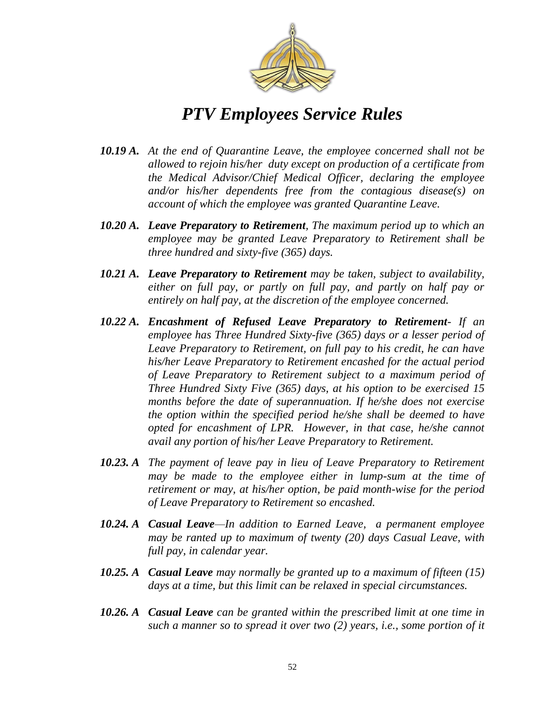

- *10.19 A. At the end of Quarantine Leave, the employee concerned shall not be allowed to rejoin his/her duty except on production of a certificate from the Medical Advisor/Chief Medical Officer, declaring the employee and/or his/her dependents free from the contagious disease(s) on account of which the employee was granted Quarantine Leave.*
- *10.20 A. Leave Preparatory to Retirement, The maximum period up to which an employee may be granted Leave Preparatory to Retirement shall be three hundred and sixty-five (365) days.*
- *10.21 A. Leave Preparatory to Retirement may be taken, subject to availability, either on full pay, or partly on full pay, and partly on half pay or entirely on half pay, at the discretion of the employee concerned.*
- *10.22 A. Encashment of Refused Leave Preparatory to Retirement- If an employee has Three Hundred Sixty-five (365) days or a lesser period of Leave Preparatory to Retirement, on full pay to his credit, he can have his/her Leave Preparatory to Retirement encashed for the actual period of Leave Preparatory to Retirement subject to a maximum period of Three Hundred Sixty Five (365) days, at his option to be exercised 15 months before the date of superannuation. If he/she does not exercise the option within the specified period he/she shall be deemed to have opted for encashment of LPR. However, in that case, he/she cannot avail any portion of his/her Leave Preparatory to Retirement.*
- *10.23. A The payment of leave pay in lieu of Leave Preparatory to Retirement may be made to the employee either in lump-sum at the time of retirement or may, at his/her option, be paid month-wise for the period of Leave Preparatory to Retirement so encashed.*
- *10.24. A Casual Leave—In addition to Earned Leave, a permanent employee may be ranted up to maximum of twenty (20) days Casual Leave, with full pay, in calendar year.*
- *10.25. A Casual Leave may normally be granted up to a maximum of fifteen (15) days at a time, but this limit can be relaxed in special circumstances.*
- *10.26. A Casual Leave can be granted within the prescribed limit at one time in such a manner so to spread it over two (2) years, i.e., some portion of it*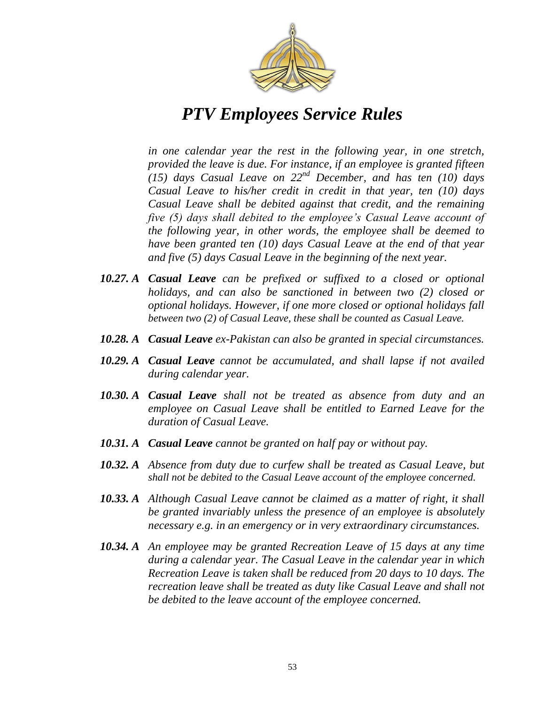

*in one calendar year the rest in the following year, in one stretch, provided the leave is due. For instance, if an employee is granted fifteen (15) days Casual Leave on 22nd December, and has ten (10) days Casual Leave to his/her credit in credit in that year, ten (10) days Casual Leave shall be debited against that credit, and the remaining five (5) days shall debited to the employee's Casual Leave account of the following year, in other words, the employee shall be deemed to have been granted ten (10) days Casual Leave at the end of that year and five (5) days Casual Leave in the beginning of the next year.*

- *10.27. A Casual Leave can be prefixed or suffixed to a closed or optional holidays, and can also be sanctioned in between two (2) closed or optional holidays. However, if one more closed or optional holidays fall between two (2) of Casual Leave, these shall be counted as Casual Leave.*
- *10.28. A Casual Leave ex-Pakistan can also be granted in special circumstances.*
- *10.29. A Casual Leave cannot be accumulated, and shall lapse if not availed during calendar year.*
- *10.30. A Casual Leave shall not be treated as absence from duty and an employee on Casual Leave shall be entitled to Earned Leave for the duration of Casual Leave.*
- *10.31. A Casual Leave cannot be granted on half pay or without pay.*
- *10.32. A Absence from duty due to curfew shall be treated as Casual Leave, but shall not be debited to the Casual Leave account of the employee concerned.*
- *10.33. A Although Casual Leave cannot be claimed as a matter of right, it shall be granted invariably unless the presence of an employee is absolutely necessary e.g. in an emergency or in very extraordinary circumstances.*
- *10.34. A An employee may be granted Recreation Leave of 15 days at any time during a calendar year. The Casual Leave in the calendar year in which Recreation Leave is taken shall be reduced from 20 days to 10 days. The recreation leave shall be treated as duty like Casual Leave and shall not be debited to the leave account of the employee concerned.*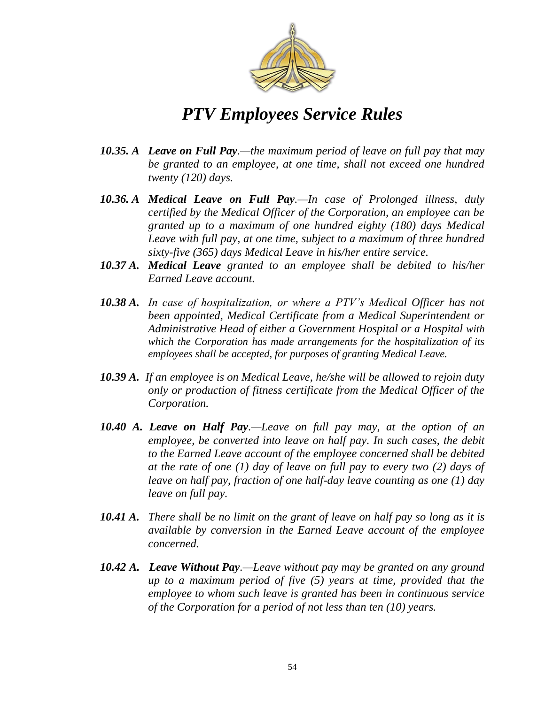

- *10.35. A Leave on Full Pay.—the maximum period of leave on full pay that may be granted to an employee, at one time, shall not exceed one hundred twenty (120) days.*
- *10.36. A Medical Leave on Full Pay.—In case of Prolonged illness, duly certified by the Medical Officer of the Corporation, an employee can be granted up to a maximum of one hundred eighty (180) days Medical Leave with full pay, at one time, subject to a maximum of three hundred sixty-five (365) days Medical Leave in his/her entire service.*
- *10.37 A. Medical Leave granted to an employee shall be debited to his/her Earned Leave account.*
- *10.38 A. In case of hospitalization, or where a PTV's Medical Officer has not been appointed, Medical Certificate from a Medical Superintendent or Administrative Head of either a Government Hospital or a Hospital with which the Corporation has made arrangements for the hospitalization of its employees shall be accepted, for purposes of granting Medical Leave.*
- *10.39 A. If an employee is on Medical Leave, he/she will be allowed to rejoin duty only or production of fitness certificate from the Medical Officer of the Corporation.*
- *10.40 A. Leave on Half Pay.—Leave on full pay may, at the option of an employee, be converted into leave on half pay. In such cases, the debit to the Earned Leave account of the employee concerned shall be debited at the rate of one (1) day of leave on full pay to every two (2) days of leave on half pay, fraction of one half-day leave counting as one (1) day leave on full pay.*
- *10.41 A. There shall be no limit on the grant of leave on half pay so long as it is available by conversion in the Earned Leave account of the employee concerned.*
- *10.42 A. Leave Without Pay.—Leave without pay may be granted on any ground up to a maximum period of five (5) years at time, provided that the employee to whom such leave is granted has been in continuous service of the Corporation for a period of not less than ten (10) years.*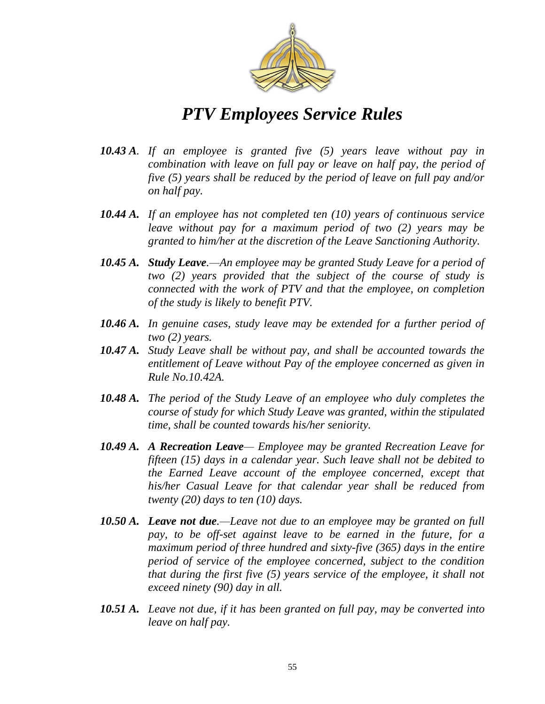

- *10.43 A. If an employee is granted five (5) years leave without pay in combination with leave on full pay or leave on half pay, the period of five (5) years shall be reduced by the period of leave on full pay and/or on half pay.*
- *10.44 A. If an employee has not completed ten (10) years of continuous service leave without pay for a maximum period of two (2) years may be granted to him/her at the discretion of the Leave Sanctioning Authority.*
- *10.45 A. Study Leave.—An employee may be granted Study Leave for a period of two (2) years provided that the subject of the course of study is connected with the work of PTV and that the employee, on completion of the study is likely to benefit PTV.*
- *10.46 A. In genuine cases, study leave may be extended for a further period of two (2) years.*
- *10.47 A. Study Leave shall be without pay, and shall be accounted towards the entitlement of Leave without Pay of the employee concerned as given in Rule No.10.42A.*
- *10.48 A. The period of the Study Leave of an employee who duly completes the course of study for which Study Leave was granted, within the stipulated time, shall be counted towards his/her seniority.*
- *10.49 A. A Recreation Leave— Employee may be granted Recreation Leave for fifteen (15) days in a calendar year. Such leave shall not be debited to the Earned Leave account of the employee concerned, except that his/her Casual Leave for that calendar year shall be reduced from twenty (20) days to ten (10) days.*
- *10.50 A. Leave not due.—Leave not due to an employee may be granted on full pay, to be off-set against leave to be earned in the future, for a maximum period of three hundred and sixty-five (365) days in the entire period of service of the employee concerned, subject to the condition that during the first five (5) years service of the employee, it shall not exceed ninety (90) day in all.*
- *10.51 A. Leave not due, if it has been granted on full pay, may be converted into leave on half pay.*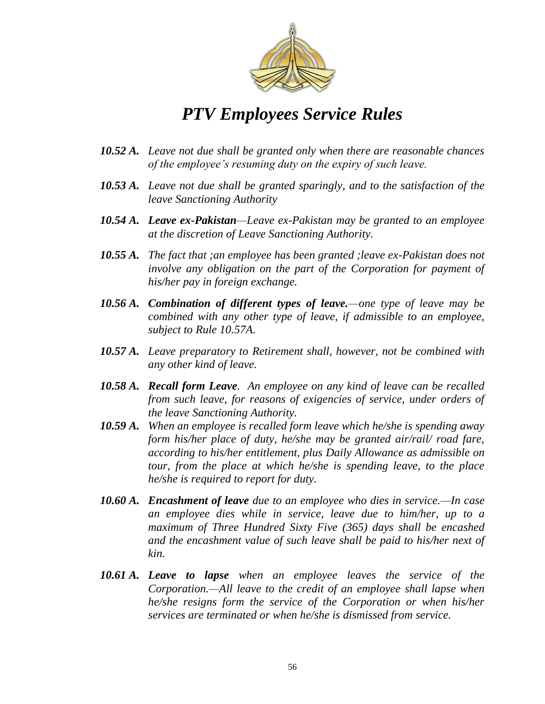

- *10.52 A. Leave not due shall be granted only when there are reasonable chances of the employee's resuming duty on the expiry of such leave.*
- *10.53 A. Leave not due shall be granted sparingly, and to the satisfaction of the leave Sanctioning Authority*
- *10.54 A. Leave ex-Pakistan—Leave ex-Pakistan may be granted to an employee at the discretion of Leave Sanctioning Authority.*
- *10.55 A. The fact that ;an employee has been granted ;leave ex-Pakistan does not involve any obligation on the part of the Corporation for payment of his/her pay in foreign exchange.*
- *10.56 A. Combination of different types of leave.—one type of leave may be combined with any other type of leave, if admissible to an employee, subject to Rule 10.57A.*
- *10.57 A. Leave preparatory to Retirement shall, however, not be combined with any other kind of leave.*
- *10.58 A. Recall form Leave. An employee on any kind of leave can be recalled from such leave, for reasons of exigencies of service, under orders of the leave Sanctioning Authority.*
- *10.59 A. When an employee is recalled form leave which he/she is spending away form his/her place of duty, he/she may be granted air/rail/ road fare, according to his/her entitlement, plus Daily Allowance as admissible on tour, from the place at which he/she is spending leave, to the place he/she is required to report for duty.*
- *10.60 A. Encashment of leave due to an employee who dies in service.—In case an employee dies while in service, leave due to him/her, up to a maximum of Three Hundred Sixty Five (365) days shall be encashed and the encashment value of such leave shall be paid to his/her next of kin.*
- *10.61 A. Leave to lapse when an employee leaves the service of the Corporation.—All leave to the credit of an employee shall lapse when he/she resigns form the service of the Corporation or when his/her services are terminated or when he/she is dismissed from service.*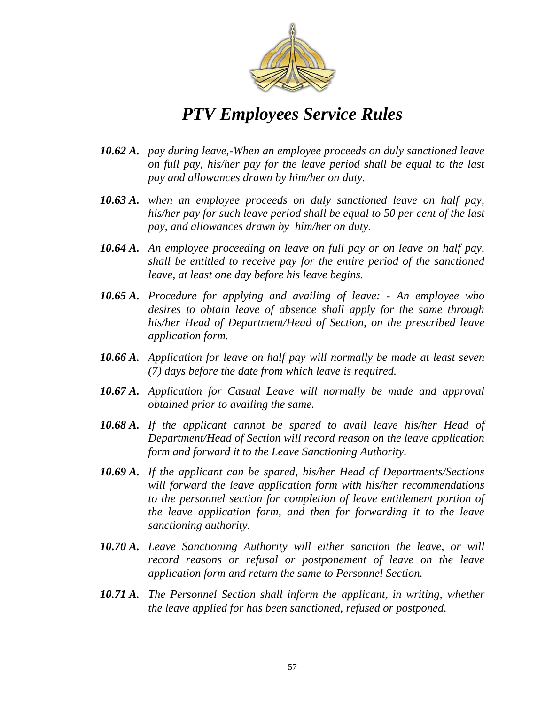

- *10.62 A. pay during leave,-When an employee proceeds on duly sanctioned leave on full pay, his/her pay for the leave period shall be equal to the last pay and allowances drawn by him/her on duty.*
- *10.63 A. when an employee proceeds on duly sanctioned leave on half pay, his/her pay for such leave period shall be equal to 50 per cent of the last pay, and allowances drawn by him/her on duty.*
- *10.64 A. An employee proceeding on leave on full pay or on leave on half pay, shall be entitled to receive pay for the entire period of the sanctioned leave, at least one day before his leave begins.*
- *10.65 A. Procedure for applying and availing of leave: - An employee who desires to obtain leave of absence shall apply for the same through his/her Head of Department/Head of Section, on the prescribed leave application form.*
- *10.66 A. Application for leave on half pay will normally be made at least seven (7) days before the date from which leave is required.*
- *10.67 A. Application for Casual Leave will normally be made and approval obtained prior to availing the same.*
- *10.68 A. If the applicant cannot be spared to avail leave his/her Head of Department/Head of Section will record reason on the leave application form and forward it to the Leave Sanctioning Authority.*
- *10.69 A. If the applicant can be spared, his/her Head of Departments/Sections will forward the leave application form with his/her recommendations to the personnel section for completion of leave entitlement portion of the leave application form, and then for forwarding it to the leave sanctioning authority.*
- *10.70 A. Leave Sanctioning Authority will either sanction the leave, or will record reasons or refusal or postponement of leave on the leave application form and return the same to Personnel Section.*
- *10.71 A. The Personnel Section shall inform the applicant, in writing, whether the leave applied for has been sanctioned, refused or postponed.*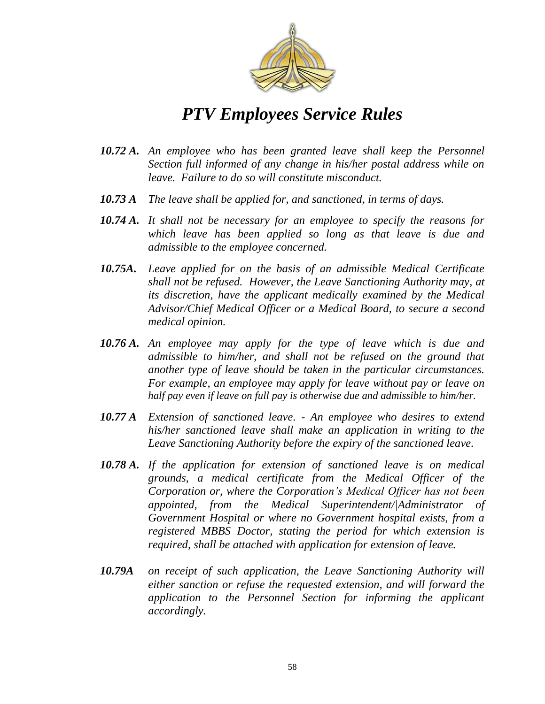

- *10.72 A. An employee who has been granted leave shall keep the Personnel Section full informed of any change in his/her postal address while on leave. Failure to do so will constitute misconduct.*
- *10.73 A The leave shall be applied for, and sanctioned, in terms of days.*
- *10.74 A. It shall not be necessary for an employee to specify the reasons for which leave has been applied so long as that leave is due and admissible to the employee concerned.*
- *10.75A. Leave applied for on the basis of an admissible Medical Certificate shall not be refused. However, the Leave Sanctioning Authority may, at its discretion, have the applicant medically examined by the Medical Advisor/Chief Medical Officer or a Medical Board, to secure a second medical opinion.*
- *10.76 A. An employee may apply for the type of leave which is due and admissible to him/her, and shall not be refused on the ground that another type of leave should be taken in the particular circumstances. For example, an employee may apply for leave without pay or leave on half pay even if leave on full pay is otherwise due and admissible to him/her.*
- *10.77 A Extension of sanctioned leave. - An employee who desires to extend his/her sanctioned leave shall make an application in writing to the Leave Sanctioning Authority before the expiry of the sanctioned leave.*
- *10.78 A. If the application for extension of sanctioned leave is on medical grounds, a medical certificate from the Medical Officer of the Corporation or, where the Corporation's Medical Officer has not been appointed, from the Medical Superintendent/|Administrator of Government Hospital or where no Government hospital exists, from a registered MBBS Doctor, stating the period for which extension is required, shall be attached with application for extension of leave.*
- *10.79A on receipt of such application, the Leave Sanctioning Authority will either sanction or refuse the requested extension, and will forward the application to the Personnel Section for informing the applicant accordingly.*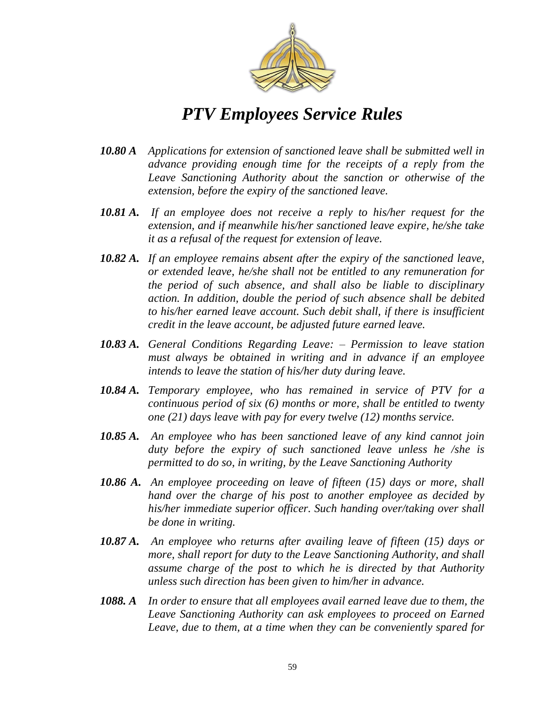

- *10.80 A Applications for extension of sanctioned leave shall be submitted well in advance providing enough time for the receipts of a reply from the Leave Sanctioning Authority about the sanction or otherwise of the extension, before the expiry of the sanctioned leave.*
- *10.81 A. If an employee does not receive a reply to his/her request for the extension, and if meanwhile his/her sanctioned leave expire, he/she take it as a refusal of the request for extension of leave.*
- *10.82 A. If an employee remains absent after the expiry of the sanctioned leave, or extended leave, he/she shall not be entitled to any remuneration for the period of such absence, and shall also be liable to disciplinary action. In addition, double the period of such absence shall be debited to his/her earned leave account. Such debit shall, if there is insufficient credit in the leave account, be adjusted future earned leave.*
- *10.83 A. General Conditions Regarding Leave: – Permission to leave station must always be obtained in writing and in advance if an employee intends to leave the station of his/her duty during leave.*
- *10.84 A. Temporary employee, who has remained in service of PTV for a continuous period of six (6) months or more, shall be entitled to twenty one (21) days leave with pay for every twelve (12) months service.*
- *10.85 A. An employee who has been sanctioned leave of any kind cannot join duty before the expiry of such sanctioned leave unless he /she is permitted to do so, in writing, by the Leave Sanctioning Authority*
- *10.86 A. An employee proceeding on leave of fifteen (15) days or more, shall hand over the charge of his post to another employee as decided by his/her immediate superior officer. Such handing over/taking over shall be done in writing.*
- *10.87 A. An employee who returns after availing leave of fifteen (15) days or more, shall report for duty to the Leave Sanctioning Authority, and shall assume charge of the post to which he is directed by that Authority unless such direction has been given to him/her in advance.*
- *1088. A In order to ensure that all employees avail earned leave due to them, the Leave Sanctioning Authority can ask employees to proceed on Earned Leave, due to them, at a time when they can be conveniently spared for*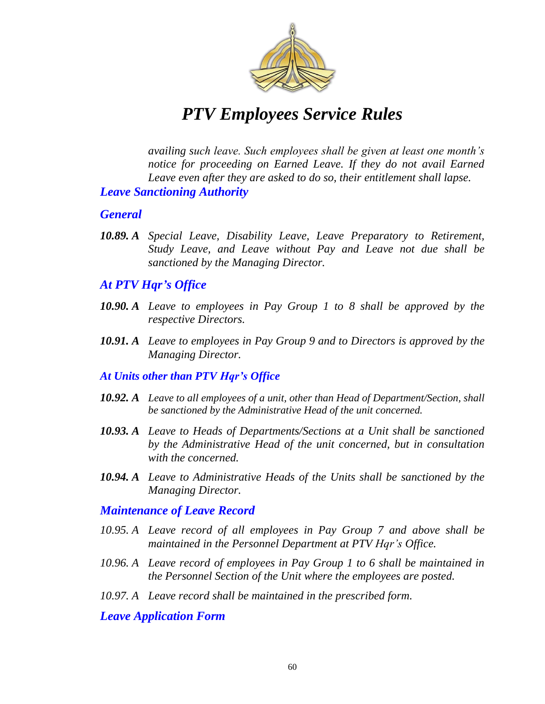

*availing such leave. Such employees shall be given at least one month's notice for proceeding on Earned Leave. If they do not avail Earned Leave even after they are asked to do so, their entitlement shall lapse.* 

#### *Leave Sanctioning Authority*

#### *General*

*10.89. A Special Leave, Disability Leave, Leave Preparatory to Retirement, Study Leave, and Leave without Pay and Leave not due shall be sanctioned by the Managing Director.*

#### *At PTV Hqr's Office*

- *10.90. A Leave to employees in Pay Group 1 to 8 shall be approved by the respective Directors.*
- *10.91. A Leave to employees in Pay Group 9 and to Directors is approved by the Managing Director.*

#### *At Units other than PTV Hqr's Office*

- *10.92. A Leave to all employees of a unit, other than Head of Department/Section, shall be sanctioned by the Administrative Head of the unit concerned.*
- *10.93. A Leave to Heads of Departments/Sections at a Unit shall be sanctioned by the Administrative Head of the unit concerned, but in consultation with the concerned.*
- *10.94. A Leave to Administrative Heads of the Units shall be sanctioned by the Managing Director.*

#### *Maintenance of Leave Record*

- *10.95. A Leave record of all employees in Pay Group 7 and above shall be maintained in the Personnel Department at PTV Hqr's Office.*
- *10.96. A Leave record of employees in Pay Group 1 to 6 shall be maintained in the Personnel Section of the Unit where the employees are posted.*
- *10.97. A Leave record shall be maintained in the prescribed form.*

#### *Leave Application Form*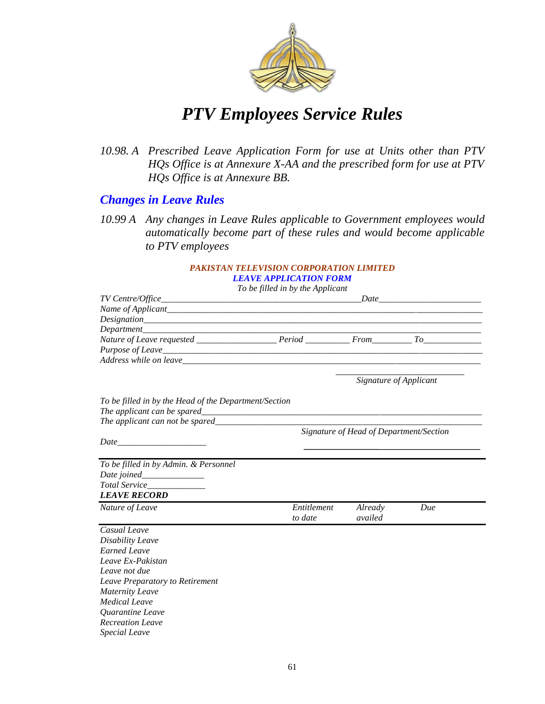

*10.98. A Prescribed Leave Application Form for use at Units other than PTV HQs Office is at Annexure X-AA and the prescribed form for use at PTV HQs Office is at Annexure BB.*

### *Changes in Leave Rules*

*10.99 A Any changes in Leave Rules applicable to Government employees would automatically become part of these rules and would become applicable to PTV employees*

#### *PAKISTAN TELEVISION CORPORATION LIMITED LEAVE APPLICATION FORM*

*To be filled in by the Applicant*

|                                                       | To be juted in by the Applicant |                                         |                                                                                                                                                                                                                                                                                                                   |
|-------------------------------------------------------|---------------------------------|-----------------------------------------|-------------------------------------------------------------------------------------------------------------------------------------------------------------------------------------------------------------------------------------------------------------------------------------------------------------------|
|                                                       |                                 |                                         | $Date$ and $Date$ and $Date$ and $Date$ and $Date$ and $Date$ and $Date$ and $Date$ and $Date$ and $Date$ and $Date$ and $Date$ and $Date$ and $Date$ and $Date$ and $Date$ and $Date$ and $Date$ and $Date$ and $Date$ and $Date$ and $Date$ and $Date$ and $Date$ and $Date$ and $Date$ and $Date$ and $Date$ a |
|                                                       |                                 |                                         |                                                                                                                                                                                                                                                                                                                   |
|                                                       |                                 |                                         |                                                                                                                                                                                                                                                                                                                   |
|                                                       |                                 |                                         |                                                                                                                                                                                                                                                                                                                   |
|                                                       |                                 |                                         |                                                                                                                                                                                                                                                                                                                   |
|                                                       |                                 |                                         |                                                                                                                                                                                                                                                                                                                   |
|                                                       |                                 |                                         |                                                                                                                                                                                                                                                                                                                   |
|                                                       |                                 |                                         |                                                                                                                                                                                                                                                                                                                   |
|                                                       |                                 | Signature of Applicant                  |                                                                                                                                                                                                                                                                                                                   |
|                                                       |                                 |                                         |                                                                                                                                                                                                                                                                                                                   |
| To be filled in by the Head of the Department/Section |                                 |                                         |                                                                                                                                                                                                                                                                                                                   |
|                                                       |                                 |                                         |                                                                                                                                                                                                                                                                                                                   |
| The applicant can not be spared                       |                                 |                                         |                                                                                                                                                                                                                                                                                                                   |
|                                                       |                                 | Signature of Head of Department/Section |                                                                                                                                                                                                                                                                                                                   |
|                                                       |                                 |                                         |                                                                                                                                                                                                                                                                                                                   |
|                                                       |                                 |                                         |                                                                                                                                                                                                                                                                                                                   |
|                                                       |                                 |                                         |                                                                                                                                                                                                                                                                                                                   |
| To be filled in by Admin. & Personnel                 |                                 |                                         |                                                                                                                                                                                                                                                                                                                   |
| Date joined______________                             |                                 |                                         |                                                                                                                                                                                                                                                                                                                   |
|                                                       |                                 |                                         |                                                                                                                                                                                                                                                                                                                   |
| <b>LEAVE RECORD</b>                                   |                                 |                                         |                                                                                                                                                                                                                                                                                                                   |
| Nature of Leave                                       | Entitlement                     | Already                                 | Due                                                                                                                                                                                                                                                                                                               |
|                                                       | to date                         | availed                                 |                                                                                                                                                                                                                                                                                                                   |
| Casual Leave                                          |                                 |                                         |                                                                                                                                                                                                                                                                                                                   |
| Disability Leave                                      |                                 |                                         |                                                                                                                                                                                                                                                                                                                   |
| <b>Earned Leave</b>                                   |                                 |                                         |                                                                                                                                                                                                                                                                                                                   |
| Leave Ex-Pakistan                                     |                                 |                                         |                                                                                                                                                                                                                                                                                                                   |
| Leave not due                                         |                                 |                                         |                                                                                                                                                                                                                                                                                                                   |
| Leave Preparatory to Retirement                       |                                 |                                         |                                                                                                                                                                                                                                                                                                                   |
| <b>Maternity Leave</b>                                |                                 |                                         |                                                                                                                                                                                                                                                                                                                   |
| <b>Medical Leave</b>                                  |                                 |                                         |                                                                                                                                                                                                                                                                                                                   |
| Quarantine Leave                                      |                                 |                                         |                                                                                                                                                                                                                                                                                                                   |
| <b>Recreation Leave</b>                               |                                 |                                         |                                                                                                                                                                                                                                                                                                                   |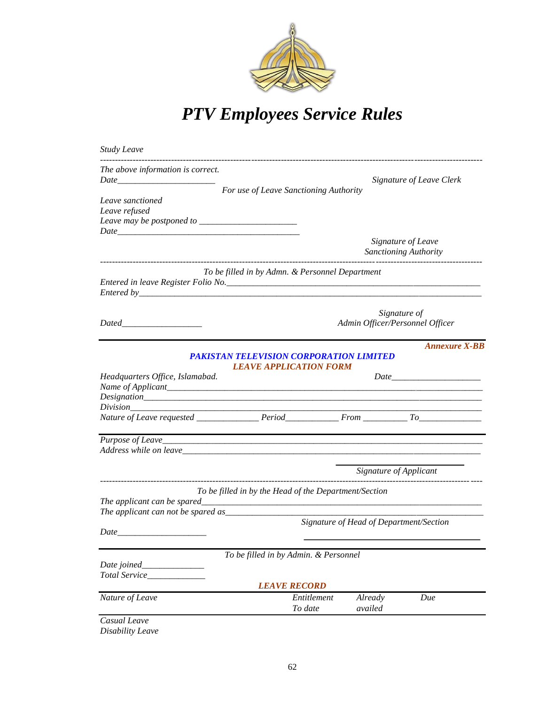

| <b>Study Leave</b>                                                                                                                                                                                                             |                                                       |                                         |                                 |
|--------------------------------------------------------------------------------------------------------------------------------------------------------------------------------------------------------------------------------|-------------------------------------------------------|-----------------------------------------|---------------------------------|
| The above information is correct.                                                                                                                                                                                              | For use of Leave Sanctioning Authority                |                                         | <b>Signature of Leave Clerk</b> |
| Leave sanctioned                                                                                                                                                                                                               |                                                       |                                         |                                 |
| Leave refused<br>Leave may be postponed to ______________________                                                                                                                                                              |                                                       |                                         |                                 |
|                                                                                                                                                                                                                                |                                                       |                                         |                                 |
|                                                                                                                                                                                                                                |                                                       | Signature of Leave                      |                                 |
|                                                                                                                                                                                                                                |                                                       | <b>Sanctioning Authority</b>            |                                 |
|                                                                                                                                                                                                                                | To be filled in by Admn. & Personnel Department       |                                         |                                 |
|                                                                                                                                                                                                                                |                                                       |                                         |                                 |
|                                                                                                                                                                                                                                |                                                       |                                         |                                 |
|                                                                                                                                                                                                                                |                                                       |                                         |                                 |
|                                                                                                                                                                                                                                |                                                       | Signature of                            |                                 |
|                                                                                                                                                                                                                                |                                                       | Admin Officer/Personnel Officer         |                                 |
|                                                                                                                                                                                                                                |                                                       |                                         | <b>Annexure X-BB</b>            |
|                                                                                                                                                                                                                                | <b>PAKISTAN TELEVISION CORPORATION LIMITED</b>        |                                         |                                 |
|                                                                                                                                                                                                                                | <b>LEAVE APPLICATION FORM</b>                         |                                         |                                 |
| Headquarters Office, Islamabad.                                                                                                                                                                                                |                                                       |                                         |                                 |
|                                                                                                                                                                                                                                |                                                       |                                         |                                 |
|                                                                                                                                                                                                                                |                                                       |                                         |                                 |
|                                                                                                                                                                                                                                |                                                       |                                         |                                 |
|                                                                                                                                                                                                                                |                                                       |                                         |                                 |
|                                                                                                                                                                                                                                |                                                       |                                         |                                 |
| Address while on leave https://www.assett.com/communications/communications/communications/communications/communications/communications/communications/communications/communications/communications/communications/communicati |                                                       |                                         |                                 |
|                                                                                                                                                                                                                                |                                                       |                                         |                                 |
|                                                                                                                                                                                                                                |                                                       | Signature of Applicant                  |                                 |
|                                                                                                                                                                                                                                |                                                       |                                         |                                 |
|                                                                                                                                                                                                                                | To be filled in by the Head of the Department/Section |                                         |                                 |
| The applicant can be spared_                                                                                                                                                                                                   |                                                       |                                         |                                 |
| The applicant can not be spared as                                                                                                                                                                                             |                                                       | Signature of Head of Department/Section |                                 |
|                                                                                                                                                                                                                                |                                                       |                                         |                                 |
|                                                                                                                                                                                                                                |                                                       |                                         |                                 |
|                                                                                                                                                                                                                                | To be filled in by Admin. & Personnel                 |                                         |                                 |
| Date joined_                                                                                                                                                                                                                   |                                                       |                                         |                                 |
| Total Service_                                                                                                                                                                                                                 |                                                       |                                         |                                 |
|                                                                                                                                                                                                                                | <b>LEAVE RECORD</b>                                   |                                         |                                 |
| Nature of Leave                                                                                                                                                                                                                | Entitlement                                           | Already                                 | Due                             |
|                                                                                                                                                                                                                                | To date                                               | availed                                 |                                 |
| Casual Leave                                                                                                                                                                                                                   |                                                       |                                         |                                 |
| Disability Leave                                                                                                                                                                                                               |                                                       |                                         |                                 |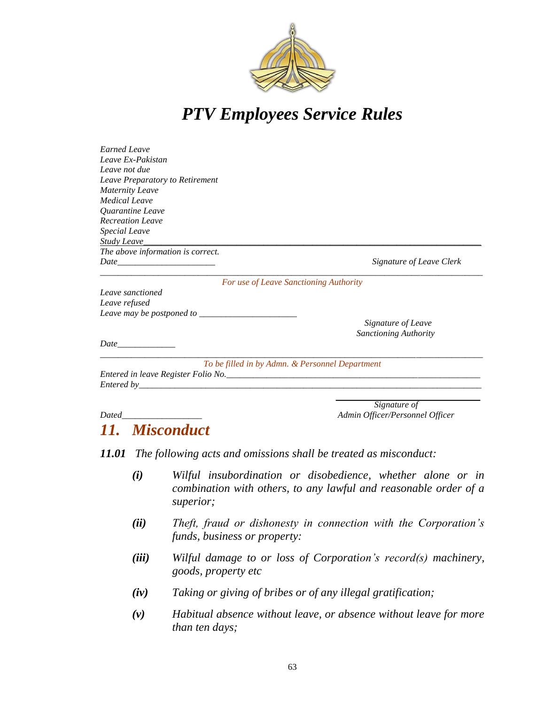

| <b>Earned Leave</b>               |                                                 |
|-----------------------------------|-------------------------------------------------|
| Leave Ex-Pakistan                 |                                                 |
| Leave not due                     |                                                 |
| Leave Preparatory to Retirement   |                                                 |
| <b>Maternity Leave</b>            |                                                 |
| <b>Medical Leave</b>              |                                                 |
| Quarantine Leave                  |                                                 |
| <b>Recreation Leave</b>           |                                                 |
| <b>Special Leave</b>              |                                                 |
| <b>Study Leave</b>                |                                                 |
| The above information is correct. |                                                 |
|                                   | Signature of Leave Clerk                        |
|                                   | For use of Leave Sanctioning Authority          |
| Leave sanctioned                  |                                                 |
| Leave refused                     |                                                 |
| Leave may be postponed to $\_\_$  |                                                 |
|                                   | Signature of Leave                              |
|                                   | <b>Sanctioning Authority</b>                    |
|                                   |                                                 |
|                                   | To be filled in by Admn. & Personnel Department |
|                                   |                                                 |
|                                   |                                                 |
|                                   | Signature of                                    |
|                                   |                                                 |

### *Dated\_\_\_\_\_\_\_\_\_\_\_\_\_\_\_\_\_\_ Admin Officer/Personnel Officer*

### *11. Misconduct*

*11.01 The following acts and omissions shall be treated as misconduct:*

- *(i) Wilful insubordination or disobedience, whether alone or in combination with others, to any lawful and reasonable order of a superior;*
- *(ii) Theft, fraud or dishonesty in connection with the Corporation's funds, business or property:*
- *(iii) Wilful damage to or loss of Corporation's record(s) machinery, goods, property etc*
- *(iv) Taking or giving of bribes or of any illegal gratification;*
- *(v) Habitual absence without leave, or absence without leave for more than ten days;*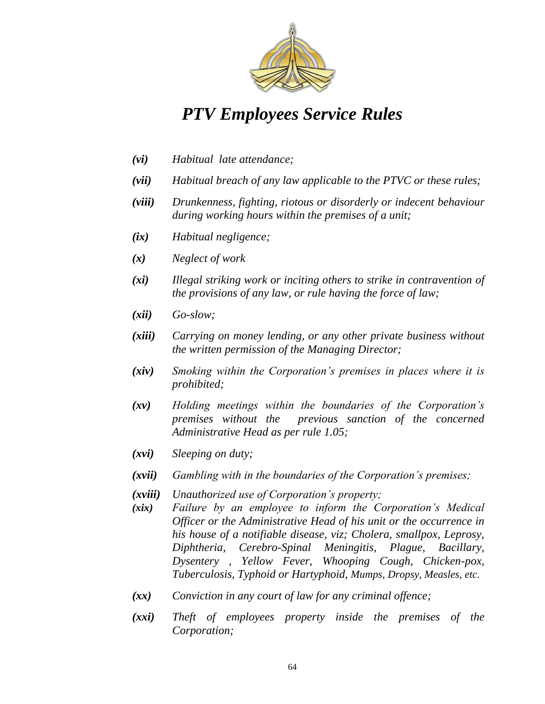

- *(vi) Habitual late attendance;*
- *(vii) Habitual breach of any law applicable to the PTVC or these rules;*
- *(viii) Drunkenness, fighting, riotous or disorderly or indecent behaviour during working hours within the premises of a unit;*
- *(ix) Habitual negligence;*
- *(x) Neglect of work*
- *(xi) Illegal striking work or inciting others to strike in contravention of the provisions of any law, or rule having the force of law;*
- *(xii) Go-slow;*
- *(xiii) Carrying on money lending, or any other private business without the written permission of the Managing Director;*
- *(xiv) Smoking within the Corporation's premises in places where it is prohibited;*
- *(xv) Holding meetings within the boundaries of the Corporation's premises without the previous sanction of the concerned Administrative Head as per rule 1.05;*
- *(xvi) Sleeping on duty;*
- *(xvii) Gambling with in the boundaries of the Corporation's premises;*
- *(xviii) Unauthorized use of Corporation's property;*
- *(xix) Failure by an employee to inform the Corporation's Medical Officer or the Administrative Head of his unit or the occurrence in his house of a notifiable disease, viz; Cholera, smallpox, Leprosy, Diphtheria, Cerebro-Spinal Meningitis, Plague, Bacillary, Dysentery , Yellow Fever, Whooping Cough, Chicken-pox, Tuberculosis, Typhoid or Hartyphoid, Mumps, Dropsy, Measles, etc.*
- *(xx) Conviction in any court of law for any criminal offence;*
- *(xxi) Theft of employees property inside the premises of the Corporation;*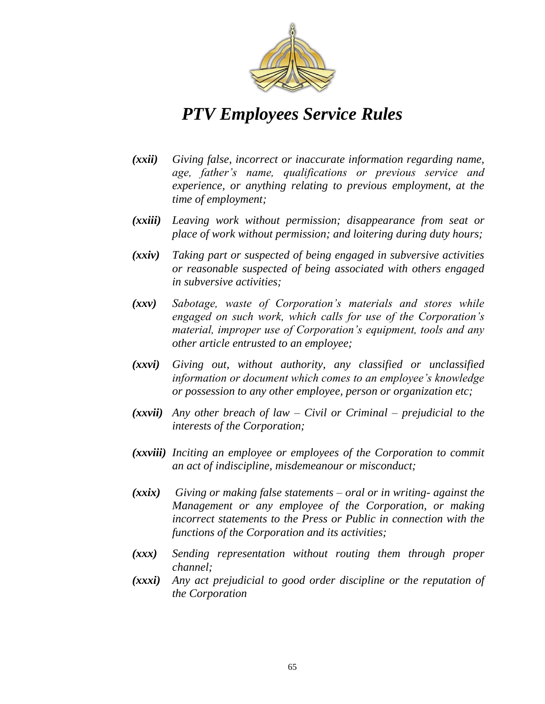

- *(xxii) Giving false, incorrect or inaccurate information regarding name, age, father's name, qualifications or previous service and experience, or anything relating to previous employment, at the time of employment;*
- *(xxiii) Leaving work without permission; disappearance from seat or place of work without permission; and loitering during duty hours;*
- *(xxiv) Taking part or suspected of being engaged in subversive activities or reasonable suspected of being associated with others engaged in subversive activities;*
- *(xxv) Sabotage, waste of Corporation's materials and stores while engaged on such work, which calls for use of the Corporation's material, improper use of Corporation's equipment, tools and any other article entrusted to an employee;*
- *(xxvi) Giving out, without authority, any classified or unclassified information or document which comes to an employee's knowledge or possession to any other employee, person or organization etc;*
- *(xxvii) Any other breach of law – Civil or Criminal – prejudicial to the interests of the Corporation;*
- *(xxviii) Inciting an employee or employees of the Corporation to commit an act of indiscipline, misdemeanour or misconduct;*
- *(xxix) Giving or making false statements – oral or in writing- against the Management or any employee of the Corporation, or making incorrect statements to the Press or Public in connection with the functions of the Corporation and its activities;*
- *(xxx) Sending representation without routing them through proper channel;*
- *(xxxi) Any act prejudicial to good order discipline or the reputation of the Corporation*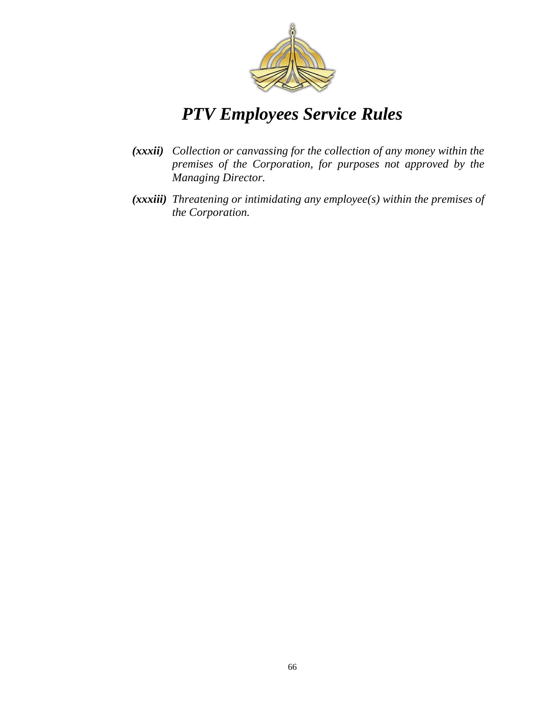

- *(xxxii) Collection or canvassing for the collection of any money within the premises of the Corporation, for purposes not approved by the Managing Director.*
- *(xxxiii) Threatening or intimidating any employee(s) within the premises of the Corporation.*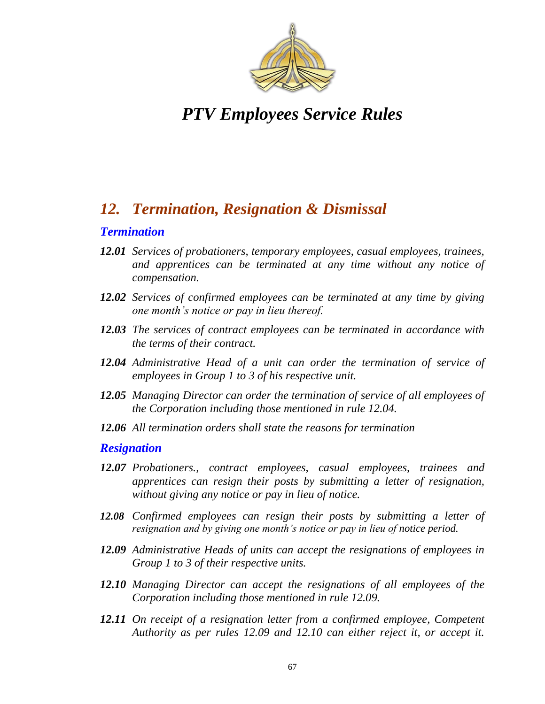

### *12. Termination, Resignation & Dismissal*

#### *Termination*

- *12.01 Services of probationers, temporary employees, casual employees, trainees, and apprentices can be terminated at any time without any notice of compensation.*
- *12.02 Services of confirmed employees can be terminated at any time by giving one month's notice or pay in lieu thereof.*
- *12.03 The services of contract employees can be terminated in accordance with the terms of their contract.*
- *12.04 Administrative Head of a unit can order the termination of service of employees in Group 1 to 3 of his respective unit.*
- *12.05 Managing Director can order the termination of service of all employees of the Corporation including those mentioned in rule 12.04.*
- *12.06 All termination orders shall state the reasons for termination*

#### *Resignation*

- *12.07 Probationers., contract employees, casual employees, trainees and apprentices can resign their posts by submitting a letter of resignation, without giving any notice or pay in lieu of notice.*
- *12.08 Confirmed employees can resign their posts by submitting a letter of resignation and by giving one month's notice or pay in lieu of notice period.*
- *12.09 Administrative Heads of units can accept the resignations of employees in Group 1 to 3 of their respective units.*
- *12.10 Managing Director can accept the resignations of all employees of the Corporation including those mentioned in rule 12.09.*
- *12.11 On receipt of a resignation letter from a confirmed employee, Competent Authority as per rules 12.09 and 12.10 can either reject it, or accept it.*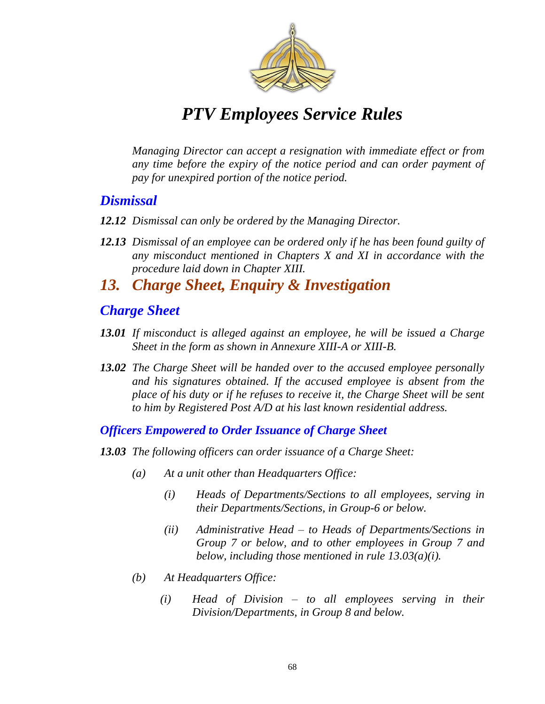

*Managing Director can accept a resignation with immediate effect or from any time before the expiry of the notice period and can order payment of pay for unexpired portion of the notice period.*

### *Dismissal*

- *12.12 Dismissal can only be ordered by the Managing Director.*
- *12.13 Dismissal of an employee can be ordered only if he has been found guilty of any misconduct mentioned in Chapters X and XI in accordance with the procedure laid down in Chapter XIII.*

### *13. Charge Sheet, Enquiry & Investigation*

### *Charge Sheet*

- *13.01 If misconduct is alleged against an employee, he will be issued a Charge Sheet in the form as shown in Annexure XIII-A or XIII-B.*
- *13.02 The Charge Sheet will be handed over to the accused employee personally and his signatures obtained. If the accused employee is absent from the place of his duty or if he refuses to receive it, the Charge Sheet will be sent to him by Registered Post A/D at his last known residential address.*

*Officers Empowered to Order Issuance of Charge Sheet*

- *13.03 The following officers can order issuance of a Charge Sheet:*
	- *(a) At a unit other than Headquarters Office:*
		- *(i) Heads of Departments/Sections to all employees, serving in their Departments/Sections, in Group-6 or below.*
		- *(ii) Administrative Head – to Heads of Departments/Sections in Group 7 or below, and to other employees in Group 7 and below, including those mentioned in rule 13.03(a)(i).*
	- *(b) At Headquarters Office:*
		- *(i) Head of Division – to all employees serving in their Division/Departments, in Group 8 and below.*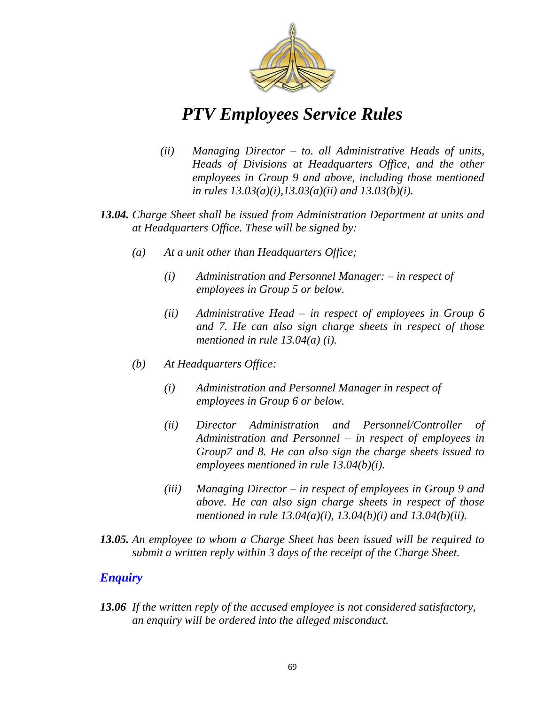

- *(ii) Managing Director – to. all Administrative Heads of units, Heads of Divisions at Headquarters Office, and the other employees in Group 9 and above, including those mentioned in rules 13.03(a)(i),13.03(a)(ii) and 13.03(b)(i).*
- *13.04. Charge Sheet shall be issued from Administration Department at units and at Headquarters Office. These will be signed by:* 
	- *(a) At a unit other than Headquarters Office;*
		- *(i) Administration and Personnel Manager: – in respect of employees in Group 5 or below.*
		- *(ii) Administrative Head – in respect of employees in Group 6 and 7. He can also sign charge sheets in respect of those mentioned in rule 13.04(a) (i).*
	- *(b) At Headquarters Office:*
		- *(i) Administration and Personnel Manager in respect of employees in Group 6 or below.*
		- *(ii) Director Administration and Personnel/Controller of Administration and Personnel – in respect of employees in Group7 and 8. He can also sign the charge sheets issued to employees mentioned in rule 13.04(b)(i).*
		- *(iii) Managing Director – in respect of employees in Group 9 and above. He can also sign charge sheets in respect of those mentioned in rule 13.04(a)(i), 13.04(b)(i) and 13.04(b)(ii).*
- *13.05. An employee to whom a Charge Sheet has been issued will be required to submit a written reply within 3 days of the receipt of the Charge Sheet.*

#### *Enquiry*

*13.06 If the written reply of the accused employee is not considered satisfactory, an enquiry will be ordered into the alleged misconduct.*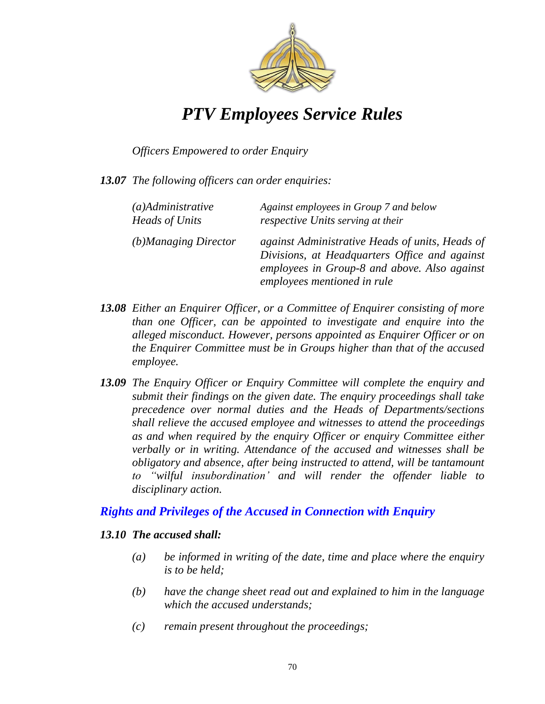

#### *Officers Empowered to order Enquiry*

*13.07 The following officers can order enquiries:*

| $(a)$ Administrative  | Against employees in Group 7 and below                                                                                                                                          |
|-----------------------|---------------------------------------------------------------------------------------------------------------------------------------------------------------------------------|
| <b>Heads of Units</b> | respective Units serving at their                                                                                                                                               |
| (b)Managing Director  | against Administrative Heads of units, Heads of<br>Divisions, at Headquarters Office and against<br>employees in Group-8 and above. Also against<br>employees mentioned in rule |

- *13.08 Either an Enquirer Officer, or a Committee of Enquirer consisting of more than one Officer, can be appointed to investigate and enquire into the alleged misconduct. However, persons appointed as Enquirer Officer or on the Enquirer Committee must be in Groups higher than that of the accused employee.*
- *13.09 The Enquiry Officer or Enquiry Committee will complete the enquiry and submit their findings on the given date. The enquiry proceedings shall take precedence over normal duties and the Heads of Departments/sections shall relieve the accused employee and witnesses to attend the proceedings as and when required by the enquiry Officer or enquiry Committee either verbally or in writing. Attendance of the accused and witnesses shall be obligatory and absence, after being instructed to attend, will be tantamount to ―wilful insubordination' and will render the offender liable to disciplinary action.*

#### *Rights and Privileges of the Accused in Connection with Enquiry*

#### *13.10 The accused shall:*

- *(a) be informed in writing of the date, time and place where the enquiry is to be held;*
- *(b) have the change sheet read out and explained to him in the language which the accused understands;*
- *(c) remain present throughout the proceedings;*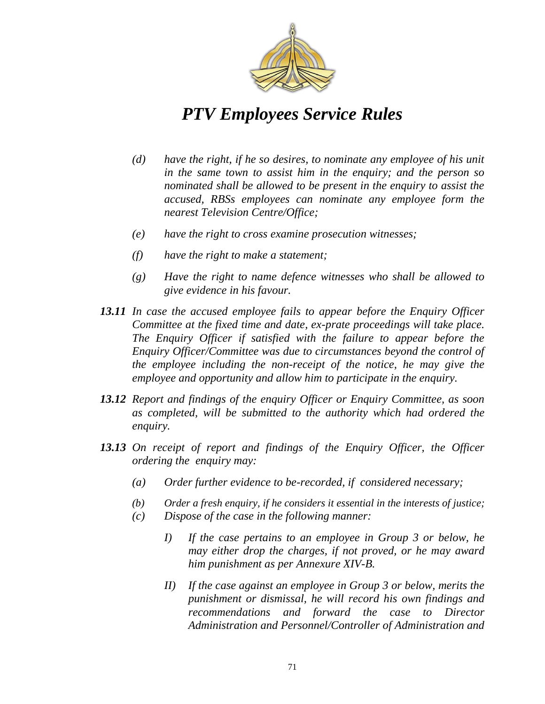

- *(d) have the right, if he so desires, to nominate any employee of his unit in the same town to assist him in the enquiry; and the person so nominated shall be allowed to be present in the enquiry to assist the accused, RBSs employees can nominate any employee form the nearest Television Centre/Office;*
- *(e) have the right to cross examine prosecution witnesses;*
- *(f) have the right to make a statement;*
- *(g) Have the right to name defence witnesses who shall be allowed to give evidence in his favour.*
- *13.11 In case the accused employee fails to appear before the Enquiry Officer Committee at the fixed time and date, ex-prate proceedings will take place. The Enquiry Officer if satisfied with the failure to appear before the Enquiry Officer/Committee was due to circumstances beyond the control of the employee including the non-receipt of the notice, he may give the employee and opportunity and allow him to participate in the enquiry.*
- *13.12 Report and findings of the enquiry Officer or Enquiry Committee, as soon as completed, will be submitted to the authority which had ordered the enquiry.*
- 13.13 On receipt of report and findings of the Enquiry Officer, the Officer *ordering the enquiry may:*
	- *(a) Order further evidence to be-recorded, if considered necessary;*
	- *(b) Order a fresh enquiry, if he considers it essential in the interests of justice;*
	- *(c) Dispose of the case in the following manner:*
		- *I) If the case pertains to an employee in Group 3 or below, he may either drop the charges, if not proved, or he may award him punishment as per Annexure XIV-B.*
		- *II) If the case against an employee in Group 3 or below, merits the punishment or dismissal, he will record his own findings and recommendations and forward the case to Director Administration and Personnel/Controller of Administration and*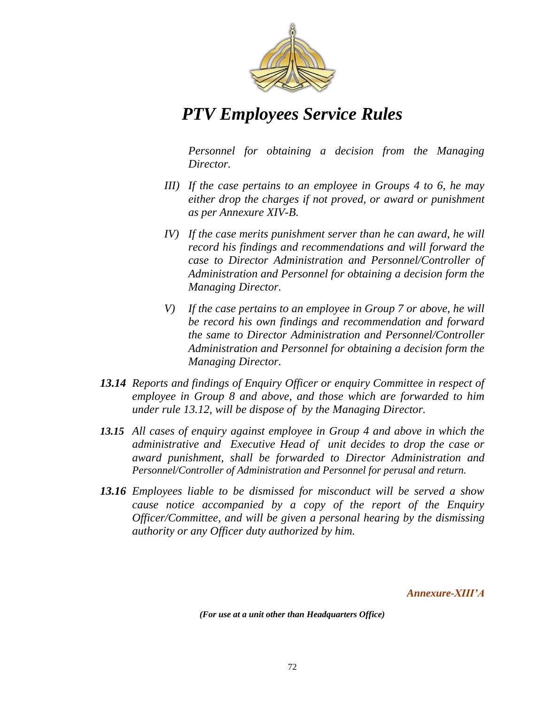

*Personnel for obtaining a decision from the Managing Director.*

- *III) If the case pertains to an employee in Groups 4 to 6, he may either drop the charges if not proved, or award or punishment as per Annexure XIV-B.*
- *IV) If the case merits punishment server than he can award, he will record his findings and recommendations and will forward the case to Director Administration and Personnel/Controller of Administration and Personnel for obtaining a decision form the Managing Director.*
- *V) If the case pertains to an employee in Group 7 or above, he will be record his own findings and recommendation and forward the same to Director Administration and Personnel/Controller Administration and Personnel for obtaining a decision form the Managing Director.*
- *13.14 Reports and findings of Enquiry Officer or enquiry Committee in respect of employee in Group 8 and above, and those which are forwarded to him under rule 13.12, will be dispose of by the Managing Director.*
- *13.15 All cases of enquiry against employee in Group 4 and above in which the administrative and Executive Head of unit decides to drop the case or award punishment, shall be forwarded to Director Administration and Personnel/Controller of Administration and Personnel for perusal and return.*
- *13.16 Employees liable to be dismissed for misconduct will be served a show cause notice accompanied by a copy of the report of the Enquiry Officer/Committee, and will be given a personal hearing by the dismissing authority or any Officer duty authorized by him.*

*Annexure-XIII'A*

*(For use at a unit other than Headquarters Office)*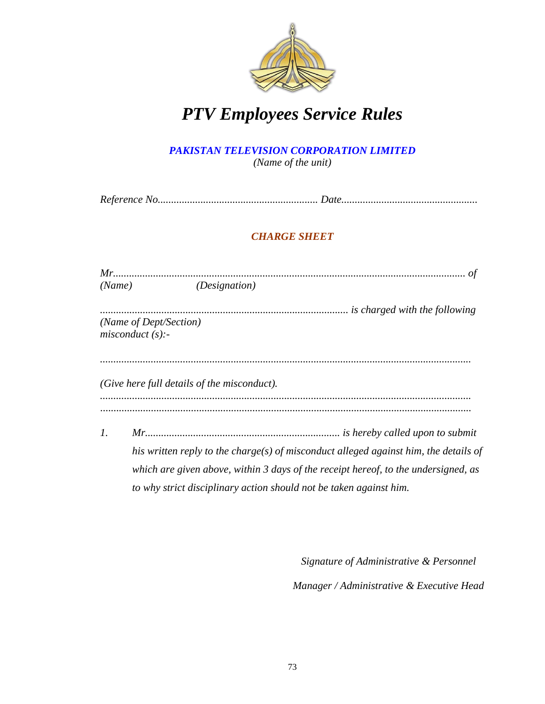

#### *PAKISTAN TELEVISION CORPORATION LIMITED (Name of the unit)*

*Reference No............................................................ Date...................................................*

### *CHARGE SHEET*

| (Name)          | <i>(Designation)</i>                                                                 |
|-----------------|--------------------------------------------------------------------------------------|
|                 |                                                                                      |
|                 | (Name of Dept/Section)                                                               |
|                 | misconduct(s):                                                                       |
|                 |                                                                                      |
|                 | (Give here full details of the misconduct).                                          |
|                 |                                                                                      |
| $\mathcal{I}$ . |                                                                                      |
|                 | his written reply to the charge(s) of misconduct alleged against him, the details of |
|                 | which are given above, within 3 days of the receipt hereof, to the undersigned, as   |
|                 | to why strict disciplinary action should not be taken against him.                   |

*Signature of Administrative & Personnel Manager / Administrative & Executive Head*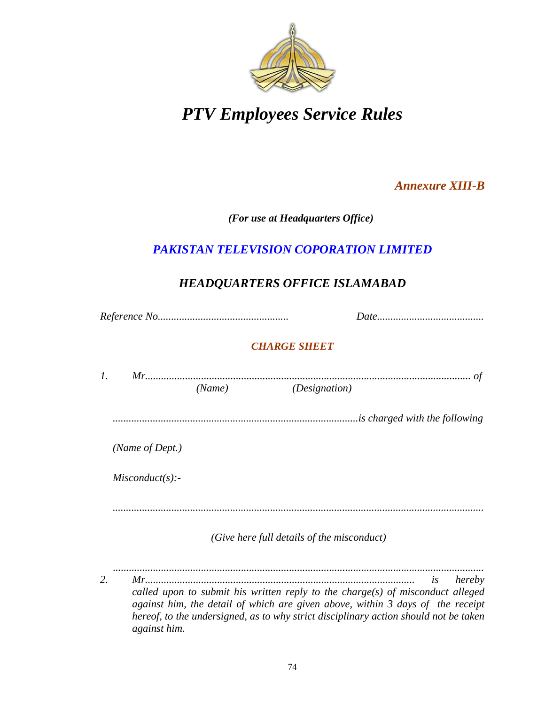

### *Annexure XIII-B*

*(For use at Headquarters Office)*

### *PAKISTAN TELEVISION COPORATION LIMITED*

### *HEADQUARTERS OFFICE ISLAMABAD*

*Reference No................................................. Date........................................*

### *CHARGE SHEET*

|    | Mr<br>оt                                                                                                                                                                                                                                                                                                         |
|----|------------------------------------------------------------------------------------------------------------------------------------------------------------------------------------------------------------------------------------------------------------------------------------------------------------------|
|    | (Name)<br><i>(Designation)</i>                                                                                                                                                                                                                                                                                   |
|    |                                                                                                                                                                                                                                                                                                                  |
|    | (Name of Dept.)                                                                                                                                                                                                                                                                                                  |
|    | Misconduct(s):                                                                                                                                                                                                                                                                                                   |
|    |                                                                                                                                                                                                                                                                                                                  |
|    | (Give here full details of the misconduct)                                                                                                                                                                                                                                                                       |
| 2. | $Mr_{\cdots}$<br>hereby<br>is<br>called upon to submit his written reply to the charge(s) of misconduct alleged<br>against him, the detail of which are given above, within 3 days of the receipt<br>hereof, to the undersigned, as to why strict disciplinary action should not be taken<br><i>against him.</i> |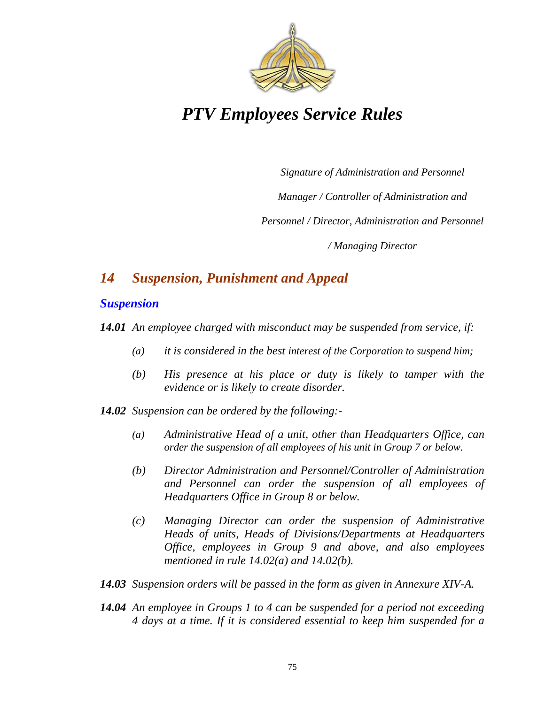

*Signature of Administration and Personnel*

*Manager / Controller of Administration and* 

*Personnel / Director, Administration and Personnel* 

*/ Managing Director*

### *14 Suspension, Punishment and Appeal*

### *Suspension*

*14.01 An employee charged with misconduct may be suspended from service, if:*

- *(a) it is considered in the best interest of the Corporation to suspend him;*
- *(b) His presence at his place or duty is likely to tamper with the evidence or is likely to create disorder.*
- *14.02 Suspension can be ordered by the following:-*
	- *(a) Administrative Head of a unit, other than Headquarters Office, can order the suspension of all employees of his unit in Group 7 or below.*
	- *(b) Director Administration and Personnel/Controller of Administration and Personnel can order the suspension of all employees of Headquarters Office in Group 8 or below.*
	- *(c) Managing Director can order the suspension of Administrative Heads of units, Heads of Divisions/Departments at Headquarters Office, employees in Group 9 and above, and also employees mentioned in rule 14.02(a) and 14.02(b).*
- *14.03 Suspension orders will be passed in the form as given in Annexure XIV-A.*
- *14.04 An employee in Groups 1 to 4 can be suspended for a period not exceeding 4 days at a time. If it is considered essential to keep him suspended for a*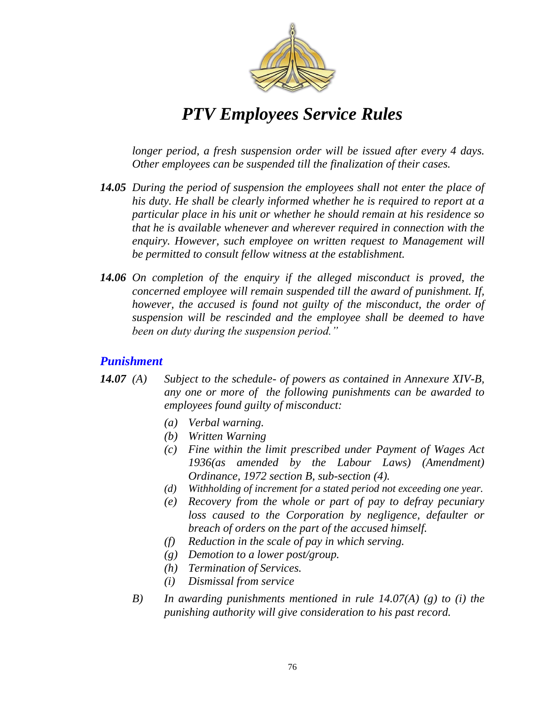

*longer period, a fresh suspension order will be issued after every 4 days. Other employees can be suspended till the finalization of their cases.*

- *14.05 During the period of suspension the employees shall not enter the place of his duty. He shall be clearly informed whether he is required to report at a particular place in his unit or whether he should remain at his residence so that he is available whenever and wherever required in connection with the enquiry. However, such employee on written request to Management will be permitted to consult fellow witness at the establishment.*
- *14.06 On completion of the enquiry if the alleged misconduct is proved, the concerned employee will remain suspended till the award of punishment. If, however, the accused is found not guilty of the misconduct, the order of suspension will be rescinded and the employee shall be deemed to have been on duty during the suspension period.‖*

### *Punishment*

- *14.07 (A) Subject to the schedule- of powers as contained in Annexure XIV-B, any one or more of the following punishments can be awarded to employees found guilty of misconduct:*
	- *(a) Verbal warning.*
	- *(b) Written Warning*
	- *(c) Fine within the limit prescribed under Payment of Wages Act 1936(as amended by the Labour Laws) (Amendment) Ordinance, 1972 section B, sub-section (4).*
	- *(d) Withholding of increment for a stated period not exceeding one year.*
	- *(e) Recovery from the whole or part of pay to defray pecuniary loss caused to the Corporation by negligence, defaulter or breach of orders on the part of the accused himself.*
	- *(f) Reduction in the scale of pay in which serving.*
	- *(g) Demotion to a lower post/group.*
	- *(h) Termination of Services.*
	- *(i) Dismissal from service*
	- *B) In awarding punishments mentioned in rule 14.07(A) (g) to (i) the punishing authority will give consideration to his past record.*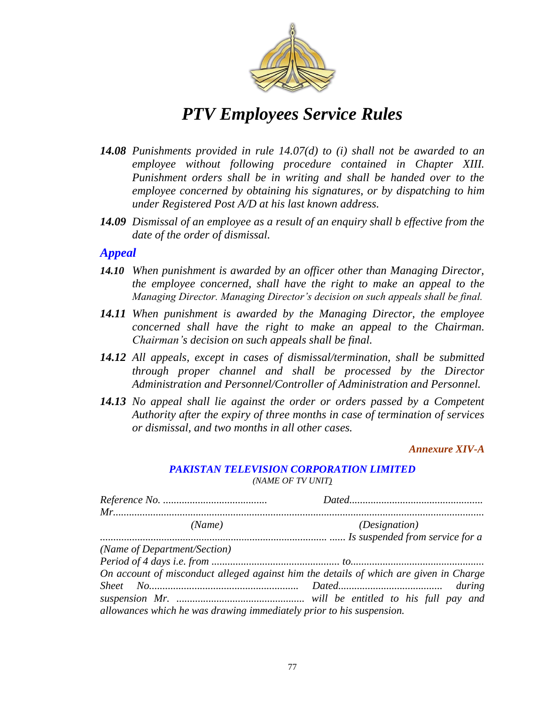

- *14.08 Punishments provided in rule 14.07(d) to (i) shall not be awarded to an employee without following procedure contained in Chapter XIII. Punishment orders shall be in writing and shall be handed over to the employee concerned by obtaining his signatures, or by dispatching to him under Registered Post A/D at his last known address.*
- *14.09 Dismissal of an employee as a result of an enquiry shall b effective from the date of the order of dismissal.*

#### *Appeal*

- *14.10 When punishment is awarded by an officer other than Managing Director, the employee concerned, shall have the right to make an appeal to the Managing Director. Managing Director's decision on such appeals shall be final.*
- *14.11 When punishment is awarded by the Managing Director, the employee concerned shall have the right to make an appeal to the Chairman. Chairman's decision on such appeals shall be final.*
- *14.12 All appeals, except in cases of dismissal/termination, shall be submitted through proper channel and shall be processed by the Director Administration and Personnel/Controller of Administration and Personnel.*
- *14.13 No appeal shall lie against the order or orders passed by a Competent Authority after the expiry of three months in case of termination of services or dismissal, and two months in all other cases.*

*Annexure XIV-A* 

#### *PAKISTAN TELEVISION CORPORATION LIMITED (NAME OF TV UNIT)*

| (Name)                                                                                | <i>(Designation)</i> |
|---------------------------------------------------------------------------------------|----------------------|
|                                                                                       |                      |
| (Name of Department/Section)                                                          |                      |
|                                                                                       |                      |
| On account of misconduct alleged against him the details of which are given in Charge |                      |
|                                                                                       |                      |
|                                                                                       |                      |
| allowances which he was drawing immediately prior to his suspension.                  |                      |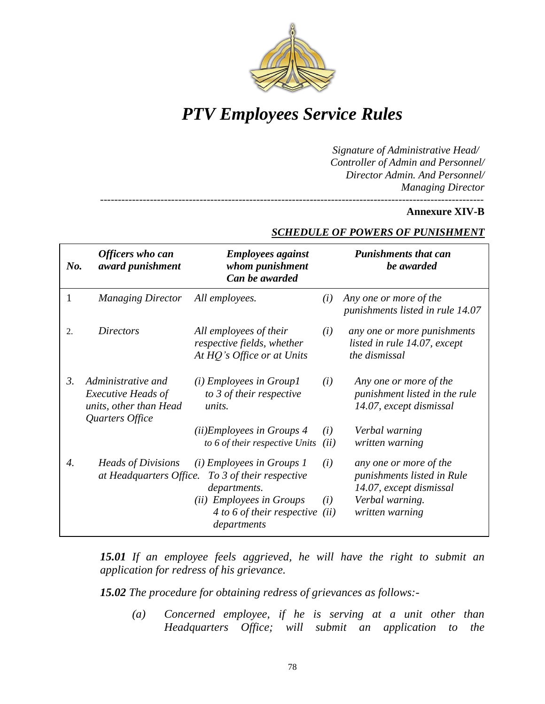

*------------------------------------------------------------------------------------------------------------*

*Signature of Administrative Head/ Controller of Admin and Personnel/ Director Admin. And Personnel/ Managing Director*

#### **Annexure XIV-B**

| Officers who can<br>award punishment                                      | <b>Employees against</b><br>whom punishment<br>Can be awarded                                       |                                                                     | <b>Punishments that can</b><br>be awarded                                                                             |
|---------------------------------------------------------------------------|-----------------------------------------------------------------------------------------------------|---------------------------------------------------------------------|-----------------------------------------------------------------------------------------------------------------------|
| <b>Managing Director</b>                                                  | All employees.                                                                                      | (i)                                                                 | Any one or more of the<br>punishments listed in rule 14.07                                                            |
| <b>Directors</b>                                                          | All employees of their<br>respective fields, whether<br>At HQ's Office or at Units                  | (i)                                                                 | any one or more punishments<br>listed in rule 14.07, except<br>the dismissal                                          |
| Administrative and<br><b>Executive Heads of</b><br>units, other than Head | $(i)$ Employees in Group1<br>to 3 of their respective<br>units.                                     | (i)                                                                 | Any one or more of the<br>punishment listed in the rule<br>14.07, except dismissal                                    |
|                                                                           | (ii)Employees in Groups 4<br>to 6 of their respective Units                                         | (i)<br>(ii)                                                         | Verbal warning<br>written warning                                                                                     |
|                                                                           | $(i)$ Employees in Groups 1<br>To 3 of their respective<br>departments.<br>(ii) Employees in Groups | (i)<br>(i)<br>(ii)                                                  | any one or more of the<br>punishments listed in Rule<br>14.07, except dismissal<br>Verbal warning.<br>written warning |
|                                                                           | Quarters Office                                                                                     | <i>Heads of Divisions</i><br>at Headquarters Office.<br>departments | 4 to 6 of their respective                                                                                            |

#### *SCHEDULE OF POWERS OF PUNISHMENT*

*15.01 If an employee feels aggrieved, he will have the right to submit an application for redress of his grievance.*

*15.02 The procedure for obtaining redress of grievances as follows:-*

*(a) Concerned employee, if he is serving at a unit other than Headquarters Office; will submit an application to the*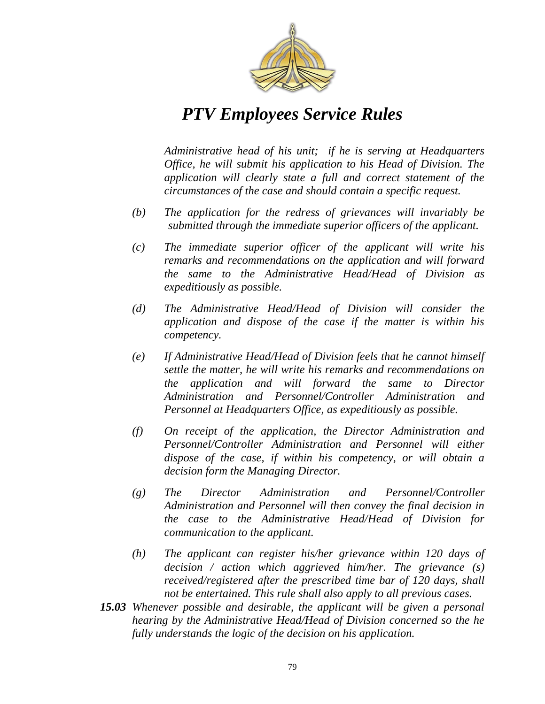

*Administrative head of his unit; if he is serving at Headquarters Office, he will submit his application to his Head of Division. The application will clearly state a full and correct statement of the circumstances of the case and should contain a specific request.*

- *(b) The application for the redress of grievances will invariably be submitted through the immediate superior officers of the applicant.*
- *(c) The immediate superior officer of the applicant will write his remarks and recommendations on the application and will forward the same to the Administrative Head/Head of Division as expeditiously as possible.*
- *(d) The Administrative Head/Head of Division will consider the application and dispose of the case if the matter is within his competency.*
- *(e) If Administrative Head/Head of Division feels that he cannot himself settle the matter, he will write his remarks and recommendations on the application and will forward the same to Director Administration and Personnel/Controller Administration and Personnel at Headquarters Office, as expeditiously as possible.*
- *(f) On receipt of the application, the Director Administration and Personnel/Controller Administration and Personnel will either dispose of the case, if within his competency, or will obtain a decision form the Managing Director.*
- *(g) The Director Administration and Personnel/Controller Administration and Personnel will then convey the final decision in the case to the Administrative Head/Head of Division for communication to the applicant.*
- *(h) The applicant can register his/her grievance within 120 days of decision / action which aggrieved him/her. The grievance (s) received/registered after the prescribed time bar of 120 days, shall not be entertained. This rule shall also apply to all previous cases.*
- *15.03 Whenever possible and desirable, the applicant will be given a personal hearing by the Administrative Head/Head of Division concerned so the he fully understands the logic of the decision on his application.*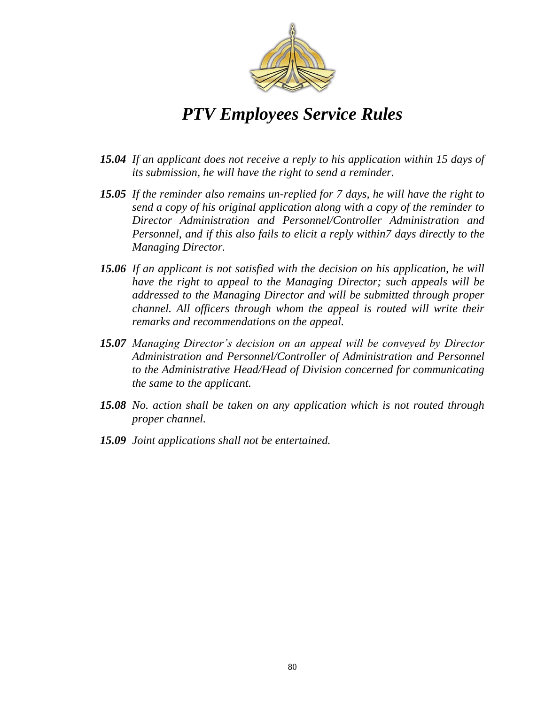

- *15.04 If an applicant does not receive a reply to his application within 15 days of its submission, he will have the right to send a reminder.*
- *15.05 If the reminder also remains un-replied for 7 days, he will have the right to send a copy of his original application along with a copy of the reminder to Director Administration and Personnel/Controller Administration and Personnel, and if this also fails to elicit a reply within7 days directly to the Managing Director.*
- *15.06 If an applicant is not satisfied with the decision on his application, he will have the right to appeal to the Managing Director; such appeals will be addressed to the Managing Director and will be submitted through proper channel. All officers through whom the appeal is routed will write their remarks and recommendations on the appeal.*
- *15.07 Managing Director's decision on an appeal will be conveyed by Director Administration and Personnel/Controller of Administration and Personnel to the Administrative Head/Head of Division concerned for communicating the same to the applicant.*
- *15.08 No. action shall be taken on any application which is not routed through proper channel.*
- *15.09 Joint applications shall not be entertained.*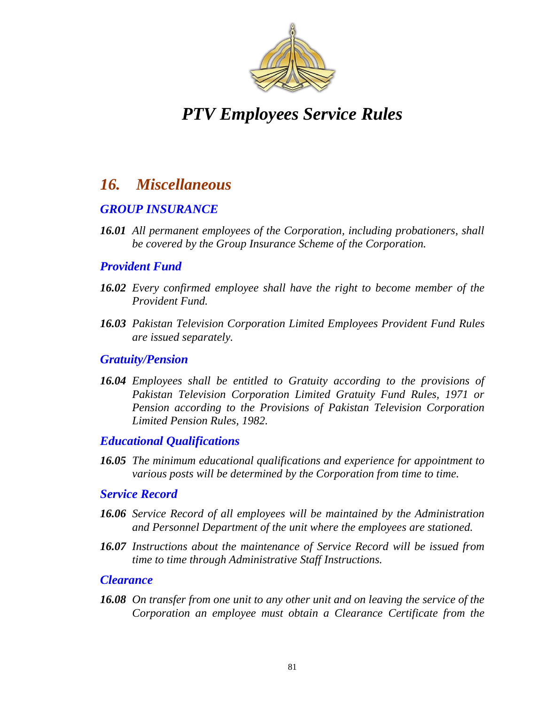

### *16. Miscellaneous*

### *GROUP INSURANCE*

*16.01 All permanent employees of the Corporation, including probationers, shall be covered by the Group Insurance Scheme of the Corporation.*

### *Provident Fund*

- *16.02 Every confirmed employee shall have the right to become member of the Provident Fund.*
- *16.03 Pakistan Television Corporation Limited Employees Provident Fund Rules are issued separately.*

#### *Gratuity/Pension*

*16.04 Employees shall be entitled to Gratuity according to the provisions of Pakistan Television Corporation Limited Gratuity Fund Rules, 1971 or Pension according to the Provisions of Pakistan Television Corporation Limited Pension Rules, 1982.*

### *Educational Qualifications*

*16.05 The minimum educational qualifications and experience for appointment to various posts will be determined by the Corporation from time to time.*

#### *Service Record*

- *16.06 Service Record of all employees will be maintained by the Administration and Personnel Department of the unit where the employees are stationed.*
- *16.07 Instructions about the maintenance of Service Record will be issued from time to time through Administrative Staff Instructions.*

#### *Clearance*

*16.08 On transfer from one unit to any other unit and on leaving the service of the Corporation an employee must obtain a Clearance Certificate from the*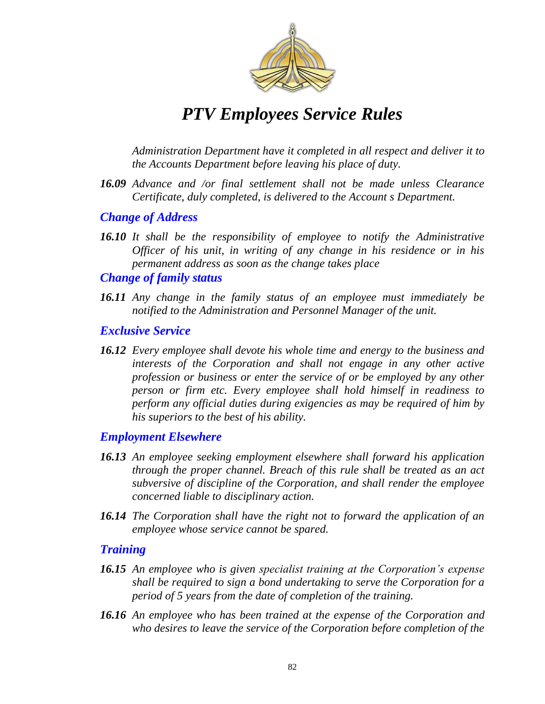

*Administration Department have it completed in all respect and deliver it to the Accounts Department before leaving his place of duty.*

*16.09 Advance and /or final settlement shall not be made unless Clearance Certificate, duly completed, is delivered to the Account s Department.*

### *Change of Address*

*16.10 It shall be the responsibility of employee to notify the Administrative Officer of his unit, in writing of any change in his residence or in his permanent address as soon as the change takes place*

#### *Change of family status*

*16.11 Any change in the family status of an employee must immediately be notified to the Administration and Personnel Manager of the unit.* 

#### *Exclusive Service*

*16.12 Every employee shall devote his whole time and energy to the business and interests of the Corporation and shall not engage in any other active profession or business or enter the service of or be employed by any other person or firm etc. Every employee shall hold himself in readiness to perform any official duties during exigencies as may be required of him by his superiors to the best of his ability.*

### *Employment Elsewhere*

- *16.13 An employee seeking employment elsewhere shall forward his application through the proper channel. Breach of this rule shall be treated as an act subversive of discipline of the Corporation, and shall render the employee concerned liable to disciplinary action.*
- *16.14 The Corporation shall have the right not to forward the application of an employee whose service cannot be spared.*

### *Training*

- *16.15 An employee who is given specialist training at the Corporation's expense shall be required to sign a bond undertaking to serve the Corporation for a period of 5 years from the date of completion of the training.*
- *16.16 An employee who has been trained at the expense of the Corporation and who desires to leave the service of the Corporation before completion of the*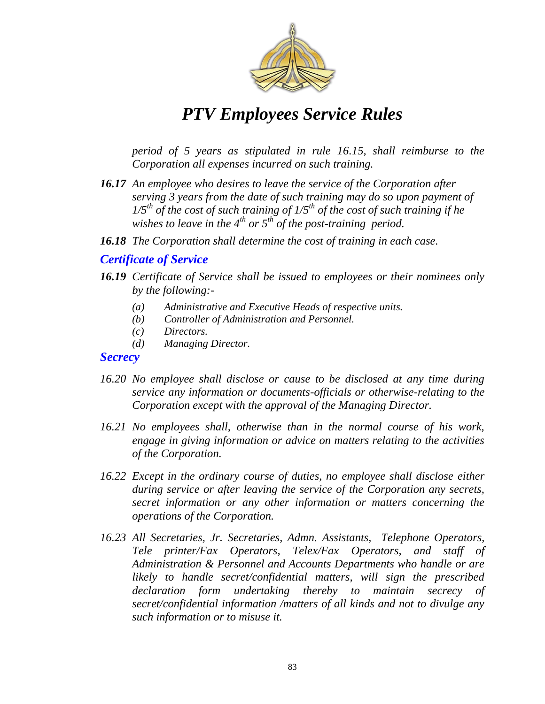

*period of 5 years as stipulated in rule 16.15, shall reimburse to the Corporation all expenses incurred on such training.*

- *16.17 An employee who desires to leave the service of the Corporation after serving 3 years from the date of such training may do so upon payment of 1/5th of the cost of such training of 1/5th of the cost of such training if he wishes to leave in the 4th or 5th of the post-training period.*
- *16.18 The Corporation shall determine the cost of training in each case.*

### *Certificate of Service*

- *16.19 Certificate of Service shall be issued to employees or their nominees only by the following:-*
	- *(a) Administrative and Executive Heads of respective units.*
	- *(b) Controller of Administration and Personnel.*
	- *(c) Directors.*
	- *(d) Managing Director.*

#### *Secrecy*

- *16.20 No employee shall disclose or cause to be disclosed at any time during service any information or documents-officials or otherwise-relating to the Corporation except with the approval of the Managing Director.*
- *16.21 No employees shall, otherwise than in the normal course of his work, engage in giving information or advice on matters relating to the activities of the Corporation.*
- *16.22 Except in the ordinary course of duties, no employee shall disclose either during service or after leaving the service of the Corporation any secrets, secret information or any other information or matters concerning the operations of the Corporation.*
- *16.23 All Secretaries, Jr. Secretaries, Admn. Assistants, Telephone Operators, Tele printer/Fax Operators, Telex/Fax Operators, and staff of Administration & Personnel and Accounts Departments who handle or are likely to handle secret/confidential matters, will sign the prescribed declaration form undertaking thereby to maintain secrecy of secret/confidential information /matters of all kinds and not to divulge any such information or to misuse it.*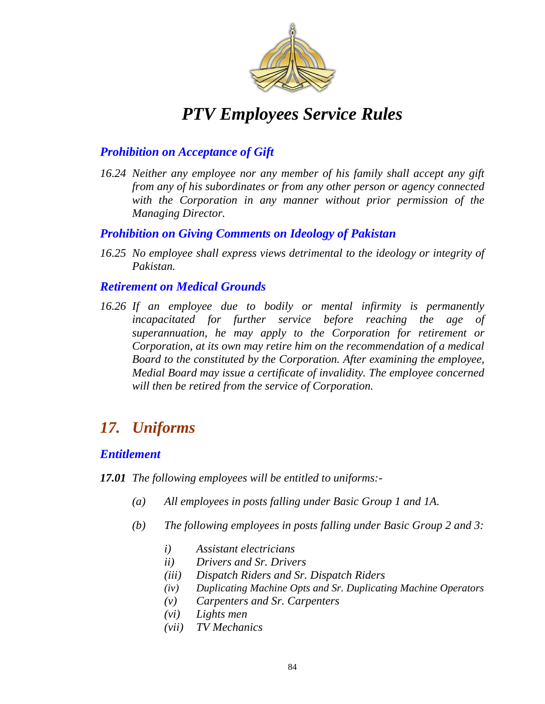

### *Prohibition on Acceptance of Gift*

*16.24 Neither any employee nor any member of his family shall accept any gift from any of his subordinates or from any other person or agency connected with the Corporation in any manner without prior permission of the Managing Director.*

### *Prohibition on Giving Comments on Ideology of Pakistan*

*16.25 No employee shall express views detrimental to the ideology or integrity of Pakistan.*

### *Retirement on Medical Grounds*

*16.26 If an employee due to bodily or mental infirmity is permanently incapacitated for further service before reaching the age of superannuation, he may apply to the Corporation for retirement or Corporation, at its own may retire him on the recommendation of a medical Board to the constituted by the Corporation. After examining the employee, Medial Board may issue a certificate of invalidity. The employee concerned will then be retired from the service of Corporation.* 

### *17. Uniforms*

### *Entitlement*

*17.01 The following employees will be entitled to uniforms:-*

- *(a) All employees in posts falling under Basic Group 1 and 1A.*
- *(b) The following employees in posts falling under Basic Group 2 and 3:*
	- *i) Assistant electricians*
	- *ii) Drivers and Sr. Drivers*
	- *(iii) Dispatch Riders and Sr. Dispatch Riders*
	- *(iv) Duplicating Machine Opts and Sr. Duplicating Machine Operators*
	- *(v) Carpenters and Sr. Carpenters*
	- *(vi) Lights men*
	- *(vii) TV Mechanics*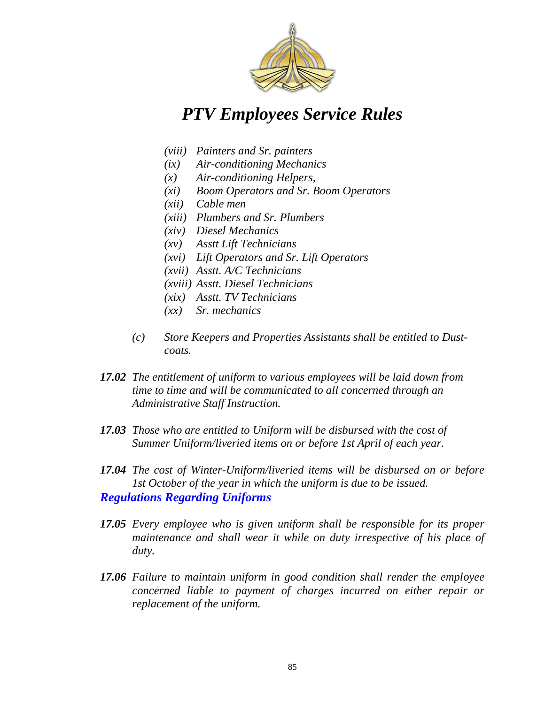

- *(viii) Painters and Sr. painters*
- *(ix) Air-conditioning Mechanics*
- *(x) Air-conditioning Helpers,*
- *(xi) Boom Operators and Sr. Boom Operators*
- *(xii) Cable men*
- *(xiii) Plumbers and Sr. Plumbers*
- *(xiv) Diesel Mechanics*
- *(xv) Asstt Lift Technicians*
- *(xvi) Lift Operators and Sr. Lift Operators*
- *(xvii) Asstt. A/C Technicians*
- *(xviii) Asstt. Diesel Technicians*
- *(xix) Asstt. TV Technicians*
- *(xx) Sr. mechanics*
- *(c) Store Keepers and Properties Assistants shall be entitled to Dustcoats.*
- *17.02 The entitlement of uniform to various employees will be laid down from time to time and will be communicated to all concerned through an Administrative Staff Instruction.*
- *17.03 Those who are entitled to Uniform will be disbursed with the cost of Summer Uniform/liveried items on or before 1st April of each year.*
- *17.04 The cost of Winter-Uniform/liveried items will be disbursed on or before 1st October of the year in which the uniform is due to be issued. Regulations Regarding Uniforms*
- *17.05 Every employee who is given uniform shall be responsible for its proper maintenance and shall wear it while on duty irrespective of his place of duty.*
- *17.06 Failure to maintain uniform in good condition shall render the employee concerned liable to payment of charges incurred on either repair or replacement of the uniform.*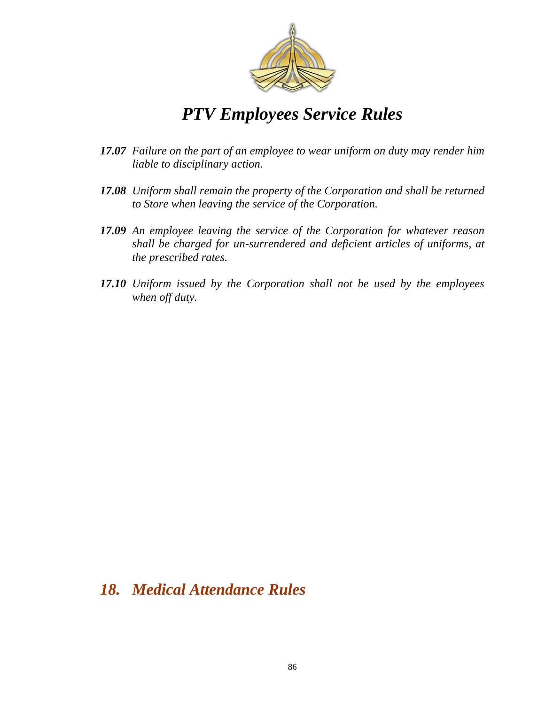

- *17.07 Failure on the part of an employee to wear uniform on duty may render him liable to disciplinary action.*
- *17.08 Uniform shall remain the property of the Corporation and shall be returned to Store when leaving the service of the Corporation.*
- *17.09 An employee leaving the service of the Corporation for whatever reason shall be charged for un-surrendered and deficient articles of uniforms, at the prescribed rates.*
- *17.10 Uniform issued by the Corporation shall not be used by the employees when off duty.*

### *18. Medical Attendance Rules*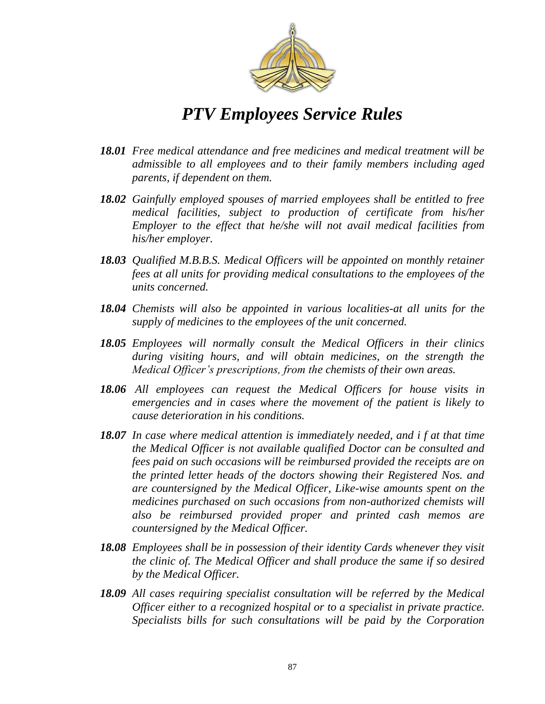

- *18.01 Free medical attendance and free medicines and medical treatment will be admissible to all employees and to their family members including aged parents, if dependent on them.*
- *18.02 Gainfully employed spouses of married employees shall be entitled to free medical facilities, subject to production of certificate from his/her Employer to the effect that he/she will not avail medical facilities from his/her employer.*
- *18.03 Qualified M.B.B.S. Medical Officers will be appointed on monthly retainer fees at all units for providing medical consultations to the employees of the units concerned.*
- *18.04 Chemists will also be appointed in various localities-at all units for the supply of medicines to the employees of the unit concerned.*
- *18.05 Employees will normally consult the Medical Officers in their clinics during visiting hours, and will obtain medicines, on the strength the Medical Officer's prescriptions, from the chemists of their own areas.*
- *18.06 All employees can request the Medical Officers for house visits in emergencies and in cases where the movement of the patient is likely to cause deterioration in his conditions.*
- *18.07 In case where medical attention is immediately needed, and i f at that time the Medical Officer is not available qualified Doctor can be consulted and fees paid on such occasions will be reimbursed provided the receipts are on the printed letter heads of the doctors showing their Registered Nos. and are countersigned by the Medical Officer, Like-wise amounts spent on the medicines purchased on such occasions from non-authorized chemists will also be reimbursed provided proper and printed cash memos are countersigned by the Medical Officer.*
- *18.08 Employees shall be in possession of their identity Cards whenever they visit the clinic of. The Medical Officer and shall produce the same if so desired by the Medical Officer.*
- *18.09 All cases requiring specialist consultation will be referred by the Medical Officer either to a recognized hospital or to a specialist in private practice. Specialists bills for such consultations will be paid by the Corporation*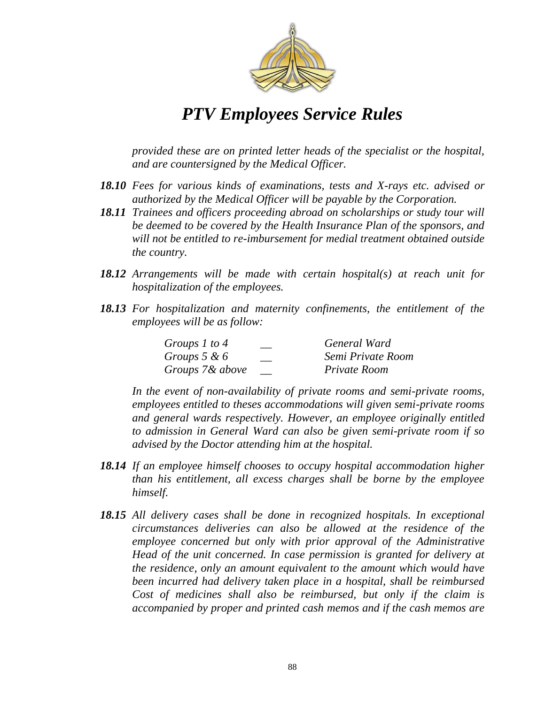

*provided these are on printed letter heads of the specialist or the hospital, and are countersigned by the Medical Officer.*

- *18.10 Fees for various kinds of examinations, tests and X-rays etc. advised or authorized by the Medical Officer will be payable by the Corporation.*
- *18.11 Trainees and officers proceeding abroad on scholarships or study tour will be deemed to be covered by the Health Insurance Plan of the sponsors, and will not be entitled to re-imbursement for medial treatment obtained outside the country.*
- *18.12 Arrangements will be made with certain hospital(s) at reach unit for hospitalization of the employees.*
- *18.13 For hospitalization and maternity confinements, the entitlement of the employees will be as follow:*

| Groups 1 to 4   | General Ward      |
|-----------------|-------------------|
| Groups $5 & 6$  | Semi Private Room |
| Groups 7& above | Private Room      |

*In the event of non-availability of private rooms and semi-private rooms, employees entitled to theses accommodations will given semi-private rooms and general wards respectively. However, an employee originally entitled to admission in General Ward can also be given semi-private room if so advised by the Doctor attending him at the hospital.*

- *18.14 If an employee himself chooses to occupy hospital accommodation higher than his entitlement, all excess charges shall be borne by the employee himself.*
- *18.15 All delivery cases shall be done in recognized hospitals. In exceptional circumstances deliveries can also be allowed at the residence of the employee concerned but only with prior approval of the Administrative Head of the unit concerned. In case permission is granted for delivery at the residence, only an amount equivalent to the amount which would have been incurred had delivery taken place in a hospital, shall be reimbursed Cost of medicines shall also be reimbursed, but only if the claim is accompanied by proper and printed cash memos and if the cash memos are*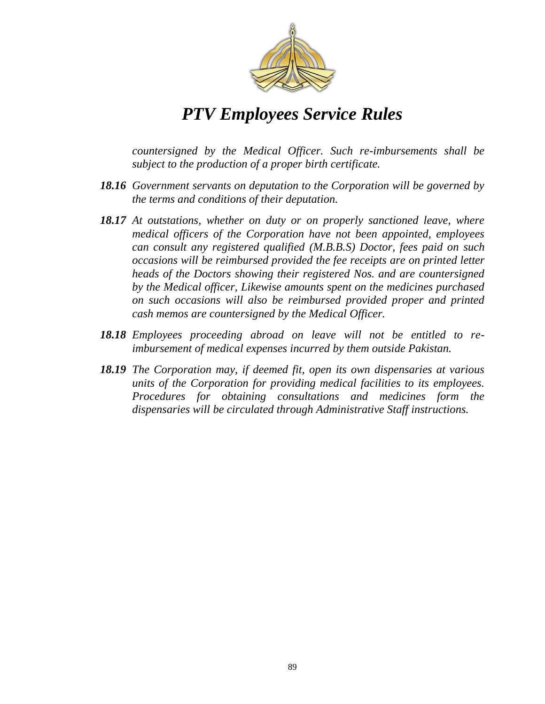

*countersigned by the Medical Officer. Such re-imbursements shall be subject to the production of a proper birth certificate.*

- *18.16 Government servants on deputation to the Corporation will be governed by the terms and conditions of their deputation.*
- *18.17 At outstations, whether on duty or on properly sanctioned leave, where medical officers of the Corporation have not been appointed, employees can consult any registered qualified (M.B.B.S) Doctor, fees paid on such occasions will be reimbursed provided the fee receipts are on printed letter heads of the Doctors showing their registered Nos. and are countersigned by the Medical officer, Likewise amounts spent on the medicines purchased on such occasions will also be reimbursed provided proper and printed cash memos are countersigned by the Medical Officer.*
- *18.18 Employees proceeding abroad on leave will not be entitled to reimbursement of medical expenses incurred by them outside Pakistan.*
- *18.19 The Corporation may, if deemed fit, open its own dispensaries at various units of the Corporation for providing medical facilities to its employees. Procedures for obtaining consultations and medicines form the dispensaries will be circulated through Administrative Staff instructions.*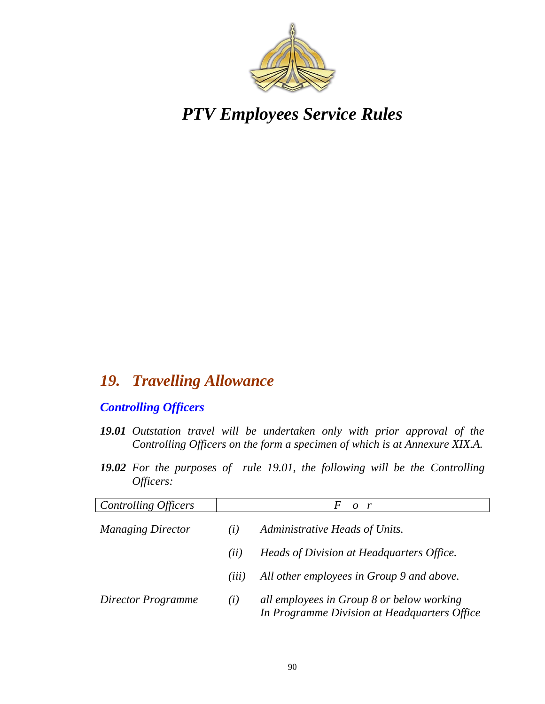

### *19. Travelling Allowance*

### *Controlling Officers*

- *19.01 Outstation travel will be undertaken only with prior approval of the Controlling Officers on the form a specimen of which is at Annexure XIX.A.*
- *19.02 For the purposes of rule 19.01, the following will be the Controlling Officers:*

| Controlling Officers     | $\Omega$<br>$\mathbf{r}$              |                                                                                           |
|--------------------------|---------------------------------------|-------------------------------------------------------------------------------------------|
| <b>Managing Director</b> | Administrative Heads of Units.<br>(i) |                                                                                           |
|                          | (ii)                                  | Heads of Division at Headquarters Office.                                                 |
|                          | $\left( \overline{u} \right)$         | All other employees in Group 9 and above.                                                 |
| Director Programme       | (i)                                   | all employees in Group 8 or below working<br>In Programme Division at Headquarters Office |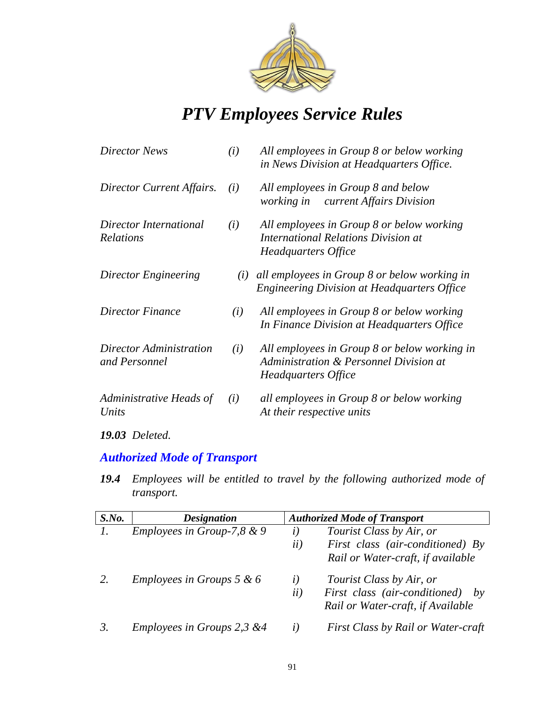

| (i) | All employees in Group 8 or below working<br>in News Division at Headquarters Office.                          |
|-----|----------------------------------------------------------------------------------------------------------------|
| (i) | All employees in Group 8 and below<br>current Affairs Division<br><i>working in</i>                            |
| (i) | All employees in Group 8 or below working<br><b>International Relations Division at</b><br>Headquarters Office |
| (i) | all employees in Group 8 or below working in<br><b>Engineering Division at Headquarters Office</b>             |
| (i) | All employees in Group 8 or below working<br>In Finance Division at Headquarters Office                        |
| (i) | All employees in Group 8 or below working in<br>Administration & Personnel Division at<br>Headquarters Office  |
| (i) | all employees in Group 8 or below working<br>At their respective units                                         |
|     |                                                                                                                |

*19.03 Deleted.*

### *Authorized Mode of Transport*

*19.4 Employees will be entitled to travel by the following authorized mode of transport.*

| $S$ .No. | <b>Designation</b>                   |                  | <b>Authorized Mode of Transport</b>                                           |
|----------|--------------------------------------|------------------|-------------------------------------------------------------------------------|
|          | Employees in Group-7,8 $& 9$         | $\left(i\right)$ | Tourist Class by Air, or                                                      |
|          |                                      | ii)              | First class (air-conditioned) By                                              |
|          |                                      |                  | Rail or Water-craft, if available                                             |
|          | <i>Employees in Groups 5 &amp; 6</i> | l)               | Tourist Class by Air, or                                                      |
|          |                                      | ii)              | First class (air-conditioned)<br>$- b v$<br>Rail or Water-craft, if Available |
|          | Employees in Groups 2,3 &4           | l)               | <b>First Class by Rail or Water-craft</b>                                     |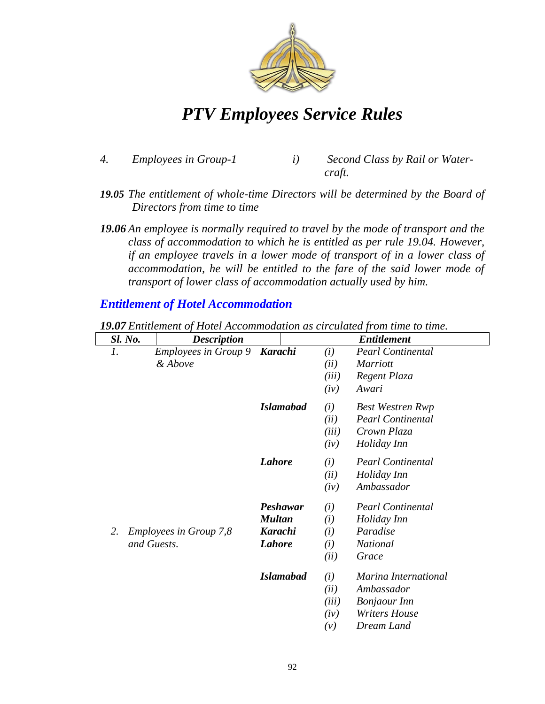

- *4. Employees in Group-1 i) Second Class by Rail or Water*
	- *craft.*
- *19.05 The entitlement of whole-time Directors will be determined by the Board of Directors from time to time*
- *19.06 An employee is normally required to travel by the mode of transport and the class of accommodation to which he is entitled as per rule 19.04. However, if an employee travels in a lower mode of transport of in a lower class of accommodation, he will be entitled to the fare of the said lower mode of transport of lower class of accommodation actually used by him.*

### *Entitlement of Hotel Accommodation*

|                 | <b>Sl. No.</b> | <b>Description</b>                     |                  |             | <b>Entitlement</b>                          |
|-----------------|----------------|----------------------------------------|------------------|-------------|---------------------------------------------|
| $\mathfrak{1}.$ |                | <b>Employees in Group 9</b><br>& Above | <b>Karachi</b>   | (i)<br>(ii) | <b>Pearl Continental</b><br><b>Marriott</b> |
|                 |                |                                        |                  | (iii)       | Regent Plaza                                |
|                 |                |                                        |                  | (iv)        | Awari                                       |
|                 |                |                                        | <b>Islamabad</b> | (i)         | <b>Best Westren Rwp</b>                     |
|                 |                |                                        |                  | (ii)        | <b>Pearl Continental</b>                    |
|                 |                |                                        |                  | (iii)       | Crown Plaza                                 |
|                 |                |                                        |                  | (iv)        | Holiday Inn                                 |
|                 |                |                                        | <b>Lahore</b>    | (i)         | <b>Pearl Continental</b>                    |
|                 |                |                                        |                  | (ii)        | Holiday Inn                                 |
|                 |                |                                        |                  | (iv)        | Ambassador                                  |
|                 |                |                                        | Peshawar         | (i)         | <b>Pearl Continental</b>                    |
|                 |                |                                        | <b>Multan</b>    | (i)         | Holiday Inn                                 |
| 2.              |                | <b>Employees in Group 7,8</b>          | <b>Karachi</b>   | (i)         | Paradise                                    |
|                 | and Guests.    |                                        | <b>Lahore</b>    | (i)         | <b>National</b>                             |
|                 |                |                                        |                  | (ii)        | Grace                                       |
|                 |                |                                        | <b>Islamabad</b> | (i)         | Marina International                        |
|                 |                |                                        |                  | (ii)        | Ambassador                                  |
|                 |                |                                        |                  | (iii)       | <b>Bonjaour</b> Inn                         |
|                 |                |                                        |                  | (iv)        | <b>Writers House</b>                        |
|                 |                |                                        |                  | (v)         | Dream Land                                  |

*19.07 Entitlement of Hotel Accommodation as circulated from time to time.*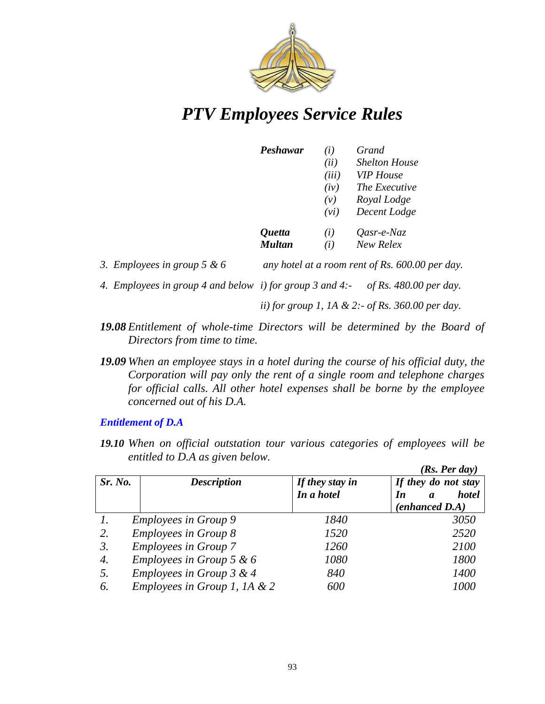

| Peshawar | (i)   | Grand                |
|----------|-------|----------------------|
|          | (ii)  | <b>Shelton House</b> |
|          | (iii) | <b>VIP</b> House     |
|          | (iv)  | The Executive        |
|          | (v)   | Royal Lodge          |
|          | (vi)  | Decent Lodge         |
| Quetta   | (i)   | Qasr-e-Naz           |
| Multan   | (i)   | New Relex            |
|          |       |                      |

- *3. Employees in group 5 & 6 any hotel at a room rent of Rs. 600.00 per day.*
- *4. Employees in group 4 and below i) for group 3 and 4:- of Rs. 480.00 per day.*

*ii) for group 1, 1A & 2:- of Rs. 360.00 per day.*

- *19.08 Entitlement of whole-time Directors will be determined by the Board of Directors from time to time.*
- *19.09 When an employee stays in a hotel during the course of his official duty, the Corporation will pay only the rent of a single room and telephone charges for official calls. All other hotel expenses shall be borne by the employee concerned out of his D.A.*

#### *Entitlement of D.A*

*19.10 When on official outstation tour various categories of employees will be entitled to D.A as given below. (Rs. Per day)* 

|         |                                |                 | (KS. Fer aav)                          |
|---------|--------------------------------|-----------------|----------------------------------------|
| Sr. No. | <b>Description</b>             | If they stay in | If they do not stay                    |
|         |                                | In a hotel      | <b>hotel</b><br>In<br>$\boldsymbol{a}$ |
|         |                                |                 | $(enhanced\ D.A)$                      |
|         | <i>Employees in Group 9</i>    | 1840            | 3050                                   |
| 2.      | <b>Employees in Group 8</b>    | 1520            | 2520                                   |
| 3.      | <b>Employees in Group 7</b>    | 1260            | 2100                                   |
| 4.      | Employees in Group 5 & 6       | 1080            | 1800                                   |
| 5.      | Employees in Group $3 & 4$     | 840             | 1400                                   |
| 6.      | Employees in Group 1, 1A $& 2$ | 600             | 1000                                   |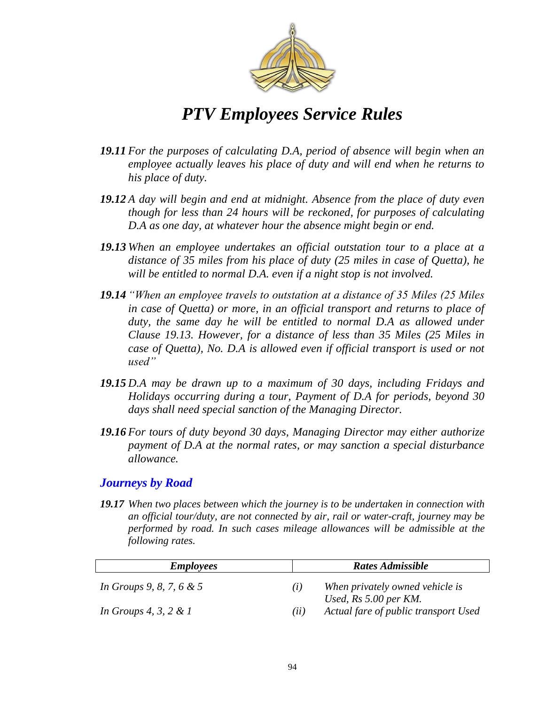

- *19.11 For the purposes of calculating D.A, period of absence will begin when an employee actually leaves his place of duty and will end when he returns to his place of duty.*
- *19.12 A day will begin and end at midnight. Absence from the place of duty even though for less than 24 hours will be reckoned, for purposes of calculating D.A as one day, at whatever hour the absence might begin or end.*
- *19.13 When an employee undertakes an official outstation tour to a place at a distance of 35 miles from his place of duty (25 miles in case of Quetta), he will be entitled to normal D.A. even if a night stop is not involved.*
- **19.14** *"When an employee travels to outstation at a distance of 35 Miles (25 Miles*) *in case of Quetta) or more, in an official transport and returns to place of*  duty, the same day he will be entitled to normal D.A as allowed under *Clause 19.13. However, for a distance of less than 35 Miles (25 Miles in case of Quetta), No. D.A is allowed even if official transport is used or not*  used"
- *19.15 D.A may be drawn up to a maximum of 30 days, including Fridays and Holidays occurring during a tour, Payment of D.A for periods, beyond 30 days shall need special sanction of the Managing Director.*
- *19.16 For tours of duty beyond 30 days, Managing Director may either authorize payment of D.A at the normal rates, or may sanction a special disturbance allowance.*

#### *Journeys by Road*

*19.17 When two places between which the journey is to be undertaken in connection with an official tour/duty, are not connected by air, rail or water-craft, journey may be performed by road. In such cases mileage allowances will be admissible at the following rates.*

| <b>Employees</b>            | <b>Rates Admissible</b>                                                    |
|-----------------------------|----------------------------------------------------------------------------|
| In Groups 9, 8, 7, 6 $\&$ 5 | When privately owned vehicle is<br>$\left( \frac{1}{2} \right)$            |
| In Groups 4, 3, 2 & 1       | Used, $Rs 5.00$ per $KM$ .<br>Actual fare of public transport Used<br>(ii) |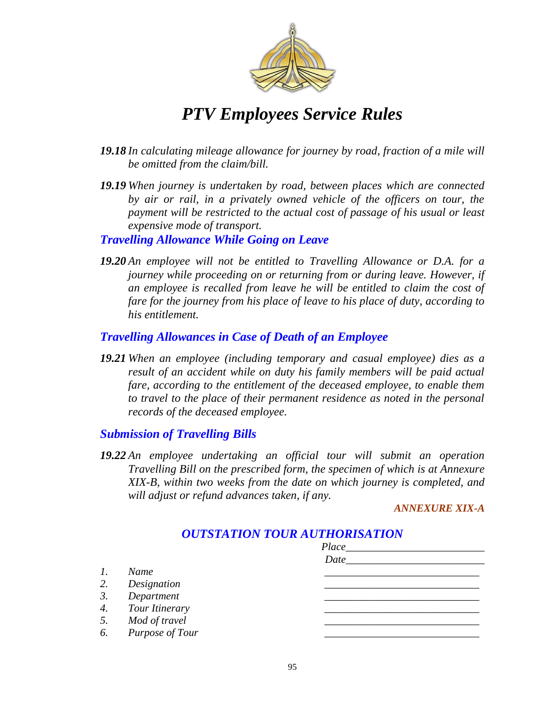

- *19.18 In calculating mileage allowance for journey by road, fraction of a mile will be omitted from the claim/bill.*
- *19.19 When journey is undertaken by road, between places which are connected by air or rail, in a privately owned vehicle of the officers on tour, the payment will be restricted to the actual cost of passage of his usual or least expensive mode of transport.*

*Travelling Allowance While Going on Leave*

*19.20 An employee will not be entitled to Travelling Allowance or D.A. for a journey while proceeding on or returning from or during leave. However, if an employee is recalled from leave he will be entitled to claim the cost of fare for the journey from his place of leave to his place of duty, according to his entitlement.*

#### *Travelling Allowances in Case of Death of an Employee*

*19.21 When an employee (including temporary and casual employee) dies as a result of an accident while on duty his family members will be paid actual fare, according to the entitlement of the deceased employee, to enable them*  to travel to the place of their permanent residence as noted in the personal *records of the deceased employee.*

#### *Submission of Travelling Bills*

*19.22 An employee undertaking an official tour will submit an operation Travelling Bill on the prescribed form, the specimen of which is at Annexure XIX-B, within two weeks from the date on which journey is completed, and will adjust or refund advances taken, if any.*

*ANNEXURE XIX-A*

|                 |                    | Place_ |
|-----------------|--------------------|--------|
|                 |                    | Date   |
| $\mathfrak{1}.$ | Name               |        |
| 2.              | Designation        |        |
| 3.              | Department         |        |
|                 | 4. Tour Itinerary  |        |
|                 | 5. Mod of travel   |        |
|                 | 6. Purpose of Tour |        |

### *OUTSTATION TOUR AUTHORISATION*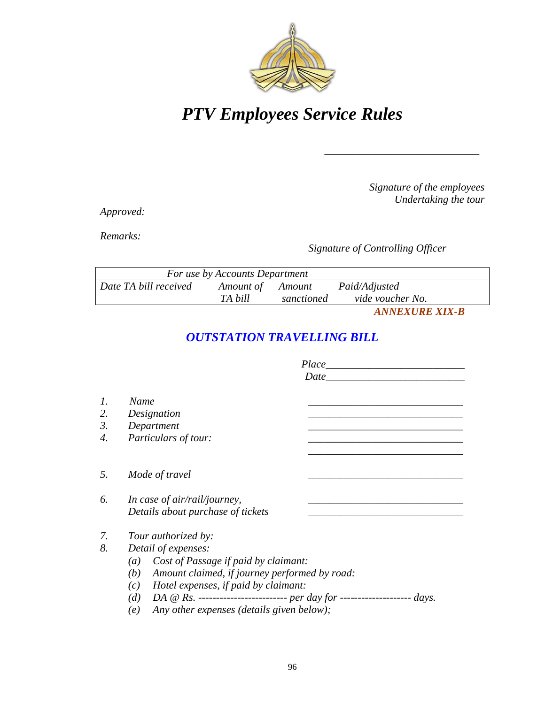

*Signature of the employees Undertaking the tour*

*\_\_\_\_\_\_\_\_\_\_\_\_\_\_\_\_\_\_\_\_\_\_\_\_\_\_\_\_\_*

*Approved:*

*Remarks:*

*Signature of Controlling Officer*

| For use by Accounts Department |                  |            |                  |
|--------------------------------|------------------|------------|------------------|
| Date TA bill received          | Amount of Amount |            | Paid/Adjusted    |
|                                | TA bill          | sanctioned | vide voucher No. |
|                                |                  |            |                  |

*ANNEXURE XIX-B*

### *OUTSTATION TRAVELLING BILL*

|                  | Place                                                                              |  |  |  |
|------------------|------------------------------------------------------------------------------------|--|--|--|
|                  | Date                                                                               |  |  |  |
| 1.               | Name                                                                               |  |  |  |
| 2.               | Designation                                                                        |  |  |  |
| $\mathfrak{Z}$ . | Department                                                                         |  |  |  |
| 4.               | Particulars of tour:                                                               |  |  |  |
|                  |                                                                                    |  |  |  |
| 5.               | Mode of travel                                                                     |  |  |  |
| 6.               | In case of air/rail/journey,                                                       |  |  |  |
|                  | Details about purchase of tickets                                                  |  |  |  |
| 7.               | Tour authorized by:                                                                |  |  |  |
| 8.               | Detail of expenses:                                                                |  |  |  |
|                  | Cost of Passage if paid by claimant:<br>(a)                                        |  |  |  |
|                  | Amount claimed, if journey performed by road:<br>(b)                               |  |  |  |
|                  | Hotel expenses, if paid by claimant:<br>(c)                                        |  |  |  |
|                  | DA @ Rs. ------------------------- per day for -------------------<br>(d)<br>days. |  |  |  |
|                  | Any other expenses (details given below);<br>(e)                                   |  |  |  |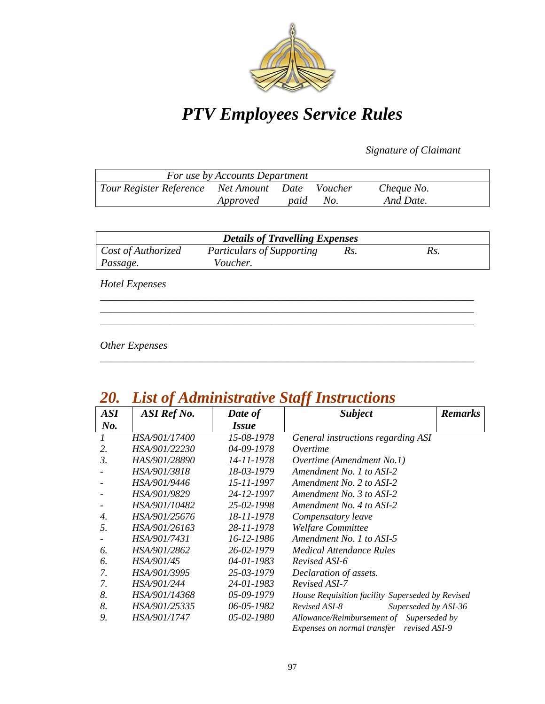

*Signature of Claimant*

| For use by Accounts Department                  |          |      |     |            |
|-------------------------------------------------|----------|------|-----|------------|
| Tour Register Reference Net Amount Date Voucher |          |      |     | Cheque No. |
|                                                 | Approved | paid | No. | And Date.  |

| <b>Details of Travelling Expenses</b> |                                  |     |     |  |
|---------------------------------------|----------------------------------|-----|-----|--|
| Cost of Authorized                    | <b>Particulars of Supporting</b> | Rs. | Rs. |  |
| Passage.                              | Voucher.                         |     |     |  |
| <b>Hotel Expenses</b>                 |                                  |     |     |  |

*\_\_\_\_\_\_\_\_\_\_\_\_\_\_\_\_\_\_\_\_\_\_\_\_\_\_\_\_\_\_\_\_\_\_\_\_\_\_\_\_\_\_\_\_\_\_\_\_\_\_\_\_\_\_\_\_\_\_\_\_\_\_\_\_\_\_\_\_\_\_ \_\_\_\_\_\_\_\_\_\_\_\_\_\_\_\_\_\_\_\_\_\_\_\_\_\_\_\_\_\_\_\_\_\_\_\_\_\_\_\_\_\_\_\_\_\_\_\_\_\_\_\_\_\_\_\_\_\_\_\_\_\_\_\_\_\_\_\_\_\_*

*\_\_\_\_\_\_\_\_\_\_\_\_\_\_\_\_\_\_\_\_\_\_\_\_\_\_\_\_\_\_\_\_\_\_\_\_\_\_\_\_\_\_\_\_\_\_\_\_\_\_\_\_\_\_\_\_\_\_\_\_\_\_\_\_\_\_\_\_\_\_*

*Other Expenses*

| ZU.        | LISI 01<br><b>Aaministrative Staff Instructions</b> |                     |                                                  |
|------------|-----------------------------------------------------|---------------------|--------------------------------------------------|
| <b>ASI</b> | ASI Ref No.                                         | Date of             | <b>Subject</b><br><b>Remarks</b>                 |
| $N0$ .     |                                                     | <i><b>Issue</b></i> |                                                  |
|            | <i>HSA/901/17400</i>                                | 15-08-1978          | General instructions regarding ASI               |
| 2.         | HSA/901/22230                                       | 04-09-1978          | Overtime                                         |
| 3.         | HAS/901/28890                                       | 14-11-1978          | Overtime (Amendment No.1)                        |
|            | HSA/901/3818                                        | 18-03-1979          | Amendment No. 1 to ASI-2                         |
|            | HSA/901/9446                                        | 15-11-1997          | Amendment No. 2 to ASI-2                         |
|            | HSA/901/9829                                        | 24-12-1997          | Amendment No. 3 to ASI-2                         |
|            | HSA/901/10482                                       | 25-02-1998          | Amendment No. 4 to ASI-2                         |
| 4.         | HSA/901/25676                                       | 18-11-1978          | Compensatory leave                               |
| 5.         | HSA/901/26163                                       | 28-11-1978          | Welfare Committee                                |
|            | HSA/901/7431                                        | 16-12-1986          | Amendment No. 1 to ASI-5                         |
| 6.         | HSA/901/2862                                        | 26-02-1979          | <b>Medical Attendance Rules</b>                  |
| 6.         | HSA/901/45                                          | $04 - 01 - 1983$    | Revised ASI-6                                    |
| 7.         | HSA/901/3995                                        | 25-03-1979          | Declaration of assets.                           |
| 7.         | HSA/901/244                                         | 24-01-1983          | Revised ASI-7                                    |
| 8.         | HSA/901/14368                                       | 05-09-1979          | House Requisition facility Superseded by Revised |
| 8.         | HSA/901/25335                                       | 06-05-1982          | Revised ASI-8<br>Superseded by ASI-36            |
| 9.         | HSA/901/1747                                        | 05-02-1980          | Allowance/Reimbursement of<br>Superseded by      |
|            |                                                     |                     | Expenses on normal transfer<br>revised ASI-9     |

### *20. List of Administrative Staff Instructions*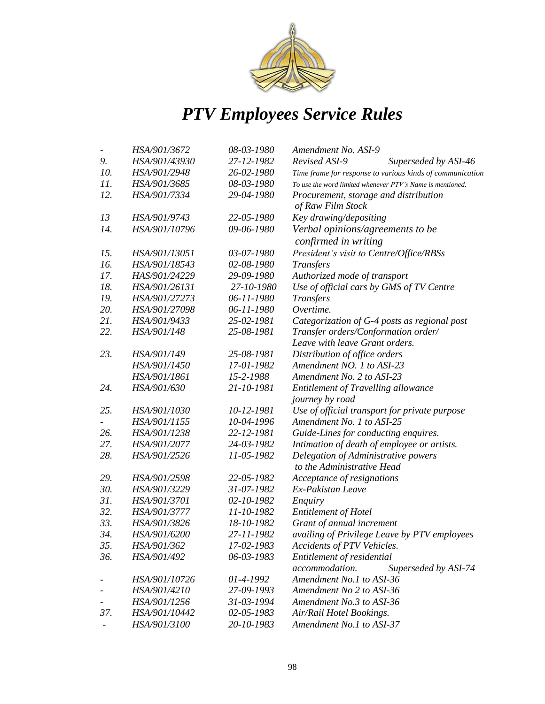

|     | HSA/901/3672  | 08-03-1980 | Amendment No. ASI-9                                       |
|-----|---------------|------------|-----------------------------------------------------------|
| 9.  | HSA/901/43930 | 27-12-1982 | Revised ASI-9<br>Superseded by ASI-46                     |
| 10. | HSA/901/2948  | 26-02-1980 | Time frame for response to various kinds of communication |
| 11. | HSA/901/3685  | 08-03-1980 | To use the word limited whenever PTV's Name is mentioned. |
| 12. | HSA/901/7334  | 29-04-1980 | Procurement, storage and distribution                     |
|     |               |            | of Raw Film Stock                                         |
| 13  | HSA/901/9743  | 22-05-1980 | Key drawing/depositing                                    |
| 14. | HSA/901/10796 | 09-06-1980 | Verbal opinions/agreements to be                          |
|     |               |            | confirmed in writing                                      |
| 15. | HSA/901/13051 | 03-07-1980 | President's visit to Centre/Office/RBSs                   |
| 16. | HSA/901/18543 | 02-08-1980 | <b>Transfers</b>                                          |
| 17. | HAS/901/24229 | 29-09-1980 | Authorized mode of transport                              |
| 18. | HSA/901/26131 | 27-10-1980 | Use of official cars by GMS of TV Centre                  |
| 19. | HSA/901/27273 | 06-11-1980 | Transfers                                                 |
| 20. | HSA/901/27098 | 06-11-1980 | Overtime.                                                 |
| 21. | HSA/901/9433  | 25-02-1981 | Categorization of G-4 posts as regional post              |
| 22. | HSA/901/148   | 25-08-1981 | Transfer orders/Conformation order/                       |
|     |               |            | Leave with leave Grant orders.                            |
| 23. | HSA/901/149   | 25-08-1981 | Distribution of office orders                             |
|     | HSA/901/1450  | 17-01-1982 | Amendment NO. 1 to ASI-23                                 |
|     | HSA/901/1861  | 15-2-1988  | Amendment No. 2 to ASI-23                                 |
| 24. | HSA/901/630   | 21-10-1981 | Entitlement of Travelling allowance                       |
|     |               |            | journey by road                                           |
| 25. | HSA/901/1030  | 10-12-1981 | Use of official transport for private purpose             |
|     | HSA/901/1155  | 10-04-1996 | Amendment No. 1 to ASI-25                                 |
| 26. | HSA/901/1238  | 22-12-1981 | Guide-Lines for conducting enquires.                      |
| 27. | HSA/901/2077  | 24-03-1982 | Intimation of death of employee or artists.               |
| 28. | HSA/901/2526  | 11-05-1982 | Delegation of Administrative powers                       |
|     |               |            | to the Administrative Head                                |
| 29. | HSA/901/2598  | 22-05-1982 | Acceptance of resignations                                |
| 30. | HSA/901/3229  | 31-07-1982 | Ex-Pakistan Leave                                         |
| 31. | HSA/901/3701  | 02-10-1982 | Enquiry                                                   |
| 32. | HSA/901/3777  | 11-10-1982 | <b>Entitlement of Hotel</b>                               |
| 33. | HSA/901/3826  | 18-10-1982 | Grant of annual increment                                 |
| 34. | HSA/901/6200  | 27-11-1982 | availing of Privilege Leave by PTV employees              |
| 35. | HSA/901/362   | 17-02-1983 | Accidents of PTV Vehicles.                                |
| 36. | HSA/901/492   | 06-03-1983 | Entitlement of residential                                |
|     |               |            | accommodation.<br>Superseded by ASI-74                    |
|     | HSA/901/10726 | 01-4-1992  | Amendment No.1 to ASI-36                                  |
|     | HSA/901/4210  | 27-09-1993 | Amendment No 2 to ASI-36                                  |
|     | HSA/901/1256  | 31-03-1994 | Amendment No.3 to ASI-36                                  |
| 37. | HSA/901/10442 | 02-05-1983 | Air/Rail Hotel Bookings.                                  |
|     | HSA/901/3100  | 20-10-1983 | Amendment No.1 to ASI-37                                  |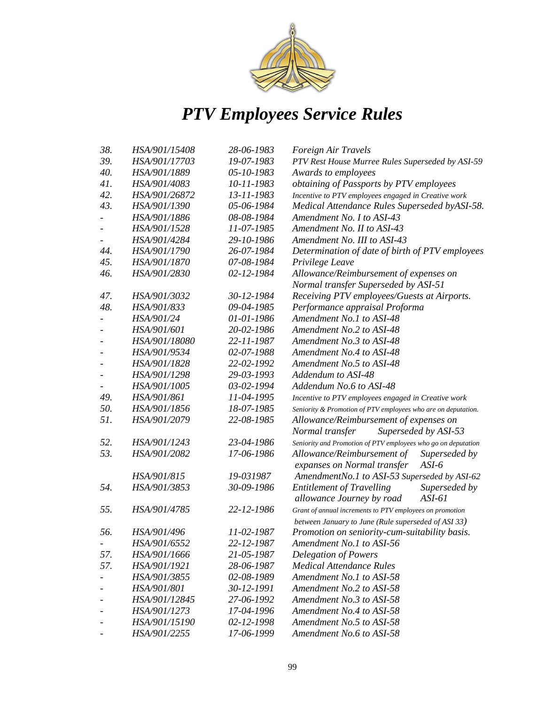

| 38. | HSA/901/15408 | 28-06-1983 | Foreign Air Travels                                                                                             |  |
|-----|---------------|------------|-----------------------------------------------------------------------------------------------------------------|--|
| 39. | HSA/901/17703 | 19-07-1983 | PTV Rest House Murree Rules Superseded by ASI-59                                                                |  |
| 40. | HSA/901/1889  | 05-10-1983 | Awards to employees                                                                                             |  |
| 41. | HSA/901/4083  | 10-11-1983 | obtaining of Passports by PTV employees                                                                         |  |
| 42. | HSA/901/26872 | 13-11-1983 | Incentive to PTV employees engaged in Creative work                                                             |  |
| 43. | HSA/901/1390  | 05-06-1984 | Medical Attendance Rules Superseded byASI-58.                                                                   |  |
|     | HSA/901/1886  | 08-08-1984 | Amendment No. I to ASI-43                                                                                       |  |
|     | HSA/901/1528  | 11-07-1985 | Amendment No. II to ASI-43                                                                                      |  |
|     | HSA/901/4284  | 29-10-1986 | Amendment No. III to ASI-43                                                                                     |  |
| 44. | HSA/901/1790  | 26-07-1984 | Determination of date of birth of PTV employees                                                                 |  |
| 45. | HSA/901/1870  | 07-08-1984 | Privilege Leave                                                                                                 |  |
| 46. | HSA/901/2830  | 02-12-1984 | Allowance/Reimbursement of expenses on                                                                          |  |
|     |               |            | Normal transfer Superseded by ASI-51                                                                            |  |
| 47. | HSA/901/3032  | 30-12-1984 | Receiving PTV employees/Guests at Airports.                                                                     |  |
| 48. | HSA/901/833   | 09-04-1985 | Performance appraisal Proforma                                                                                  |  |
|     | HSA/901/24    | 01-01-1986 | Amendment No.1 to ASI-48                                                                                        |  |
|     | HSA/901/601   | 20-02-1986 | Amendment No.2 to ASI-48                                                                                        |  |
|     | HSA/901/18080 | 22-11-1987 | Amendment No.3 to ASI-48                                                                                        |  |
|     | HSA/901/9534  | 02-07-1988 | Amendment No.4 to ASI-48                                                                                        |  |
|     | HSA/901/1828  | 22-02-1992 | Amendment No.5 to ASI-48                                                                                        |  |
|     | HSA/901/1298  | 29-03-1993 | Addendum to ASI-48                                                                                              |  |
|     | HSA/901/1005  | 03-02-1994 | Addendum No.6 to ASI-48                                                                                         |  |
| 49. | HSA/901/861   | 11-04-1995 | Incentive to PTV employees engaged in Creative work                                                             |  |
| 50. | HSA/901/1856  | 18-07-1985 | Seniority & Promotion of PTV employees who are on deputation.                                                   |  |
| 51. | HSA/901/2079  | 22-08-1985 | Allowance/Reimbursement of expenses on                                                                          |  |
|     |               |            | Superseded by ASI-53<br>Normal transfer                                                                         |  |
| 52. | HSA/901/1243  | 23-04-1986 | Seniority and Promotion of PTV employees who go on deputation                                                   |  |
| 53. | HSA/901/2082  | 17-06-1986 | Allowance/Reimbursement of<br>Superseded by                                                                     |  |
|     |               |            | $ASI-6$<br>expanses on Normal transfer                                                                          |  |
|     | HSA/901/815   | 19-031987  | AmendmentNo.1 to ASI-53 Superseded by ASI-62                                                                    |  |
| 54. | HSA/901/3853  | 30-09-1986 | <b>Entitlement of Travelling</b><br>Superseded by<br>allowance Journey by road<br>$ASI-61$                      |  |
| 55. | HSA/901/4785  | 22-12-1986 | Grant of annual increments to PTV employees on promotion<br>between January to June (Rule superseded of ASI 33) |  |
| 56. | HSA/901/496   | 11-02-1987 | Promotion on seniority-cum-suitability basis.                                                                   |  |
|     | HSA/901/6552  | 22-12-1987 | Amendment No.1 to ASI-56                                                                                        |  |
| 57. | HSA/901/1666  | 21-05-1987 | <b>Delegation of Powers</b>                                                                                     |  |
| 57. | HSA/901/1921  | 28-06-1987 | <b>Medical Attendance Rules</b>                                                                                 |  |
|     | HSA/901/3855  | 02-08-1989 | Amendment No.1 to ASI-58                                                                                        |  |
|     | HSA/901/801   | 30-12-1991 | Amendment No.2 to ASI-58                                                                                        |  |
|     | HSA/901/12845 | 27-06-1992 | Amendment No.3 to ASI-58                                                                                        |  |
|     | HSA/901/1273  | 17-04-1996 | Amendment No.4 to ASI-58                                                                                        |  |
|     | HSA/901/15190 | 02-12-1998 | Amendment No.5 to ASI-58                                                                                        |  |
|     | HSA/901/2255  | 17-06-1999 | Amendment No.6 to ASI-58                                                                                        |  |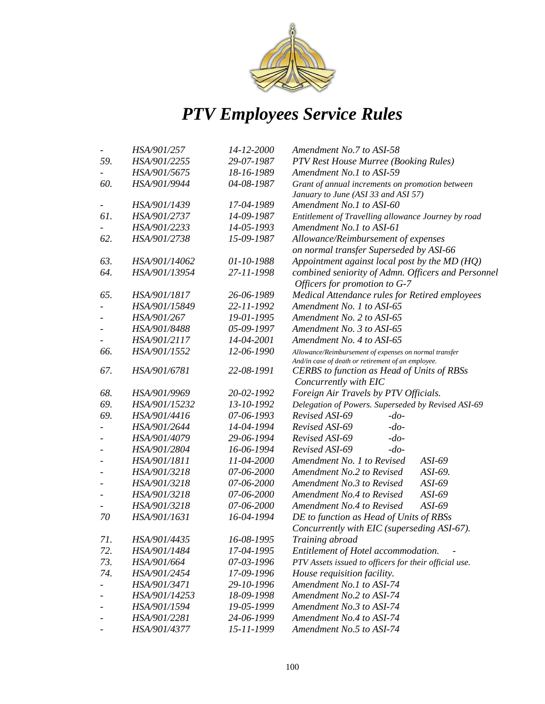

|     | HSA/901/257   | 14-12-2000 | Amendment No.7 to ASI-58                               |  |
|-----|---------------|------------|--------------------------------------------------------|--|
| 59. | HSA/901/2255  | 29-07-1987 | PTV Rest House Murree (Booking Rules)                  |  |
|     | HSA/901/5675  | 18-16-1989 | Amendment No.1 to ASI-59                               |  |
| 60. | HSA/901/9944  | 04-08-1987 | Grant of annual increments on promotion between        |  |
|     |               |            | January to June (ASI 33 and ASI 57)                    |  |
|     | HSA/901/1439  | 17-04-1989 | Amendment No.1 to ASI-60                               |  |
| 61. | HSA/901/2737  | 14-09-1987 | Entitlement of Travelling allowance Journey by road    |  |
|     | HSA/901/2233  | 14-05-1993 | Amendment No.1 to ASI-61                               |  |
| 62. | HSA/901/2738  | 15-09-1987 | Allowance/Reimbursement of expenses                    |  |
|     |               |            | on normal transfer Superseded by ASI-66                |  |
| 63. | HSA/901/14062 | 01-10-1988 | Appointment against local post by the MD (HQ)          |  |
| 64. | HSA/901/13954 | 27-11-1998 | combined seniority of Admn. Officers and Personnel     |  |
|     |               |            | Officers for promotion to G-7                          |  |
| 65. | HSA/901/1817  | 26-06-1989 | Medical Attendance rules for Retired employees         |  |
|     | HSA/901/15849 | 22-11-1992 | Amendment No. 1 to ASI-65                              |  |
|     | HSA/901/267   | 19-01-1995 | Amendment No. 2 to ASI-65                              |  |
|     | HSA/901/8488  | 05-09-1997 | Amendment No. 3 to ASI-65                              |  |
|     | HSA/901/2117  | 14-04-2001 | Amendment No. 4 to ASI-65                              |  |
| 66. | HSA/901/1552  | 12-06-1990 | Allowance/Reimbursement of expenses on normal transfer |  |
|     |               |            | And/in case of death or retirement of an employee.     |  |
| 67. | HSA/901/6781  | 22-08-1991 | CERBS to function as Head of Units of RBSs             |  |
|     |               |            | Concurrently with EIC                                  |  |
| 68. | HSA/901/9969  | 20-02-1992 | Foreign Air Travels by PTV Officials.                  |  |
| 69. | HSA/901/15232 | 13-10-1992 | Delegation of Powers. Superseded by Revised ASI-69     |  |
| 69. | HSA/901/4416  | 07-06-1993 | Revised ASI-69<br>$-do-$                               |  |
|     | HSA/901/2644  | 14-04-1994 | Revised ASI-69<br>$-do-$                               |  |
|     | HSA/901/4079  | 29-06-1994 | Revised ASI-69<br>$-do-$                               |  |
|     | HSA/901/2804  | 16-06-1994 | Revised ASI-69<br>$-do-$                               |  |
|     | HSA/901/1811  | 11-04-2000 | Amendment No. 1 to Revised<br>$ASI-69$                 |  |
|     | HSA/901/3218  | 07-06-2000 | Amendment No.2 to Revised<br>ASI-69.                   |  |
|     | HSA/901/3218  | 07-06-2000 | ASI-69<br>Amendment No.3 to Revised                    |  |
|     | HSA/901/3218  | 07-06-2000 | ASI-69<br>Amendment No.4 to Revised                    |  |
|     | HSA/901/3218  | 07-06-2000 | ASI-69<br>Amendment No.4 to Revised                    |  |
| 70  | HSA/901/1631  | 16-04-1994 | DE to function as Head of Units of RBSs                |  |
|     |               |            | Concurrently with EIC (superseding ASI-67).            |  |
| 71. | HSA/901/4435  | 16-08-1995 | Training abroad                                        |  |
| 72. | HSA/901/1484  | 17-04-1995 | Entitlement of Hotel accommodation.                    |  |
| 73. | HSA/901/664   | 07-03-1996 | PTV Assets issued to officers for their official use.  |  |
| 74. | HSA/901/2454  | 17-09-1996 | House requisition facility.                            |  |
|     | HSA/901/3471  | 29-10-1996 | Amendment No.1 to ASI-74                               |  |
|     | HSA/901/14253 | 18-09-1998 | Amendment No.2 to ASI-74                               |  |
|     | HSA/901/1594  | 19-05-1999 | Amendment No.3 to ASI-74                               |  |
|     | HSA/901/2281  | 24-06-1999 | Amendment No.4 to ASI-74                               |  |
|     | HSA/901/4377  | 15-11-1999 | Amendment No.5 to ASI-74                               |  |